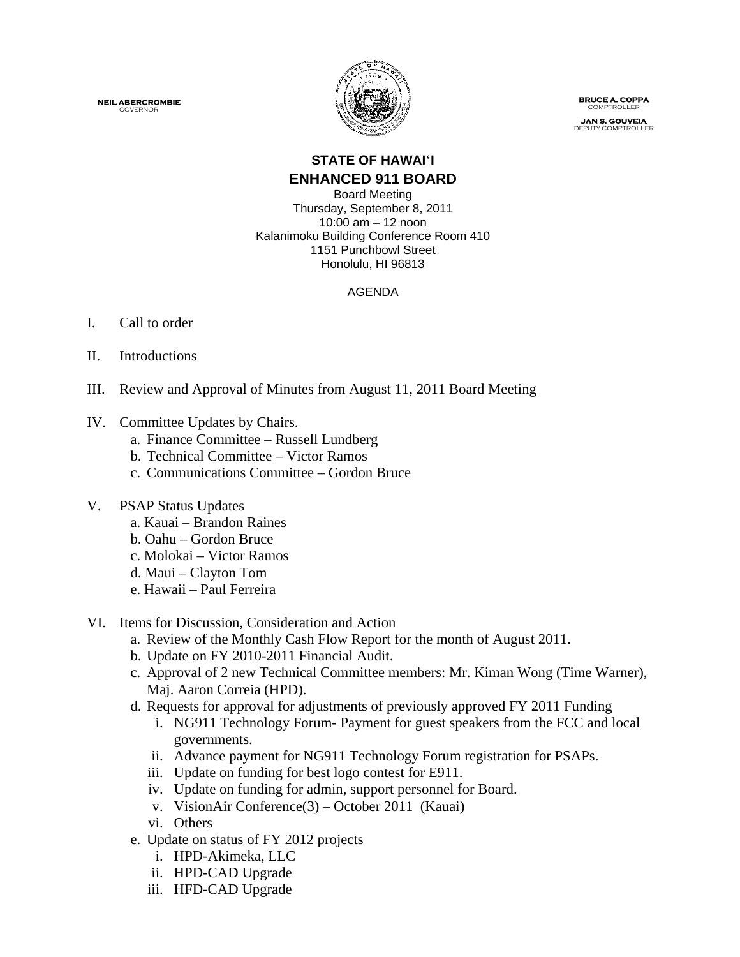**NEIL ABERCROMBIE** GOVERNOR



 **BRUCE A. COPPA** COMPTROLLE

**JAN S. GOUVEIA** DEPUTY COMPTROLLER

# **STATE OF HAWAI**'**I ENHANCED 911 BOARD**

Board Meeting Thursday, September 8, 2011 10:00 am – 12 noon Kalanimoku Building Conference Room 410 1151 Punchbowl Street Honolulu, HI 96813

### AGENDA

### I. Call to order

- II. Introductions
- III. Review and Approval of Minutes from August 11, 2011 Board Meeting
- IV. Committee Updates by Chairs.
	- a. Finance Committee Russell Lundberg
	- b. Technical Committee Victor Ramos
	- c. Communications Committee Gordon Bruce

### V. PSAP Status Updates

- a. Kauai Brandon Raines
- b. Oahu Gordon Bruce
- c. Molokai Victor Ramos
- d. Maui Clayton Tom
- e. Hawaii Paul Ferreira
- VI. Items for Discussion, Consideration and Action
	- a. Review of the Monthly Cash Flow Report for the month of August 2011.
	- b. Update on FY 2010-2011 Financial Audit.
	- c. Approval of 2 new Technical Committee members: Mr. Kiman Wong (Time Warner), Maj. Aaron Correia (HPD).
	- d. Requests for approval for adjustments of previously approved FY 2011 Funding
		- i. NG911 Technology Forum- Payment for guest speakers from the FCC and local governments.
		- ii. Advance payment for NG911 Technology Forum registration for PSAPs.
		- iii. Update on funding for best logo contest for E911.
		- iv. Update on funding for admin, support personnel for Board.
		- v. VisionAir Conference(3) October 2011 (Kauai)
		- vi. Others
	- e. Update on status of FY 2012 projects
		- i. HPD-Akimeka, LLC
		- ii. HPD-CAD Upgrade
		- iii. HFD-CAD Upgrade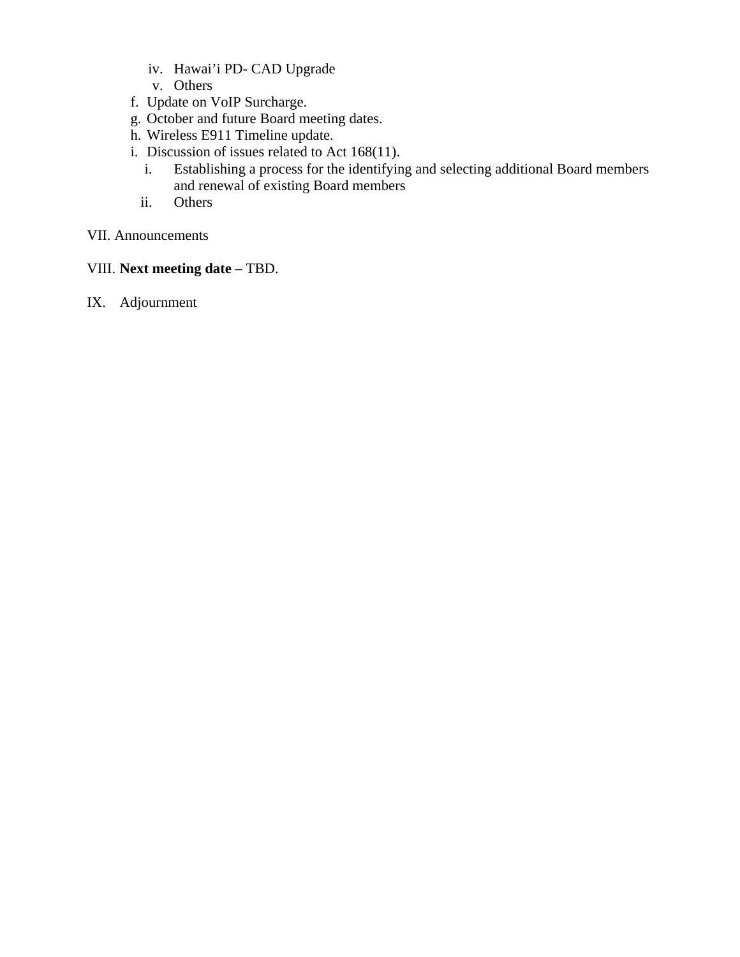- iv. Hawai'i PD- CAD Upgrade
- v. Others
- f. Update on VoIP Surcharge.
- g. October and future Board meeting dates.
- h. Wireless E911 Timeline update.
- i. Discussion of issues related to Act 168(11).
	- i. Establishing a process for the identifying and selecting additional Board members and renewal of existing Board members
	- ii. Others

### VII. Announcements

- VIII. **Next meeting date** TBD.
- IX. Adjournment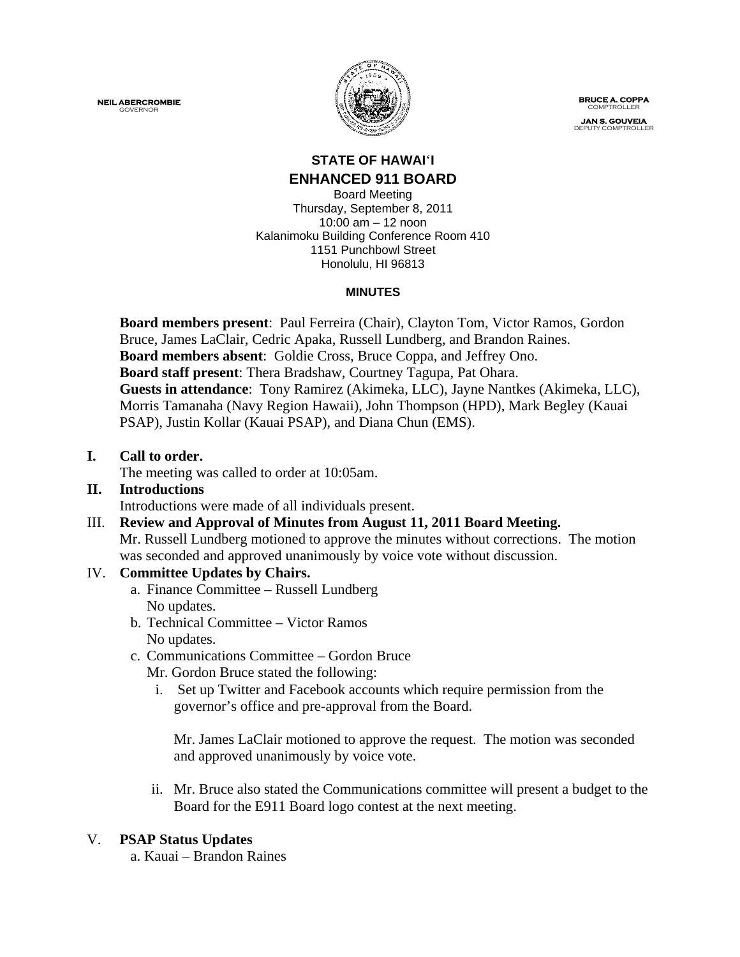**NEIL ABERCROMBIE** GOVERNOR



 **BRUCE A. COPPA** COMPTROLLE

**JAN S. GOUVEIA** DEPUTY COMPTROLLER

### **STATE OF HAWAI**'**I ENHANCED 911 BOARD**

Board Meeting Thursday, September 8, 2011 10:00 am – 12 noon Kalanimoku Building Conference Room 410 1151 Punchbowl Street Honolulu, HI 96813

### **MINUTES**

**Board members present**: Paul Ferreira (Chair), Clayton Tom, Victor Ramos, Gordon Bruce, James LaClair, Cedric Apaka, Russell Lundberg, and Brandon Raines. **Board members absent**: Goldie Cross, Bruce Coppa, and Jeffrey Ono. **Board staff present**: Thera Bradshaw, Courtney Tagupa, Pat Ohara. **Guests in attendance**: Tony Ramirez (Akimeka, LLC), Jayne Nantkes (Akimeka, LLC), Morris Tamanaha (Navy Region Hawaii), John Thompson (HPD), Mark Begley (Kauai PSAP), Justin Kollar (Kauai PSAP), and Diana Chun (EMS).

### **I. Call to order.**

The meeting was called to order at 10:05am.

# **II. Introductions**

Introductions were made of all individuals present.

III. **Review and Approval of Minutes from August 11, 2011 Board Meeting.** Mr. Russell Lundberg motioned to approve the minutes without corrections. The motion was seconded and approved unanimously by voice vote without discussion.

# IV. **Committee Updates by Chairs.**

- a. Finance Committee Russell Lundberg No updates.
- b. Technical Committee Victor Ramos No updates.
- c. Communications Committee Gordon Bruce
	- Mr. Gordon Bruce stated the following:
	- i. Set up Twitter and Facebook accounts which require permission from the governor's office and pre-approval from the Board.

Mr. James LaClair motioned to approve the request. The motion was seconded and approved unanimously by voice vote.

ii. Mr. Bruce also stated the Communications committee will present a budget to the Board for the E911 Board logo contest at the next meeting.

### V. **PSAP Status Updates**

a. Kauai – Brandon Raines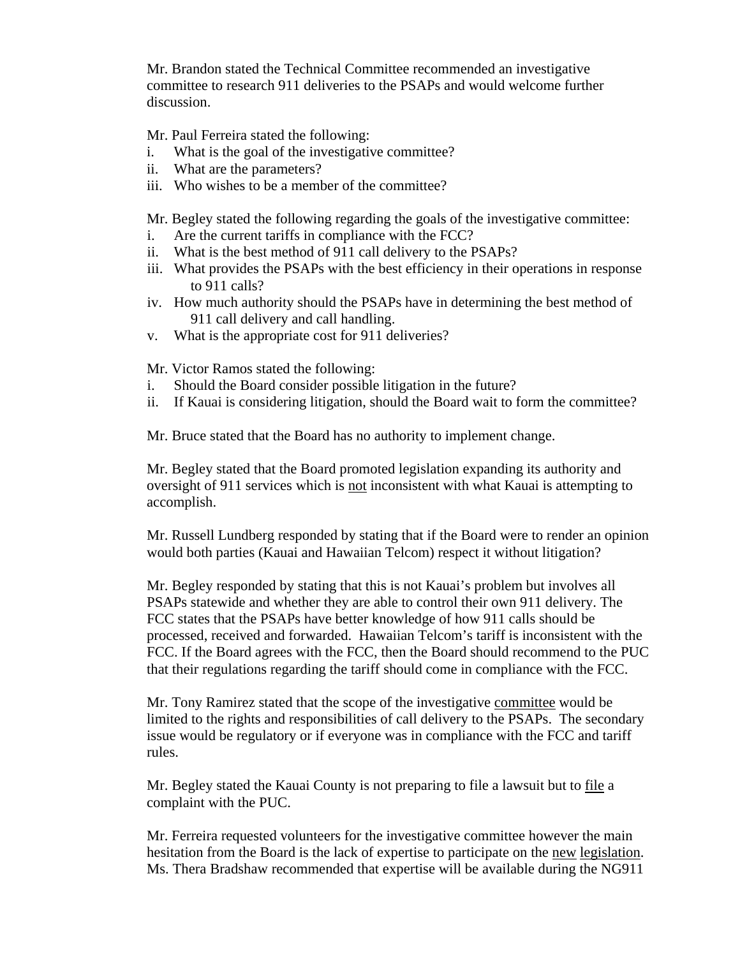Mr. Brandon stated the Technical Committee recommended an investigative committee to research 911 deliveries to the PSAPs and would welcome further discussion.

Mr. Paul Ferreira stated the following:

- i. What is the goal of the investigative committee?
- ii. What are the parameters?
- iii. Who wishes to be a member of the committee?

Mr. Begley stated the following regarding the goals of the investigative committee:

- i. Are the current tariffs in compliance with the FCC?
- ii. What is the best method of 911 call delivery to the PSAPs?
- iii. What provides the PSAPs with the best efficiency in their operations in response to 911 calls?
- iv. How much authority should the PSAPs have in determining the best method of 911 call delivery and call handling.
- v. What is the appropriate cost for 911 deliveries?

Mr. Victor Ramos stated the following:

- i. Should the Board consider possible litigation in the future?
- ii. If Kauai is considering litigation, should the Board wait to form the committee?

Mr. Bruce stated that the Board has no authority to implement change.

Mr. Begley stated that the Board promoted legislation expanding its authority and oversight of 911 services which is not inconsistent with what Kauai is attempting to accomplish.

Mr. Russell Lundberg responded by stating that if the Board were to render an opinion would both parties (Kauai and Hawaiian Telcom) respect it without litigation?

Mr. Begley responded by stating that this is not Kauai's problem but involves all PSAPs statewide and whether they are able to control their own 911 delivery. The FCC states that the PSAPs have better knowledge of how 911 calls should be processed, received and forwarded. Hawaiian Telcom's tariff is inconsistent with the FCC. If the Board agrees with the FCC, then the Board should recommend to the PUC that their regulations regarding the tariff should come in compliance with the FCC.

Mr. Tony Ramirez stated that the scope of the investigative committee would be limited to the rights and responsibilities of call delivery to the PSAPs. The secondary issue would be regulatory or if everyone was in compliance with the FCC and tariff rules.

Mr. Begley stated the Kauai County is not preparing to file a lawsuit but to file a complaint with the PUC.

Mr. Ferreira requested volunteers for the investigative committee however the main hesitation from the Board is the lack of expertise to participate on the new legislation. Ms. Thera Bradshaw recommended that expertise will be available during the NG911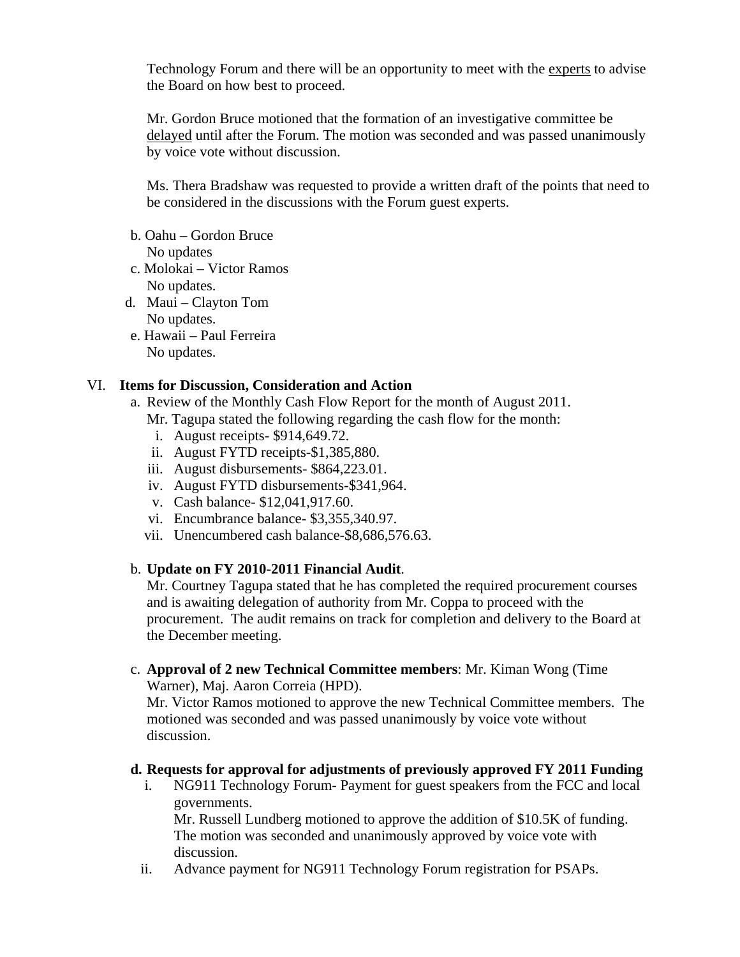Technology Forum and there will be an opportunity to meet with the experts to advise the Board on how best to proceed.

Mr. Gordon Bruce motioned that the formation of an investigative committee be delayed until after the Forum. The motion was seconded and was passed unanimously by voice vote without discussion.

Ms. Thera Bradshaw was requested to provide a written draft of the points that need to be considered in the discussions with the Forum guest experts.

b. Oahu – Gordon Bruce

No updates

- c. Molokai Victor Ramos No updates.
- d. Maui Clayton Tom No updates.
- e. Hawaii Paul Ferreira No updates.

### VI. **Items for Discussion, Consideration and Action**

- a. Review of the Monthly Cash Flow Report for the month of August 2011.
	- Mr. Tagupa stated the following regarding the cash flow for the month:
		- i. August receipts- \$914,649.72.
	- ii. August FYTD receipts-\$1,385,880.
	- iii. August disbursements- \$864,223.01.
	- iv. August FYTD disbursements-\$341,964.
	- v. Cash balance- \$12,041,917.60.
	- vi. Encumbrance balance- \$3,355,340.97.
	- vii. Unencumbered cash balance-\$8,686,576.63.

# b. **Update on FY 2010-2011 Financial Audit**.

Mr. Courtney Tagupa stated that he has completed the required procurement courses and is awaiting delegation of authority from Mr. Coppa to proceed with the procurement. The audit remains on track for completion and delivery to the Board at the December meeting.

c. **Approval of 2 new Technical Committee members**: Mr. Kiman Wong (Time Warner), Maj. Aaron Correia (HPD).

Mr. Victor Ramos motioned to approve the new Technical Committee members. The motioned was seconded and was passed unanimously by voice vote without discussion.

### **d. Requests for approval for adjustments of previously approved FY 2011 Funding**

i. NG911 Technology Forum- Payment for guest speakers from the FCC and local governments. Mr. Russell Lundberg motioned to approve the addition of \$10.5K of funding.

The motion was seconded and unanimously approved by voice vote with discussion.

ii. Advance payment for NG911 Technology Forum registration for PSAPs.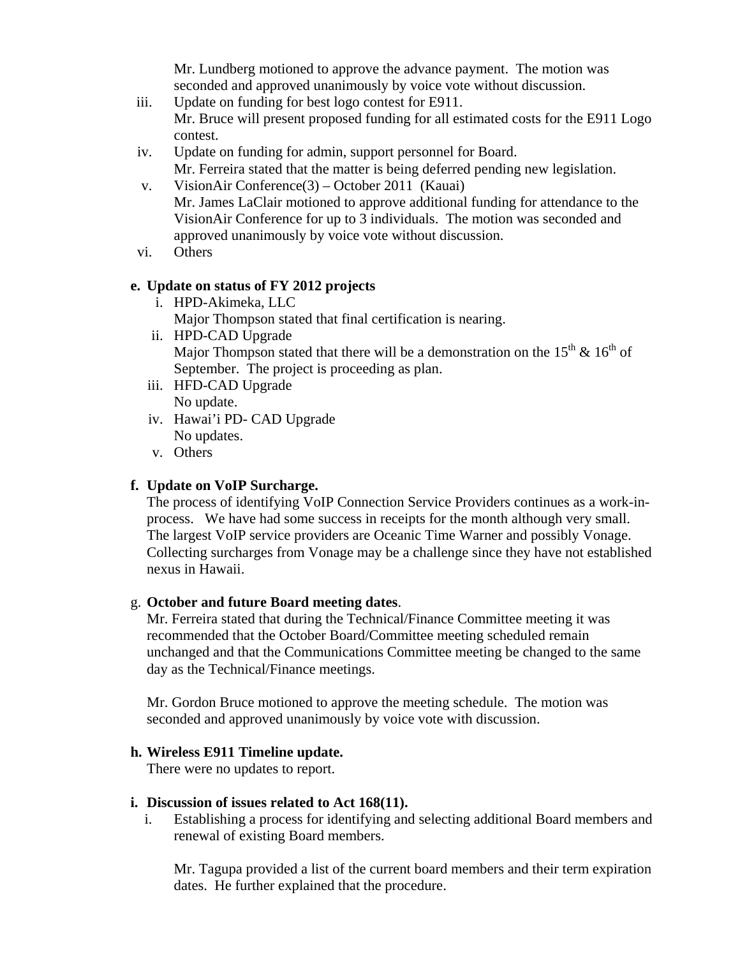Mr. Lundberg motioned to approve the advance payment. The motion was seconded and approved unanimously by voice vote without discussion.

- iii. Update on funding for best logo contest for E911. Mr. Bruce will present proposed funding for all estimated costs for the E911 Logo contest.
- iv. Update on funding for admin, support personnel for Board.
	- Mr. Ferreira stated that the matter is being deferred pending new legislation.
- v. VisionAir Conference(3) October 2011 (Kauai) Mr. James LaClair motioned to approve additional funding for attendance to the VisionAir Conference for up to 3 individuals. The motion was seconded and approved unanimously by voice vote without discussion.
- vi. Others

### **e. Update on status of FY 2012 projects**

i. HPD-Akimeka, LLC Major Thompson stated that final certification is nearing. ii. HPD-CAD Upgrade

Major Thompson stated that there will be a demonstration on the  $15<sup>th</sup>$  &  $16<sup>th</sup>$  of September. The project is proceeding as plan.

- iii. HFD-CAD Upgrade No update.
- iv. Hawai'i PD- CAD Upgrade No updates.
- v. Others

### **f. Update on VoIP Surcharge.**

The process of identifying VoIP Connection Service Providers continues as a work-inprocess. We have had some success in receipts for the month although very small. The largest VoIP service providers are Oceanic Time Warner and possibly Vonage. Collecting surcharges from Vonage may be a challenge since they have not established nexus in Hawaii.

#### g. **October and future Board meeting dates**.

Mr. Ferreira stated that during the Technical/Finance Committee meeting it was recommended that the October Board/Committee meeting scheduled remain unchanged and that the Communications Committee meeting be changed to the same day as the Technical/Finance meetings.

Mr. Gordon Bruce motioned to approve the meeting schedule. The motion was seconded and approved unanimously by voice vote with discussion.

#### **h. Wireless E911 Timeline update.**

There were no updates to report.

#### **i. Discussion of issues related to Act 168(11).**

i. Establishing a process for identifying and selecting additional Board members and renewal of existing Board members.

Mr. Tagupa provided a list of the current board members and their term expiration dates. He further explained that the procedure.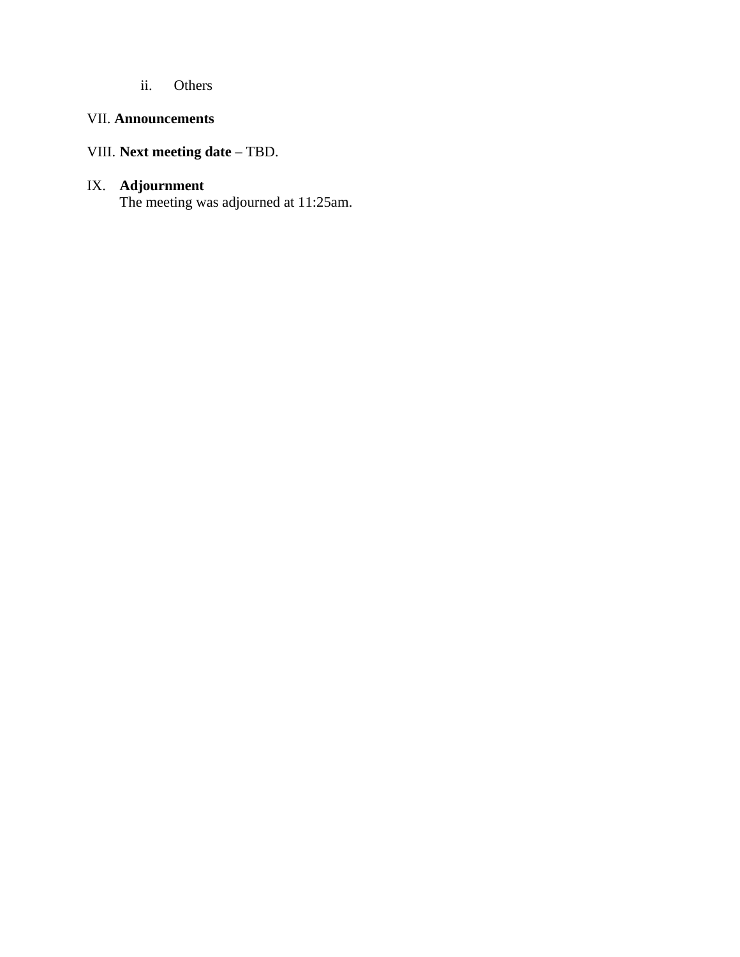ii. Others

# VII. **Announcements**

# VIII. **Next meeting date** – TBD.

#### IX. **Adjournment**

The meeting was adjourned at 11:25am.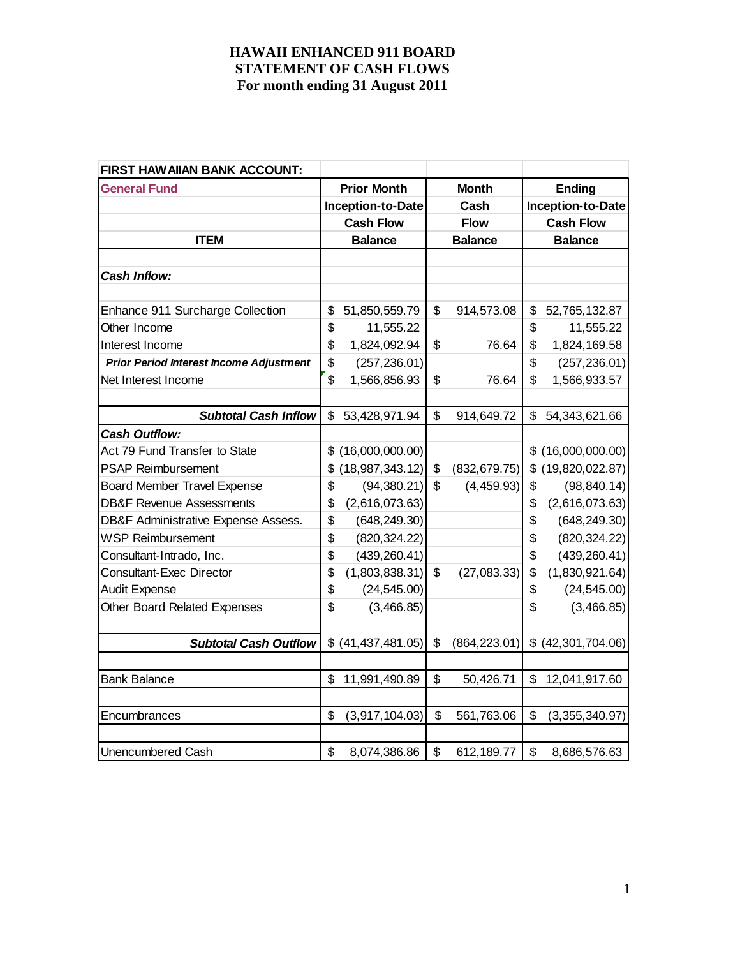| <b>FIRST HAW AIIAN BANK ACCOUNT:</b>           |                       |                           |                |                           |                   |
|------------------------------------------------|-----------------------|---------------------------|----------------|---------------------------|-------------------|
| <b>General Fund</b>                            | <b>Prior Month</b>    |                           | <b>Month</b>   |                           | <b>Ending</b>     |
|                                                | Inception-to-Date     |                           | Cash           |                           | Inception-to-Date |
|                                                | <b>Cash Flow</b>      |                           | <b>Flow</b>    |                           | <b>Cash Flow</b>  |
| <b>ITEM</b>                                    | <b>Balance</b>        |                           | <b>Balance</b> |                           | <b>Balance</b>    |
|                                                |                       |                           |                |                           |                   |
| <b>Cash Inflow:</b>                            |                       |                           |                |                           |                   |
|                                                |                       |                           |                |                           |                   |
| Enhance 911 Surcharge Collection               | \$<br>51,850,559.79   | \$                        | 914,573.08     | \$                        | 52,765,132.87     |
| Other Income                                   | \$<br>11,555.22       |                           |                | \$                        | 11,555.22         |
| Interest Income                                | \$<br>1,824,092.94    | \$                        | 76.64          | \$                        | 1,824,169.58      |
| <b>Prior Period Interest Income Adjustment</b> | \$<br>(257, 236.01)   |                           |                | \$                        | (257, 236.01)     |
| Net Interest Income                            | \$<br>1,566,856.93    | \$                        | 76.64          | \$                        | 1,566,933.57      |
|                                                |                       |                           |                |                           |                   |
| <b>Subtotal Cash Inflow</b>                    | \$<br>53,428,971.94   | $\boldsymbol{\mathsf{S}}$ | 914,649.72     | \$                        | 54, 343, 621. 66  |
| <b>Cash Outflow:</b>                           |                       |                           |                |                           |                   |
| Act 79 Fund Transfer to State                  | \$<br>(16,000,000.00) |                           |                |                           | \$(16,000,000.00) |
| <b>PSAP Reimbursement</b>                      | \$<br>(18,987,343.12) | \$                        | (832, 679.75)  | \$                        | (19,820,022.87)   |
| <b>Board Member Travel Expense</b>             | \$<br>(94, 380.21)    | $\boldsymbol{\mathsf{S}}$ | (4, 459.93)    | \$                        | (98, 840.14)      |
| <b>DB&amp;F Revenue Assessments</b>            | \$<br>(2,616,073.63)  |                           |                | \$                        | (2,616,073.63)    |
| DB&F Administrative Expense Assess.            | \$<br>(648, 249.30)   |                           |                | \$                        | (648, 249.30)     |
| <b>WSP Reimbursement</b>                       | \$<br>(820, 324.22)   |                           |                | \$                        | (820, 324.22)     |
| Consultant-Intrado, Inc.                       | \$<br>(439, 260.41)   |                           |                | \$                        | (439, 260.41)     |
| <b>Consultant-Exec Director</b>                | \$<br>(1,803,838.31)  | $\boldsymbol{\mathsf{S}}$ | (27,083.33)    | \$                        | (1,830,921.64)    |
| <b>Audit Expense</b>                           | \$<br>(24, 545.00)    |                           |                | \$                        | (24, 545.00)      |
| <b>Other Board Related Expenses</b>            | \$<br>(3,466.85)      |                           |                | \$                        | (3,466.85)        |
|                                                |                       |                           |                |                           |                   |
| <b>Subtotal Cash Outflow</b>                   | $$$ (41,437,481.05)   | \$                        | (864, 223.01)  | \$                        | (42, 301, 704.06) |
|                                                |                       |                           |                |                           |                   |
| <b>Bank Balance</b>                            | \$<br>11,991,490.89   | $\boldsymbol{\mathsf{S}}$ | 50,426.71      | \$                        | 12,041,917.60     |
|                                                |                       |                           |                |                           |                   |
| Encumbrances                                   | \$<br>(3,917,104.03)  | $\boldsymbol{\mathsf{S}}$ | 561,763.06     | \$                        | (3,355,340.97)    |
|                                                |                       |                           |                |                           |                   |
| <b>Unencumbered Cash</b>                       | \$<br>8,074,386.86    | $\boldsymbol{\mathsf{S}}$ | 612,189.77     | $\boldsymbol{\mathsf{S}}$ | 8,686,576.63      |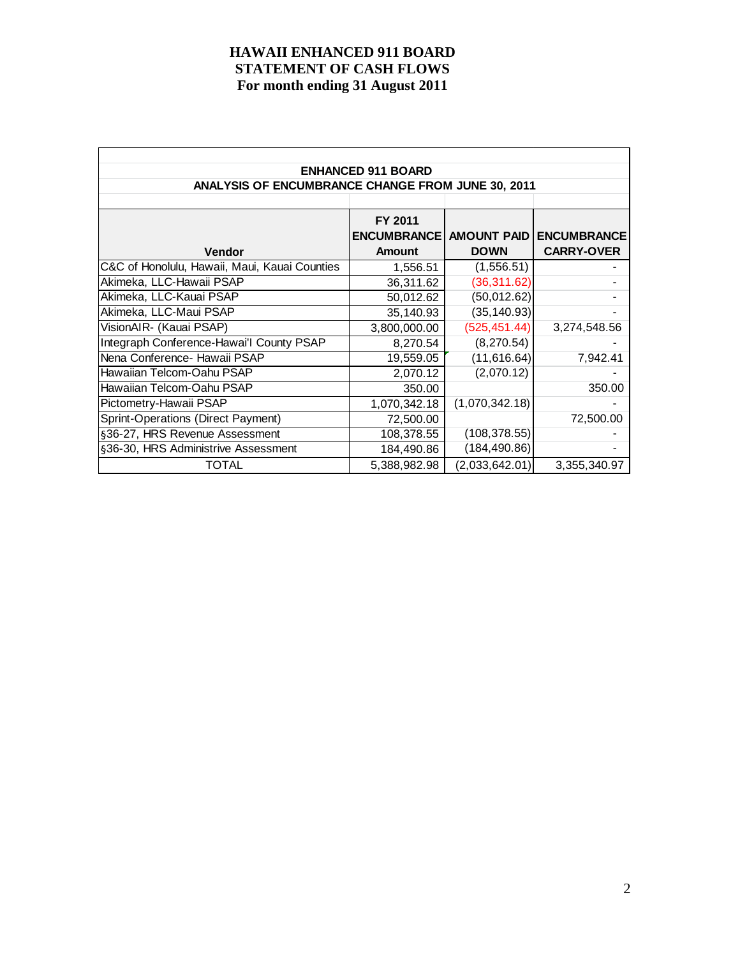|                                                   | <b>ENHANCED 911 BOARD</b>      |                |                    |
|---------------------------------------------------|--------------------------------|----------------|--------------------|
| ANALYSIS OF ENCUMBRANCE CHANGE FROM JUNE 30, 2011 |                                |                |                    |
|                                                   |                                |                |                    |
|                                                   | FY 2011                        |                |                    |
|                                                   | <b>ENCUMBRANCE AMOUNT PAID</b> |                | <b>ENCUMBRANCE</b> |
| Vendor                                            | <b>Amount</b>                  | <b>DOWN</b>    | <b>CARRY-OVER</b>  |
| C&C of Honolulu, Hawaii, Maui, Kauai Counties     | 1,556.51                       | (1,556.51)     |                    |
| Akimeka, LLC-Hawaii PSAP                          | 36,311.62                      | (36, 311.62)   |                    |
| Akimeka, LLC-Kauai PSAP                           | 50,012.62                      | (50, 012.62)   |                    |
| Akimeka, LLC-Maui PSAP                            | 35,140.93                      | (35, 140.93)   |                    |
| VisionAIR- (Kauai PSAP)                           | 3,800,000.00                   | (525, 451.44)  | 3,274,548.56       |
| Integraph Conference-Hawai'l County PSAP          | 8,270.54                       | (8, 270.54)    |                    |
| Nena Conference- Hawaii PSAP                      | 19,559.05                      | (11, 616.64)   | 7,942.41           |
| Hawaiian Telcom-Oahu PSAP                         | 2,070.12                       | (2,070.12)     |                    |
| Hawaiian Telcom-Oahu PSAP                         | 350.00                         |                | 350.00             |
| Pictometry-Hawaii PSAP                            | 1,070,342.18                   | (1,070,342.18) |                    |
| Sprint-Operations (Direct Payment)                | 72,500.00                      |                | 72,500.00          |
| §36-27, HRS Revenue Assessment                    | 108,378.55                     | (108, 378.55)  |                    |
| §36-30, HRS Administrive Assessment               | 184,490.86                     | (184, 490.86)  |                    |
| TOTAL                                             | 5,388,982.98                   | (2,033,642.01) | 3,355,340.97       |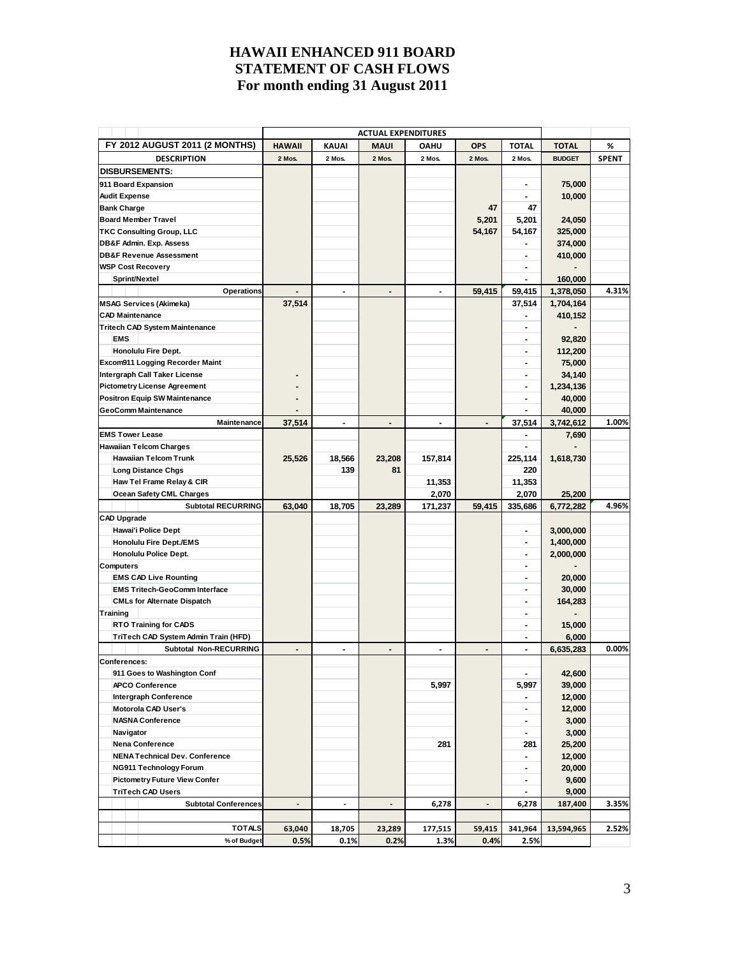| FY 2012 AUGUST 2011 (2 MONTHS)                                | <b>HAWAII</b>  | <b>KAUAI</b>   | <b>ACTUAL EXPENDITURES</b><br>MAUI | <b>OAHU</b>    | <b>OPS</b>     | <b>TOTAL</b>             | <b>TOTAL</b>       | %            |
|---------------------------------------------------------------|----------------|----------------|------------------------------------|----------------|----------------|--------------------------|--------------------|--------------|
| <b>DESCRIPTION</b>                                            | 2 Mos.         | 2 Mos.         | 2 Mos.                             | 2 Mos.         | 2 Mos.         | 2 Mos.                   | <b>BUDGET</b>      | <b>SPENT</b> |
| <b>DISBURSEMENTS:</b>                                         |                |                |                                    |                |                |                          |                    |              |
| 911 Board Expansion                                           |                |                |                                    |                |                | $\blacksquare$           | 75,000             |              |
| <b>Audit Expense</b>                                          |                |                |                                    |                |                |                          | 10,000             |              |
| <b>Bank Charge</b>                                            |                |                |                                    |                | 47             | 47                       |                    |              |
| <b>Board Member Travel</b>                                    |                |                |                                    |                |                |                          |                    |              |
|                                                               |                |                |                                    |                | 5,201          | 5,201                    | 24,050             |              |
| <b>TKC Consulting Group, LLC</b>                              |                |                |                                    |                | 54,167         | 54,167                   | 325,000<br>374,000 |              |
| DB&F Admin. Exp. Assess<br><b>DB&amp;F Revenue Assessment</b> |                |                |                                    |                |                | $\blacksquare$           |                    |              |
|                                                               |                |                |                                    |                |                |                          | 410,000            |              |
| <b>WSP Cost Recovery</b>                                      |                |                |                                    |                |                |                          |                    |              |
| Sprint/Nextel                                                 |                |                |                                    |                |                |                          | 160,000            |              |
| Operations                                                    |                |                | $\overline{a}$                     |                | 59,415         | 59,415                   | 1,378,050          | 4.31%        |
| <b>MSAG Services (Akimeka)</b>                                | 37,514         |                |                                    |                |                | 37,514                   | 1,704,164          |              |
| <b>CAD Maintenance</b>                                        |                |                |                                    |                |                |                          | 410,152            |              |
| <b>Tritech CAD System Maintenance</b>                         |                |                |                                    |                |                | $\blacksquare$           |                    |              |
| <b>EMS</b>                                                    |                |                |                                    |                |                | $\blacksquare$           | 92,820             |              |
| Honolulu Fire Dept.                                           |                |                |                                    |                |                | $\blacksquare$           | 112,200            |              |
| Excom911 Logging Recorder Maint                               |                |                |                                    |                |                | $\blacksquare$           | 75,000             |              |
| Intergraph Call Taker License                                 |                |                |                                    |                |                | $\blacksquare$           | 34,140             |              |
| <b>Pictometry License Agreement</b>                           |                |                |                                    |                |                |                          | 1,234,136          |              |
| <b>Positron Equip SW Maintenance</b>                          |                |                |                                    |                |                |                          | 40,000             |              |
| <b>GeoComm Maintenance</b>                                    |                |                |                                    |                |                |                          | 40,000             |              |
| <b>Maintenance</b>                                            | 37,514         | $\blacksquare$ | $\blacksquare$                     | $\blacksquare$ |                | 37,514                   | 3,742,612          | 1.00%        |
| <b>EMS Tower Lease</b>                                        |                |                |                                    |                |                |                          | 7,690              |              |
| <b>Hawaiian Telcom Charges</b>                                |                |                |                                    |                |                |                          |                    |              |
| <b>Hawaiian Telcom Trunk</b>                                  | 25,526         | 18,566         | 23,208                             | 157,814        |                | 225,114                  | 1,618,730          |              |
| <b>Long Distance Chgs</b>                                     |                | 139            | 81                                 |                |                | 220                      |                    |              |
| Haw Tel Frame Relay & CIR                                     |                |                |                                    | 11,353         |                | 11,353                   |                    |              |
| Ocean Safety CML Charges                                      |                |                |                                    | 2,070          |                | 2,070                    | 25,200             |              |
| <b>Subtotal RECURRING</b>                                     | 63,040         | 18,705         | 23,289                             | 171,237        | 59,415         | 335,686                  | 6,772,282          | 4.96%        |
| <b>CAD Upgrade</b>                                            |                |                |                                    |                |                |                          |                    |              |
| Hawai'i Police Dept                                           |                |                |                                    |                |                | $\blacksquare$           | 3,000,000          |              |
| <b>Honolulu Fire Dept./EMS</b>                                |                |                |                                    |                |                |                          | 1,400,000          |              |
| Honolulu Police Dept.                                         |                |                |                                    |                |                | $\blacksquare$           | 2,000,000          |              |
| <b>Computers</b>                                              |                |                |                                    |                |                | $\blacksquare$           |                    |              |
| <b>EMS CAD Live Rounting</b>                                  |                |                |                                    |                |                | $\blacksquare$           | 20,000             |              |
| <b>EMS Tritech-GeoComm Interface</b>                          |                |                |                                    |                |                |                          | 30,000             |              |
| <b>CMLs for Alternate Dispatch</b>                            |                |                |                                    |                |                | $\overline{\phantom{a}}$ |                    |              |
| Training                                                      |                |                |                                    |                |                | $\blacksquare$           | 164,283            |              |
|                                                               |                |                |                                    |                |                | $\blacksquare$           |                    |              |
| <b>RTO Training for CADS</b>                                  |                |                |                                    |                |                |                          | 15,000             |              |
| TriTech CAD System Admin Train (HFD)                          |                |                |                                    |                |                |                          | 6,000              |              |
| <b>Subtotal Non-RECURRING</b>                                 | $\overline{a}$ | $\blacksquare$ | $\blacksquare$                     | L,             | $\blacksquare$ | $\blacksquare$           | 6,635,283          | 0.00%        |
| <b>Conferences:</b>                                           |                |                |                                    |                |                |                          |                    |              |
| 911 Goes to Washington Conf                                   |                |                |                                    |                |                | $\blacksquare$           | 42,600             |              |
| <b>APCO Conference</b>                                        |                |                |                                    | 5,997          |                | 5,997                    | 39,000             |              |
| Intergraph Conference                                         |                |                |                                    |                |                |                          | 12,000             |              |
| Motorola CAD User's                                           |                |                |                                    |                |                | $\blacksquare$           | 12,000             |              |
| <b>NASNA Conference</b>                                       |                |                |                                    |                |                | $\blacksquare$           | 3,000              |              |
| Navigator                                                     |                |                |                                    |                |                | $\blacksquare$           | 3,000              |              |
| Nena Conference                                               |                |                |                                    | 281            |                | 281                      | 25,200             |              |
| <b>NENA Technical Dev. Conference</b>                         |                |                |                                    |                |                | $\blacksquare$           | 12,000             |              |
| <b>NG911 Technology Forum</b>                                 |                |                |                                    |                |                | $\blacksquare$           | 20,000             |              |
| <b>Pictometry Future View Confer</b>                          |                |                |                                    |                |                | ۰.                       | 9,600              |              |
| <b>TriTech CAD Users</b>                                      |                |                |                                    |                |                | ۰.                       | 9,000              |              |
| <b>Subtotal Conferences</b>                                   | $\overline{a}$ | $\centerdot$   | $\overline{a}$                     | 6,278          |                | 6,278                    | 187,400            | 3.35%        |
|                                                               |                |                |                                    |                |                |                          |                    |              |
| <b>TOTALS</b>                                                 | 63,040         | 18,705         | 23,289                             | 177,515        | 59,415         | 341,964                  | 13,594,965         | 2.52%        |
| % of Budget                                                   | 0.5%           | 0.1%           | 0.2%                               | 1.3%           | 0.4%           | 2.5%                     |                    |              |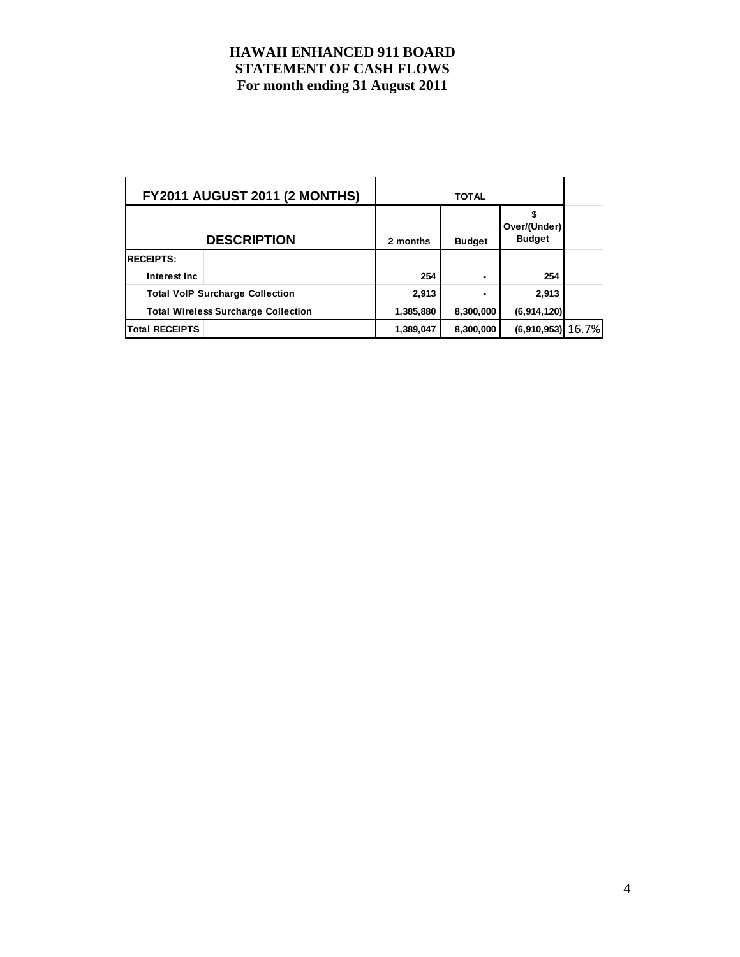|                       | <b>FY2011 AUGUST 2011 (2 MONTHS)</b>       |           |               |                               |  |
|-----------------------|--------------------------------------------|-----------|---------------|-------------------------------|--|
|                       | <b>DESCRIPTION</b>                         | 2 months  | <b>Budget</b> | Over/(Under)<br><b>Budget</b> |  |
| <b>RECEIPTS:</b>      |                                            |           |               |                               |  |
| Interest Inc.         |                                            | 254       |               | 254                           |  |
|                       | <b>Total VoIP Surcharge Collection</b>     | 2,913     |               | 2,913                         |  |
|                       | <b>Total Wireless Surcharge Collection</b> | 1,385,880 | 8,300,000     | (6,914,120)                   |  |
| <b>Total RECEIPTS</b> |                                            | 1,389,047 | 8,300,000     | $(6,910,953)$ 16.7%           |  |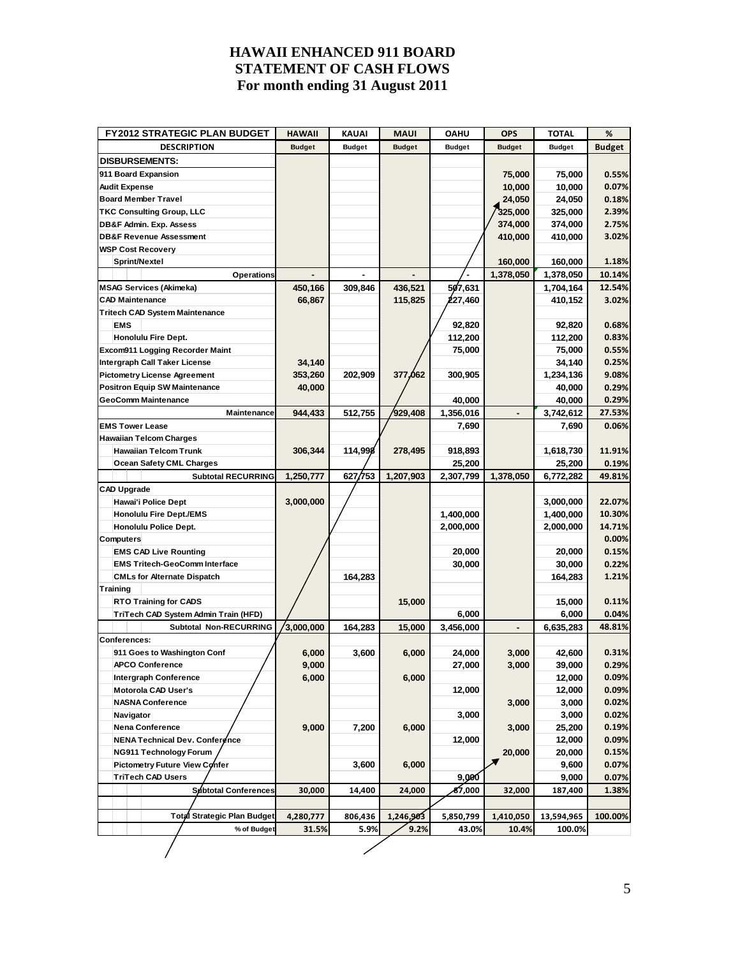| <b>FY2012 STRATEGIC PLAN BUDGET</b>    | <b>HAWAII</b> | KAUAI         | <b>MAUI</b>   | <b>OAHU</b>   | <b>OPS</b>    | <b>TOTAL</b>  | %             |
|----------------------------------------|---------------|---------------|---------------|---------------|---------------|---------------|---------------|
| <b>DESCRIPTION</b>                     | <b>Budget</b> | <b>Budget</b> | <b>Budget</b> | <b>Budget</b> | <b>Budget</b> | <b>Budget</b> | <b>Budget</b> |
| <b>DISBURSEMENTS:</b>                  |               |               |               |               |               |               |               |
| 911 Board Expansion                    |               |               |               |               | 75,000        | 75,000        | 0.55%         |
| <b>Audit Expense</b>                   |               |               |               |               | 10,000        | 10,000        | 0.07%         |
| <b>Board Member Travel</b>             |               |               |               |               | 24,050        | 24,050        | 0.18%         |
| <b>TKC Consulting Group, LLC</b>       |               |               |               |               | 325,000       | 325,000       | 2.39%         |
| DB&F Admin. Exp. Assess                |               |               |               |               | 374,000       | 374,000       | 2.75%         |
| <b>DB&amp;F Revenue Assessment</b>     |               |               |               |               | 410,000       | 410,000       | 3.02%         |
| <b>WSP Cost Recovery</b>               |               |               |               |               |               |               |               |
| Sprint/Nextel                          |               |               |               |               | 160,000       | 160,000       | 1.18%         |
| Operations                             |               |               |               |               | 1,378,050     | 1,378,050     | 10.14%        |
| <b>MSAG Services (Akimeka)</b>         | 450,166       | 309,846       | 436,521       | 507,631       |               | 1,704,164     | 12.54%        |
| <b>CAD Maintenance</b>                 | 66,867        |               | 115,825       | 227,460       |               | 410,152       | 3.02%         |
| <b>Tritech CAD System Maintenance</b>  |               |               |               |               |               |               |               |
| <b>EMS</b>                             |               |               |               | 92,820        |               | 92,820        | 0.68%         |
| Honolulu Fire Dept.                    |               |               |               | 112,200       |               | 112,200       | 0.83%         |
| <b>Excom911 Logging Recorder Maint</b> |               |               |               | 75,000        |               | 75,000        | 0.55%         |
| Intergraph Call Taker License          | 34,140        |               |               |               |               | 34,140        | 0.25%         |
| <b>Pictometry License Agreement</b>    | 353,260       | 202,909       | 377,062       | 300,905       |               | 1,234,136     | 9.08%         |
| <b>Positron Equip SW Maintenance</b>   | 40,000        |               |               |               |               | 40,000        | 0.29%         |
| <b>GeoComm Maintenance</b>             |               |               |               | 40,000        |               | 40,000        | 0.29%         |
| Maintenance                            | 944,433       | 512,755       | 929.408       | 1,356,016     |               | 3,742,612     | 27.53%        |
| <b>EMS Tower Lease</b>                 |               |               |               | 7,690         |               | 7,690         | 0.06%         |
| <b>Hawaiian Telcom Charges</b>         |               |               |               |               |               |               |               |
| <b>Hawaiian Telcom Trunk</b>           | 306,344       | 114,998       | 278,495       | 918,893       |               | 1,618,730     | 11.91%        |
| <b>Ocean Safety CML Charges</b>        |               |               |               | 25,200        |               | 25,200        | 0.19%         |
| <b>Subtotal RECURRING</b>              | 1,250,777     | 627/753       | 1,207,903     | 2,307,799     | 1,378,050     | 6,772,282     | 49.81%        |
| <b>CAD Upgrade</b>                     |               |               |               |               |               |               |               |
| Hawai'i Police Dept                    | 3,000,000     |               |               |               |               | 3,000,000     | 22.07%        |
| <b>Honolulu Fire Dept./EMS</b>         |               |               |               | 1,400,000     |               | 1,400,000     | 10.30%        |
| Honolulu Police Dept.                  |               |               |               | 2,000,000     |               | 2,000,000     | 14.71%        |
| <b>Computers</b>                       |               |               |               |               |               |               | 0.00%         |
| <b>EMS CAD Live Rounting</b>           |               |               |               | 20,000        |               | 20,000        | 0.15%         |
| <b>EMS Tritech-GeoComm Interface</b>   |               |               |               | 30,000        |               | 30,000        | 0.22%         |
| <b>CMLs for Alternate Dispatch</b>     |               | 164,283       |               |               |               | 164,283       | 1.21%         |
| Training                               |               |               |               |               |               |               |               |
| <b>RTO Training for CADS</b>           |               |               | 15,000        |               |               | 15,000        | 0.11%         |
| TriTech CAD System Admin Train (HFD)   |               |               |               | 6,000         |               | 6,000         | 0.04%         |
| <b>Subtotal Non-RECURRING</b>          | 3,000,000     | 164,283       | 15,000        | 3,456,000     |               | 6,635,283     | 48.81%        |
| Conferences:                           |               |               |               |               |               |               |               |
| 911 Goes to Washington Conf            | 6,000         | 3,600         | 6,000         | 24,000        | 3,000         | 42,600        | 0.31%         |
| APCO Conference                        | 9,000         |               |               | 27,000        | 3,000         | 39,000        | 0.29%         |
| Intergraph Conference                  | 6,000         |               | 6,000         |               |               | 12,000        | 0.09%         |
| Motorola CAD User's                    |               |               |               | 12,000        |               | 12,000        | 0.09%         |
| <b>NASNA Conference</b>                |               |               |               |               | 3,000         | 3,000         | 0.02%         |
| Navigator                              |               |               |               | 3,000         |               | 3,000         | 0.02%         |
| Nena Conference                        | 9,000         | 7,200         | 6,000         |               | 3,000         | 25,200        | 0.19%         |
| NENA Technical Dev. Conference         |               |               |               | 12,000        |               | 12,000        | 0.09%         |
| <b>NG911 Technology Forum</b>          |               |               |               |               | 20,000        | 20,000        | 0.15%         |
| Pictometry Future View Confer          |               | 3,600         | 6,000         |               | ×             | 9,600         | 0.07%         |
| <b>TriTech CAD Users</b>               |               |               |               | 9,000         |               | 9,000         | 0.07%         |
| <b>Subtotal Conferences</b>            | 30,000        | 14,400        | 24,000        | శ7,000        | 32,000        | 187,400       | 1.38%         |
|                                        |               |               |               |               |               |               |               |
| Total Strategic Plan Budget            | 4,280,777     | 806,436       | 1,246,903     | 5,850,799     | 1,410,050     | 13,594,965    | 100.00%       |
| % of Budget                            | 31.5%         | 5.9%          | 9.2%          | 43.0%         | 10.4%         | 100.0%        |               |
|                                        |               |               |               |               |               |               |               |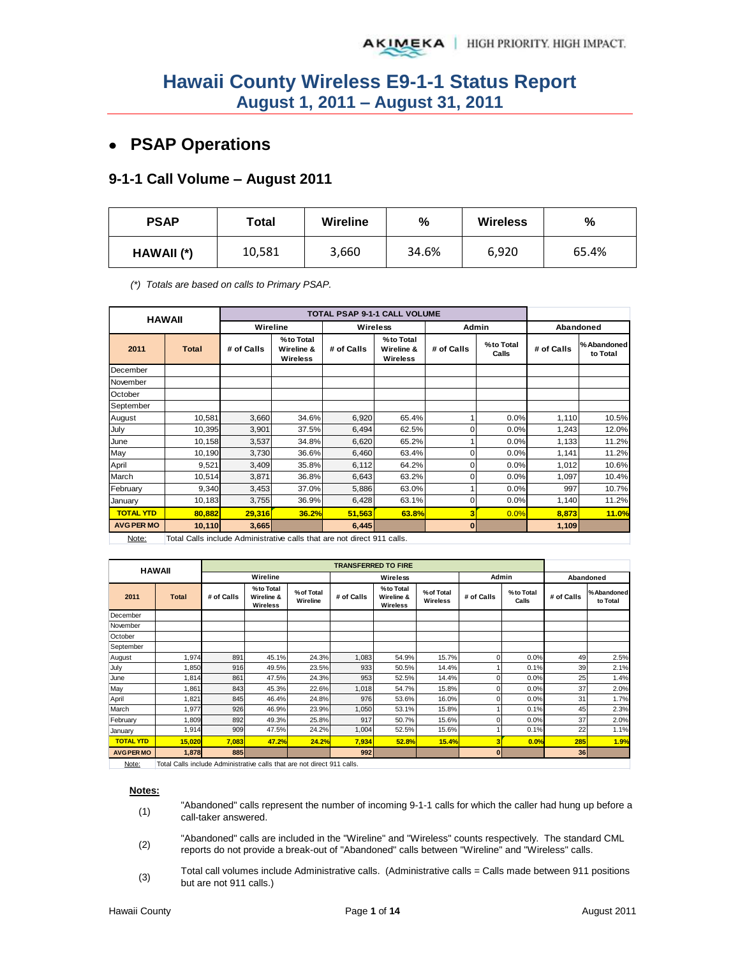# **PSAP Operations**

#### **9-1-1 Call Volume – August 2011**

| <b>PSAP</b> | Total  | <b>Wireline</b> | $\%$  | <b>Wireless</b> | %     |
|-------------|--------|-----------------|-------|-----------------|-------|
| HAWAII (*)  | 10,581 | 3,660           | 34.6% | 6,920           | 65.4% |

*(\*) Totals are based on calls to Primary PSAP.* 

|                   | <b>HAWAII</b> |            |                                     |            | <b>TOTAL PSAP 9-1-1 CALL VOLUME</b> |            |                    |            |                         |
|-------------------|---------------|------------|-------------------------------------|------------|-------------------------------------|------------|--------------------|------------|-------------------------|
|                   |               | Wireline   |                                     | Wireless   |                                     | Admin      |                    |            | Abandoned               |
| 2011              | <b>Total</b>  | # of Calls | %to Total<br>Wireline &<br>Wireless | # of Calls | %to Total<br>Wireline &<br>Wireless | # of Calls | %to Total<br>Calls | # of Calls | % Abandoned<br>to Total |
| December          |               |            |                                     |            |                                     |            |                    |            |                         |
| November          |               |            |                                     |            |                                     |            |                    |            |                         |
| October           |               |            |                                     |            |                                     |            |                    |            |                         |
| September         |               |            |                                     |            |                                     |            |                    |            |                         |
| August            | 10,581        | 3,660      | 34.6%                               | 6,920      | 65.4%                               |            | 0.0%               | 1,110      | 10.5%                   |
| July              | 10,395        | 3,901      | 37.5%                               | 6,494      | 62.5%                               | 0          | 0.0%               | 1,243      | 12.0%                   |
| June              | 10,158        | 3,537      | 34.8%                               | 6,620      | 65.2%                               |            | 0.0%               | 1,133      | 11.2%                   |
| May               | 10,190        | 3,730      | 36.6%                               | 6,460      | 63.4%                               | 0          | 0.0%               | 1,141      | 11.2%                   |
| April             | 9,521         | 3,409      | 35.8%                               | 6,112      | 64.2%                               | $\Omega$   | 0.0%               | 1,012      | 10.6%                   |
| March             | 10,514        | 3,871      | 36.8%                               | 6,643      | 63.2%                               | $\Omega$   | 0.0%               | 1,097      | 10.4%                   |
| February          | 9,340         | 3,453      | 37.0%                               | 5,886      | 63.0%                               |            | 0.0%               | 997        | 10.7%                   |
| January           | 10,183        | 3,755      | 36.9%                               | 6,428      | 63.1%                               | 0          | 0.0%               | 1,140      | 11.2%                   |
| <b>TOTAL YTD</b>  | 80,882        | 29,316     | 36.2%                               | 51,563     | 63.8%                               | 3          | 0.0%               | 8,873      | 11.0%                   |
| <b>AVG PER MO</b> | 10,110        | 3,665      |                                     | 6,445      |                                     | $\bf{0}$   |                    | 1,109      |                         |

Note: Total Calls include Administrative calls that are not direct 911 calls.

| <b>HAWAII</b>     |              |            |                                      |                        | <b>TRANSFERRED TO FIRE</b> |                                             |                        |              |                    |            |                        |
|-------------------|--------------|------------|--------------------------------------|------------------------|----------------------------|---------------------------------------------|------------------------|--------------|--------------------|------------|------------------------|
|                   |              |            | Wireline                             |                        | Wireless                   |                                             |                        | Admin        |                    | Abandoned  |                        |
| 2011              | <b>Total</b> | # of Calls | % to Total<br>Wireline &<br>Wireless | % of Total<br>Wireline | # of Calls                 | % to Total<br>Wireline &<br><b>Wireless</b> | % of Total<br>Wireless | # of Calls   | %to Total<br>Calls | # of Calls | %Abandoned<br>to Total |
| December          |              |            |                                      |                        |                            |                                             |                        |              |                    |            |                        |
| November          |              |            |                                      |                        |                            |                                             |                        |              |                    |            |                        |
| October           |              |            |                                      |                        |                            |                                             |                        |              |                    |            |                        |
| September         |              |            |                                      |                        |                            |                                             |                        |              |                    |            |                        |
| August            | 1,974        | 891        | 45.1%                                | 24.3%                  | 1,083                      | 54.9%                                       | 15.7%                  | $\Omega$     | 0.0%               | 49         | 2.5%                   |
| July              | 1,850        | 916        | 49.5%                                | 23.5%                  | 933                        | 50.5%                                       | 14.4%                  |              | 0.1%               | 39         | 2.1%                   |
| June              | 1,814        | 861        | 47.5%                                | 24.3%                  | 953                        | 52.5%                                       | 14.4%                  | 0            | 0.0%               | 25         | 1.4%                   |
| May               | 1,861        | 843        | 45.3%                                | 22.6%                  | 1,018                      | 54.7%                                       | 15.8%                  | 0            | 0.0%               | 37         | 2.0%                   |
| April             | 1,821        | 845        | 46.4%                                | 24.8%                  | 976                        | 53.6%                                       | 16.0%                  |              | 0.0%               | 31         | 1.7%                   |
| March             | 1,977        | 926        | 46.9%                                | 23.9%                  | 1,050                      | 53.1%                                       | 15.8%                  |              | 0.1%               | 45         | 2.3%                   |
| February          | 1,809        | 892        | 49.3%                                | 25.8%                  | 917                        | 50.7%                                       | 15.6%                  | 0            | 0.0%               | 37         | 2.0%                   |
| January           | 1,914        | 909        | 47.5%                                | 24.2%                  | 1,004                      | 52.5%                                       | 15.6%                  |              | 0.1%               | 22         | 1.1%                   |
| <b>TOTAL YTD</b>  | 15,020       | 7,083      | 47.2%                                | 24.2%                  | 7,934                      | 52.8%                                       | 15.4%                  | 3            | 0.0%               | 285        | 1.9%                   |
| <b>AVG PER MO</b> | 1,878        | 885        |                                      |                        | 992                        |                                             |                        | $\mathbf{0}$ |                    | 36         |                        |

Note: | Total Calls include Administrative calls that are not direct 911 calls.

**Notes:**

- (1) "Abandoned" calls represent the number of incoming 9-1-1 calls for which the caller had hung up before a call-taker answered.
- (2) "Abandoned" calls are included in the "Wireline" and "Wireless" counts respectively. The standard CML reports do not provide a break-out of "Abandoned" calls between "Wireline" and "Wireless" calls.
- (3) Total call volumes include Administrative calls. (Administrative calls = Calls made between 911 positions but are not 911 calls.)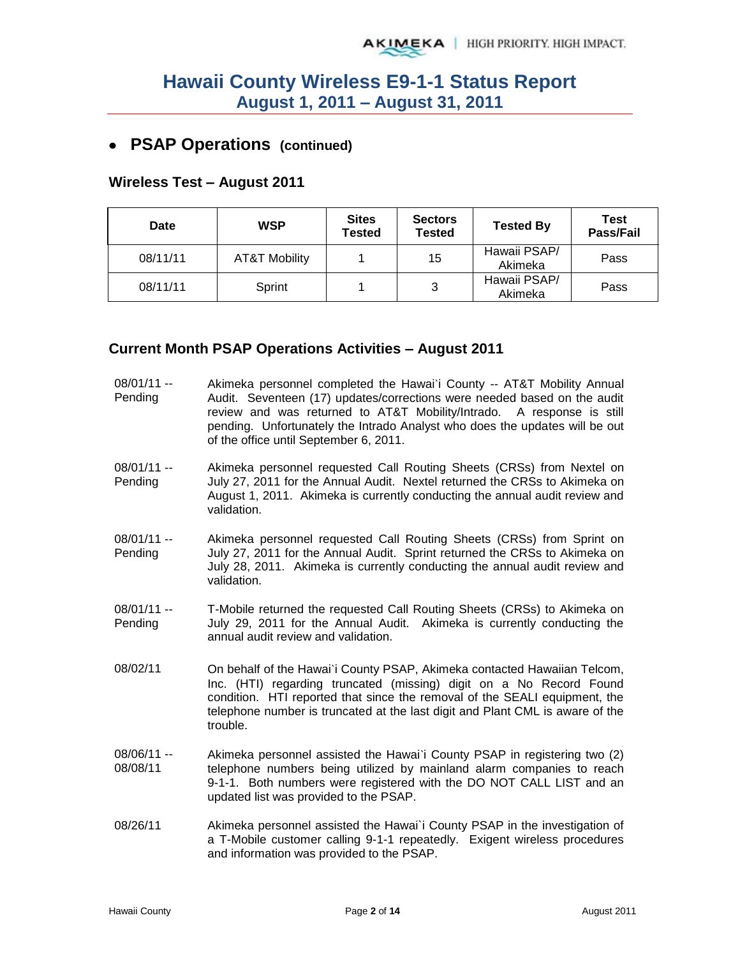# **PSAP Operations (continued)**

### **Wireless Test – August 2011**

| Date     | <b>WSP</b>    | <b>Sites</b><br>Tested | <b>Sectors</b><br>Tested | <b>Tested By</b>        | <b>Test</b><br><b>Pass/Fail</b> |
|----------|---------------|------------------------|--------------------------|-------------------------|---------------------------------|
| 08/11/11 | AT&T Mobility |                        | 15                       | Hawaii PSAP/<br>Akimeka | Pass                            |
| 08/11/11 | Sprint        |                        | 3                        | Hawaii PSAP/<br>Akimeka | Pass                            |

### **Current Month PSAP Operations Activities – August 2011**

| $08/01/11 -$<br>Pending | Akimeka personnel completed the Hawai'i County -- AT&T Mobility Annual<br>Audit. Seventeen (17) updates/corrections were needed based on the audit<br>review and was returned to AT&T Mobility/Intrado. A response is still<br>pending. Unfortunately the Intrado Analyst who does the updates will be out<br>of the office until September 6, 2011. |
|-------------------------|------------------------------------------------------------------------------------------------------------------------------------------------------------------------------------------------------------------------------------------------------------------------------------------------------------------------------------------------------|
| $08/01/11 -$<br>Pending | Akimeka personnel requested Call Routing Sheets (CRSs) from Nextel on<br>July 27, 2011 for the Annual Audit. Nextel returned the CRSs to Akimeka on<br>August 1, 2011. Akimeka is currently conducting the annual audit review and<br>validation.                                                                                                    |
| $08/01/11 -$<br>Pending | Akimeka personnel requested Call Routing Sheets (CRSs) from Sprint on<br>July 27, 2011 for the Annual Audit. Sprint returned the CRSs to Akimeka on<br>July 28, 2011. Akimeka is currently conducting the annual audit review and<br>validation.                                                                                                     |
| $08/01/11 -$<br>Pending | T-Mobile returned the requested Call Routing Sheets (CRSs) to Akimeka on<br>July 29, 2011 for the Annual Audit. Akimeka is currently conducting the<br>annual audit review and validation.                                                                                                                                                           |
| 08/02/11                | On behalf of the Hawai'i County PSAP, Akimeka contacted Hawaiian Telcom,<br>Inc. (HTI) regarding truncated (missing) digit on a No Record Found<br>condition. HTI reported that since the removal of the SEALI equipment, the<br>telephone number is truncated at the last digit and Plant CML is aware of the<br>trouble.                           |
| 08/06/11 --<br>08/08/11 | Akimeka personnel assisted the Hawai'i County PSAP in registering two (2)<br>telephone numbers being utilized by mainland alarm companies to reach<br>9-1-1. Both numbers were registered with the DO NOT CALL LIST and an<br>updated list was provided to the PSAP.                                                                                 |
| 08/26/11                | Akimeka personnel assisted the Hawai'i County PSAP in the investigation of<br>a T-Mobile customer calling 9-1-1 repeatedly. Exigent wireless procedures                                                                                                                                                                                              |

and information was provided to the PSAP.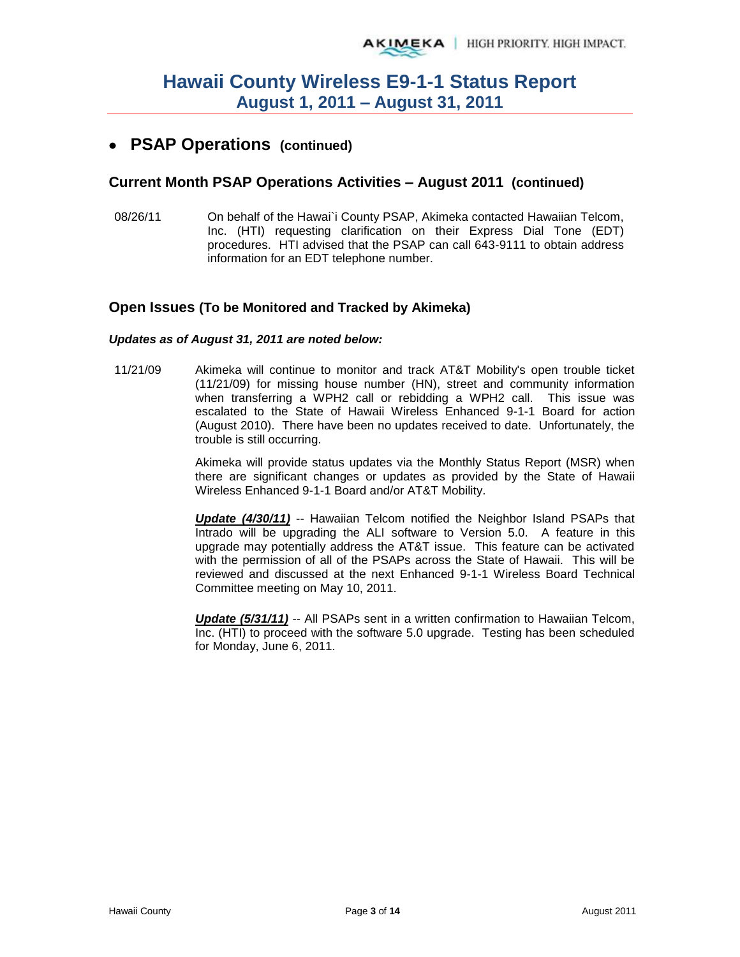## **PSAP Operations (continued)**

#### **Current Month PSAP Operations Activities – August 2011 (continued)**

08/26/11 On behalf of the Hawai`i County PSAP, Akimeka contacted Hawaiian Telcom, Inc. (HTI) requesting clarification on their Express Dial Tone (EDT) procedures. HTI advised that the PSAP can call 643-9111 to obtain address information for an EDT telephone number.

#### **Open Issues (To be Monitored and Tracked by Akimeka)**

#### *Updates as of August 31, 2011 are noted below:*

11/21/09 Akimeka will continue to monitor and track AT&T Mobility's open trouble ticket (11/21/09) for missing house number (HN), street and community information when transferring a WPH2 call or rebidding a WPH2 call. This issue was escalated to the State of Hawaii Wireless Enhanced 9-1-1 Board for action (August 2010). There have been no updates received to date. Unfortunately, the trouble is still occurring.

> Akimeka will provide status updates via the Monthly Status Report (MSR) when there are significant changes or updates as provided by the State of Hawaii Wireless Enhanced 9-1-1 Board and/or AT&T Mobility.

> *Update (4/30/11)* -- Hawaiian Telcom notified the Neighbor Island PSAPs that Intrado will be upgrading the ALI software to Version 5.0. A feature in this upgrade may potentially address the AT&T issue. This feature can be activated with the permission of all of the PSAPs across the State of Hawaii. This will be reviewed and discussed at the next Enhanced 9-1-1 Wireless Board Technical Committee meeting on May 10, 2011.

> *Update (5/31/11)* -- All PSAPs sent in a written confirmation to Hawaiian Telcom, Inc. (HTI) to proceed with the software 5.0 upgrade. Testing has been scheduled for Monday, June 6, 2011.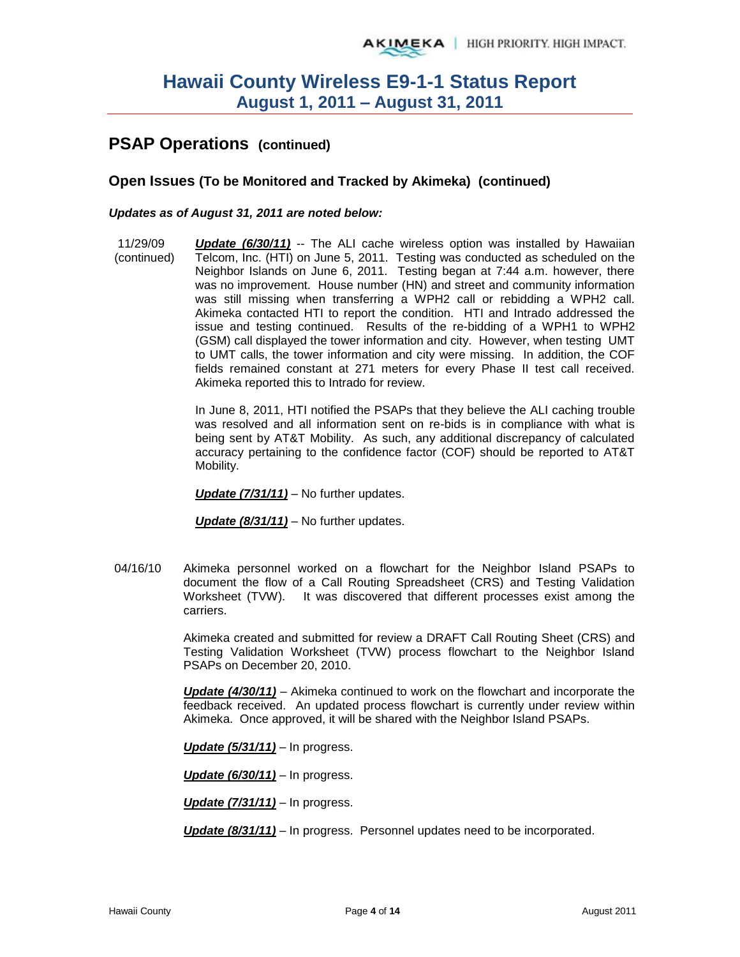# **PSAP Operations (continued)**

#### **Open Issues (To be Monitored and Tracked by Akimeka) (continued)**

#### *Updates as of August 31, 2011 are noted below:*

11/29/09 (continued) *Update (6/30/11)* -- The ALI cache wireless option was installed by Hawaiian Telcom, Inc. (HTI) on June 5, 2011. Testing was conducted as scheduled on the Neighbor Islands on June 6, 2011. Testing began at 7:44 a.m. however, there was no improvement. House number (HN) and street and community information was still missing when transferring a WPH2 call or rebidding a WPH2 call. Akimeka contacted HTI to report the condition. HTI and Intrado addressed the issue and testing continued. Results of the re-bidding of a WPH1 to WPH2 (GSM) call displayed the tower information and city. However, when testing UMT to UMT calls, the tower information and city were missing. In addition, the COF fields remained constant at 271 meters for every Phase II test call received. Akimeka reported this to Intrado for review.

> In June 8, 2011, HTI notified the PSAPs that they believe the ALI caching trouble was resolved and all information sent on re-bids is in compliance with what is being sent by AT&T Mobility. As such, any additional discrepancy of calculated accuracy pertaining to the confidence factor (COF) should be reported to AT&T Mobility.

*Update (7/31/11)* – No further updates.

*Update (8/31/11)* – No further updates.

04/16/10 Akimeka personnel worked on a flowchart for the Neighbor Island PSAPs to document the flow of a Call Routing Spreadsheet (CRS) and Testing Validation Worksheet (TVW). It was discovered that different processes exist among the carriers.

> Akimeka created and submitted for review a DRAFT Call Routing Sheet (CRS) and Testing Validation Worksheet (TVW) process flowchart to the Neighbor Island PSAPs on December 20, 2010.

> *Update (4/30/11)* – Akimeka continued to work on the flowchart and incorporate the feedback received. An updated process flowchart is currently under review within Akimeka. Once approved, it will be shared with the Neighbor Island PSAPs.

*Update (5/31/11)* – In progress.

*Update (6/30/11)* – In progress.

*Update (7/31/11)* – In progress.

*Update (8/31/11)* – In progress. Personnel updates need to be incorporated.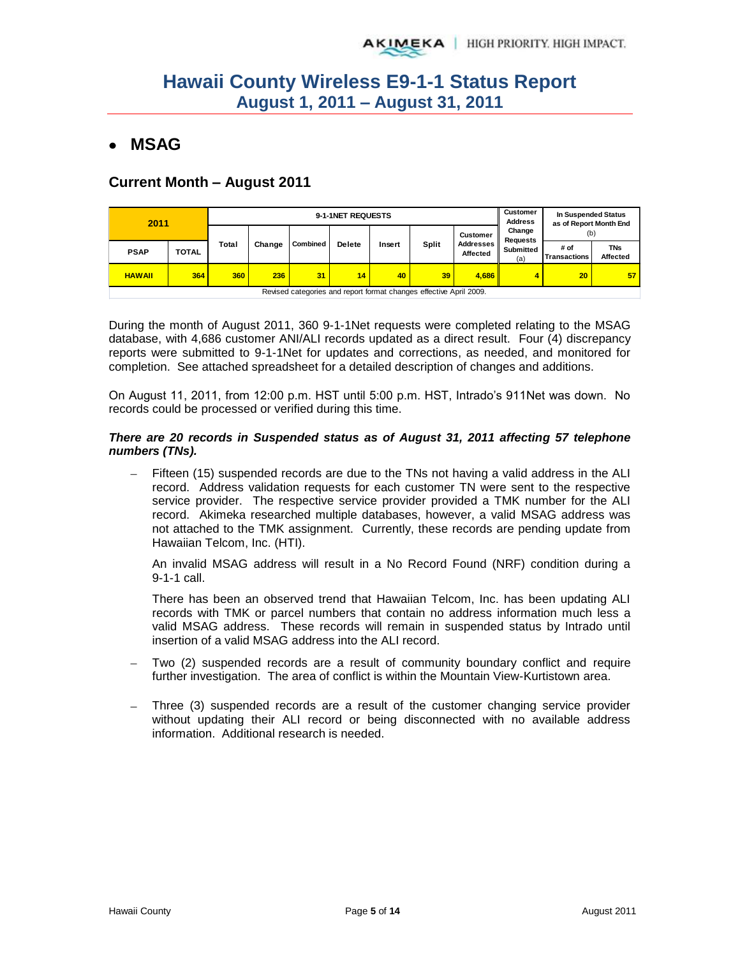# **MSAG**

### **Current Month – August 2011**

| 2011          |                                                                    |       | 9-1-1NET REQUESTS |          |               |        |              |                              |                           | In Suspended Status<br>as of Report Month End                |    |
|---------------|--------------------------------------------------------------------|-------|-------------------|----------|---------------|--------|--------------|------------------------------|---------------------------|--------------------------------------------------------------|----|
|               |                                                                    |       |                   |          |               |        |              | <b>Customer</b>              | Change<br><b>Requests</b> | (b)                                                          |    |
| <b>PSAP</b>   | <b>TOTAL</b>                                                       | Total | Change            | Combined | <b>Delete</b> | Insert | <b>Split</b> | <b>Addresses</b><br>Affected | Submitted<br>(a)          | # of<br><b>TNs</b><br><b>Affected</b><br><b>Transactions</b> |    |
| <b>HAWAII</b> | 364                                                                | 360   | 236               | 31       | 14            | 40     | 39           | 4.686                        |                           | 20                                                           | 57 |
|               | Revised categories and report format changes effective April 2009. |       |                   |          |               |        |              |                              |                           |                                                              |    |

During the month of August 2011, 360 9-1-1Net requests were completed relating to the MSAG database, with 4,686 customer ANI/ALI records updated as a direct result. Four (4) discrepancy reports were submitted to 9-1-1Net for updates and corrections, as needed, and monitored for completion. See attached spreadsheet for a detailed description of changes and additions.

On August 11, 2011, from 12:00 p.m. HST until 5:00 p.m. HST, Intrado's 911Net was down. No records could be processed or verified during this time.

#### *There are 20 records in Suspended status as of August 31, 2011 affecting 57 telephone numbers (TNs).*

 Fifteen (15) suspended records are due to the TNs not having a valid address in the ALI record. Address validation requests for each customer TN were sent to the respective service provider. The respective service provider provided a TMK number for the ALI record. Akimeka researched multiple databases, however, a valid MSAG address was not attached to the TMK assignment. Currently, these records are pending update from Hawaiian Telcom, Inc. (HTI).

An invalid MSAG address will result in a No Record Found (NRF) condition during a 9-1-1 call.

There has been an observed trend that Hawaiian Telcom, Inc. has been updating ALI records with TMK or parcel numbers that contain no address information much less a valid MSAG address. These records will remain in suspended status by Intrado until insertion of a valid MSAG address into the ALI record.

- Two (2) suspended records are a result of community boundary conflict and require further investigation. The area of conflict is within the Mountain View-Kurtistown area.
- Three (3) suspended records are a result of the customer changing service provider without updating their ALI record or being disconnected with no available address information. Additional research is needed.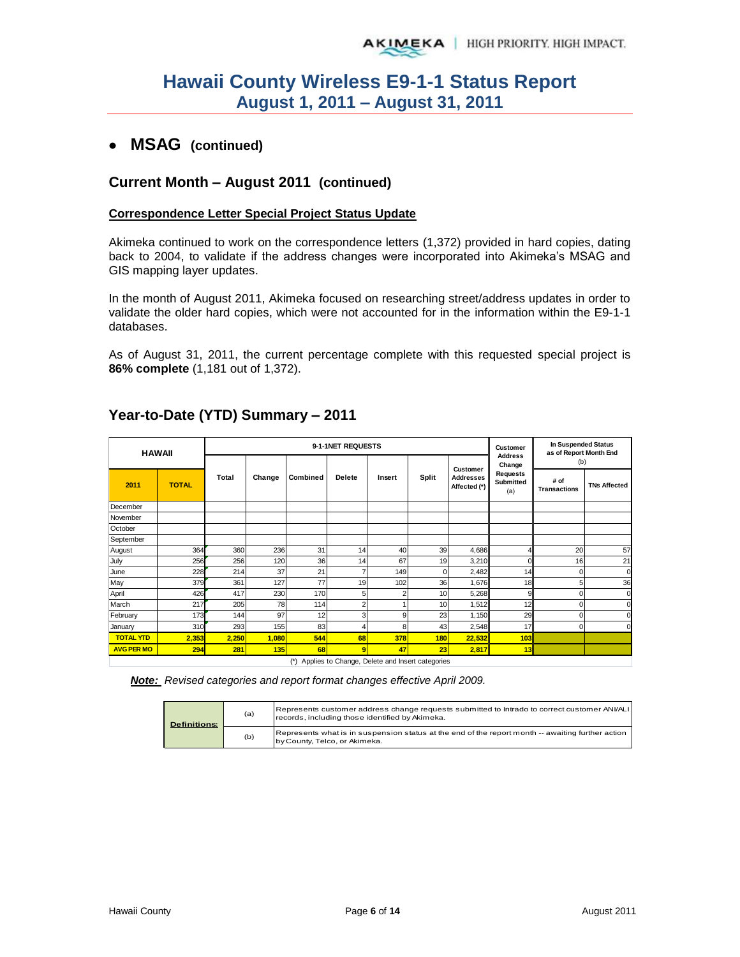### **MSAG (continued)**

#### **Current Month – August 2011 (continued)**

#### **Correspondence Letter Special Project Status Update**

Akimeka continued to work on the correspondence letters (1,372) provided in hard copies, dating back to 2004, to validate if the address changes were incorporated into Akimeka's MSAG and GIS mapping layer updates.

In the month of August 2011, Akimeka focused on researching street/address updates in order to validate the older hard copies, which were not accounted for in the information within the E9-1-1 databases.

As of August 31, 2011, the current percentage complete with this requested special project is **86% complete** (1,181 out of 1,372).

|                   | <b>HAWAII</b> |              |        |          | 9-1-1NET REQUESTS       |        |          |                                  | Customer                 | In Suspended Status<br>as of Report Month End |                     |
|-------------------|---------------|--------------|--------|----------|-------------------------|--------|----------|----------------------------------|--------------------------|-----------------------------------------------|---------------------|
|                   |               |              |        |          |                         |        |          | Customer                         | <b>Address</b><br>Change | (b)                                           |                     |
| 2011              | <b>TOTAL</b>  | <b>Total</b> | Change | Combined |                         | Insert | Split    | <b>Addresses</b><br>Affected (*) |                          | # of<br><b>Transactions</b>                   | <b>TNs Affected</b> |
| December          |               |              |        |          |                         |        |          |                                  |                          |                                               |                     |
| November          |               |              |        |          |                         |        |          |                                  |                          |                                               |                     |
| October           |               |              |        |          |                         |        |          |                                  |                          |                                               |                     |
| September         |               |              |        |          |                         |        |          |                                  |                          |                                               |                     |
| August            | 364           | 360          | 236    | 31       | 14                      | 40     | 39       | 4,686                            | $\overline{4}$           | 20                                            | 57                  |
| July              | 256           | 256          | 120    | 36       | 14                      | 67     | 19       | 3,210                            | $\mathbf 0$              | 16                                            | 21                  |
| June              | 228           | 214          | 37     | 21       | $\overline{7}$          | 149    | $\Omega$ | 2,482                            | 14                       | $\Omega$                                      | $\Omega$            |
| May               | 379           | 361          | 127    | 77       | 19                      | 102    | 36       | 1,676                            | 18                       | 5                                             | 36                  |
| April             | 426           | 417          | 230    | 170      | 5                       | 2      | 10       | 5,268                            | 9                        | $\Omega$                                      | O                   |
| March             | 217           | 205          | 78     | 114      | $\overline{\mathbf{c}}$ |        | 10       | 1,512                            | 12                       | $\Omega$                                      | $\Omega$            |
| February          | 173           | 144          | 97     | 12       | $\mathbf{3}$            | 9      | 23       | 1,150                            | 29                       | $\Omega$                                      | $\Omega$            |
| January           | 310           | 293          | 155    | 83       | 4                       | 8      | 43       | 2,548                            | 17                       | $\Omega$                                      | C                   |
| <b>TOTAL YTD</b>  | 2,353         | 2,250        | 1,080  | 544      | 68                      | 378    | 180      | 22,532                           | 103                      |                                               |                     |
| <b>AVG PER MO</b> | 294           | 281          | 135    | 68       | 9                       | 47     | 23       | 2,817                            | 13                       |                                               |                     |

### **Year-to-Date (YTD) Summary – 2011**

(\*) Applies to Change, Delete and Insert categories

*Note: Revised categories and report format changes effective April 2009.*

| <b>Definitions:</b> | (a) | Represents customer address change requests submitted to Intrado to correct customer ANI/ALI<br>records, including those identified by Akimeka. |
|---------------------|-----|-------------------------------------------------------------------------------------------------------------------------------------------------|
|                     | (b) | Represents what is in suspension status at the end of the report month -- awaiting further action<br>by County, Telco, or Akimeka.              |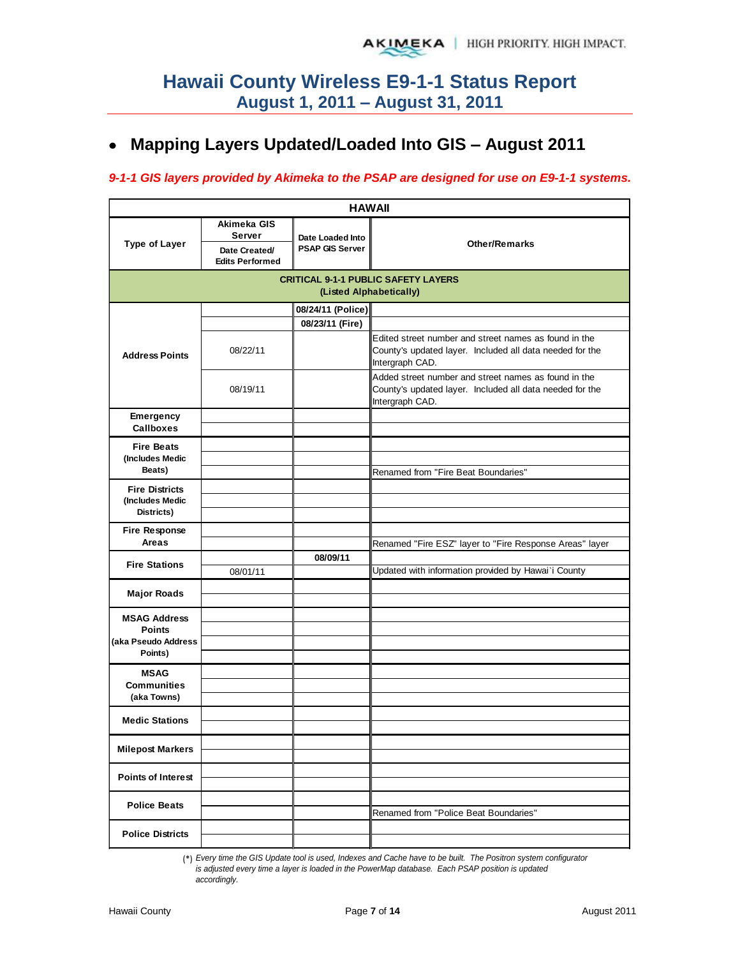# **Mapping Layers Updated/Loaded Into GIS – August 2011**

#### *9-1-1 GIS layers provided by Akimeka to the PSAP are designed for use on E9-1-1 systems.*

| <b>HAWAII</b>                                                          |                                                                  |                                            |                                                                                                                                      |  |  |  |  |  |  |  |
|------------------------------------------------------------------------|------------------------------------------------------------------|--------------------------------------------|--------------------------------------------------------------------------------------------------------------------------------------|--|--|--|--|--|--|--|
| <b>Type of Layer</b>                                                   | Akimeka GIS<br>Server<br>Date Created/<br><b>Edits Performed</b> | Date Loaded Into<br><b>PSAP GIS Server</b> | <b>Other/Remarks</b>                                                                                                                 |  |  |  |  |  |  |  |
| <b>CRITICAL 9-1-1 PUBLIC SAFETY LAYERS</b><br>(Listed Alphabetically)  |                                                                  |                                            |                                                                                                                                      |  |  |  |  |  |  |  |
|                                                                        |                                                                  | 08/24/11 (Police)                          |                                                                                                                                      |  |  |  |  |  |  |  |
| <b>Address Points</b>                                                  | 08/22/11                                                         | 08/23/11 (Fire)                            | Edited street number and street names as found in the<br>County's updated layer. Included all data needed for the<br>Intergraph CAD. |  |  |  |  |  |  |  |
|                                                                        | 08/19/11                                                         |                                            | Added street number and street names as found in the<br>County's updated layer. Included all data needed for the<br>Intergraph CAD.  |  |  |  |  |  |  |  |
| <b>Emergency</b><br><b>Callboxes</b>                                   |                                                                  |                                            |                                                                                                                                      |  |  |  |  |  |  |  |
| <b>Fire Beats</b><br>(Includes Medic<br>Beats)                         |                                                                  |                                            | Renamed from "Fire Beat Boundaries"                                                                                                  |  |  |  |  |  |  |  |
| <b>Fire Districts</b><br>(Includes Medic<br>Districts)                 |                                                                  |                                            |                                                                                                                                      |  |  |  |  |  |  |  |
| <b>Fire Response</b><br>Areas                                          |                                                                  |                                            | Renamed "Fire ESZ" layer to "Fire Response Areas" layer                                                                              |  |  |  |  |  |  |  |
| <b>Fire Stations</b>                                                   | 08/01/11                                                         | 08/09/11                                   | Updated with information provided by Hawai'i County                                                                                  |  |  |  |  |  |  |  |
| <b>Major Roads</b>                                                     |                                                                  |                                            |                                                                                                                                      |  |  |  |  |  |  |  |
| <b>MSAG Address</b><br><b>Points</b><br>(aka Pseudo Address<br>Points) |                                                                  |                                            |                                                                                                                                      |  |  |  |  |  |  |  |
| <b>MSAG</b><br><b>Communities</b><br>(aka Towns)                       |                                                                  |                                            |                                                                                                                                      |  |  |  |  |  |  |  |
| <b>Medic Stations</b>                                                  |                                                                  |                                            |                                                                                                                                      |  |  |  |  |  |  |  |
| <b>Milepost Markers</b>                                                |                                                                  |                                            |                                                                                                                                      |  |  |  |  |  |  |  |
| <b>Points of Interest</b>                                              |                                                                  |                                            |                                                                                                                                      |  |  |  |  |  |  |  |
| <b>Police Beats</b>                                                    |                                                                  |                                            | Renamed from "Police Beat Boundaries"                                                                                                |  |  |  |  |  |  |  |
| <b>Police Districts</b>                                                |                                                                  |                                            |                                                                                                                                      |  |  |  |  |  |  |  |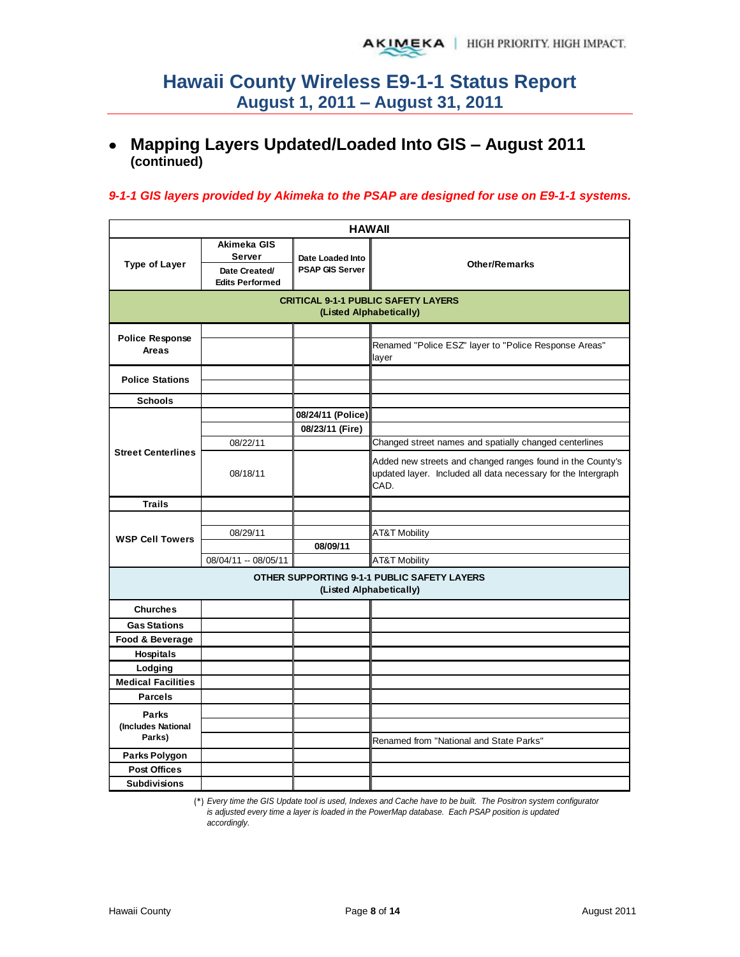# **Mapping Layers Updated/Loaded Into GIS – August 2011 (continued)**

#### *9-1-1 GIS layers provided by Akimeka to the PSAP are designed for use on E9-1-1 systems.*

| <b>HAWAII</b>                                                         |                                               |                                            |                                                                                                                                     |  |  |  |  |  |  |
|-----------------------------------------------------------------------|-----------------------------------------------|--------------------------------------------|-------------------------------------------------------------------------------------------------------------------------------------|--|--|--|--|--|--|
| <b>Type of Layer</b>                                                  | Akimeka GIS<br><b>Server</b><br>Date Created/ | Date Loaded Into<br><b>PSAP GIS Server</b> | <b>Other/Remarks</b>                                                                                                                |  |  |  |  |  |  |
|                                                                       | <b>Edits Performed</b>                        |                                            |                                                                                                                                     |  |  |  |  |  |  |
| <b>CRITICAL 9-1-1 PUBLIC SAFETY LAYERS</b><br>(Listed Alphabetically) |                                               |                                            |                                                                                                                                     |  |  |  |  |  |  |
| <b>Police Response</b>                                                |                                               |                                            |                                                                                                                                     |  |  |  |  |  |  |
| Areas                                                                 |                                               |                                            | Renamed "Police ESZ" layer to "Police Response Areas"<br>layer                                                                      |  |  |  |  |  |  |
| <b>Police Stations</b>                                                |                                               |                                            |                                                                                                                                     |  |  |  |  |  |  |
| <b>Schools</b>                                                        |                                               |                                            |                                                                                                                                     |  |  |  |  |  |  |
|                                                                       |                                               | 08/24/11 (Police)                          |                                                                                                                                     |  |  |  |  |  |  |
|                                                                       |                                               | 08/23/11 (Fire)                            |                                                                                                                                     |  |  |  |  |  |  |
|                                                                       | 08/22/11                                      |                                            | Changed street names and spatially changed centerlines                                                                              |  |  |  |  |  |  |
| <b>Street Centerlines</b>                                             | 08/18/11                                      |                                            | Added new streets and changed ranges found in the County's<br>updated layer. Included all data necessary for the Intergraph<br>CAD. |  |  |  |  |  |  |
| <b>Trails</b>                                                         |                                               |                                            |                                                                                                                                     |  |  |  |  |  |  |
|                                                                       |                                               |                                            |                                                                                                                                     |  |  |  |  |  |  |
| <b>WSP Cell Towers</b>                                                | 08/29/11                                      |                                            | <b>AT&amp;T Mobility</b>                                                                                                            |  |  |  |  |  |  |
|                                                                       |                                               | 08/09/11                                   |                                                                                                                                     |  |  |  |  |  |  |
|                                                                       | 08/04/11 -- 08/05/11                          |                                            | <b>AT&amp;T Mobility</b>                                                                                                            |  |  |  |  |  |  |
|                                                                       |                                               | (Listed Alphabetically)                    | <b>OTHER SUPPORTING 9-1-1 PUBLIC SAFETY LAYERS</b>                                                                                  |  |  |  |  |  |  |
| <b>Churches</b>                                                       |                                               |                                            |                                                                                                                                     |  |  |  |  |  |  |
| <b>Gas Stations</b>                                                   |                                               |                                            |                                                                                                                                     |  |  |  |  |  |  |
| Food & Beverage                                                       |                                               |                                            |                                                                                                                                     |  |  |  |  |  |  |
| <b>Hospitals</b>                                                      |                                               |                                            |                                                                                                                                     |  |  |  |  |  |  |
| Lodging                                                               |                                               |                                            |                                                                                                                                     |  |  |  |  |  |  |
| <b>Medical Facilities</b>                                             |                                               |                                            |                                                                                                                                     |  |  |  |  |  |  |
| <b>Parcels</b>                                                        |                                               |                                            |                                                                                                                                     |  |  |  |  |  |  |
| <b>Parks</b>                                                          |                                               |                                            |                                                                                                                                     |  |  |  |  |  |  |
| (Includes National                                                    |                                               |                                            |                                                                                                                                     |  |  |  |  |  |  |
| Parks)                                                                |                                               |                                            | Renamed from "National and State Parks"                                                                                             |  |  |  |  |  |  |
| Parks Polygon                                                         |                                               |                                            |                                                                                                                                     |  |  |  |  |  |  |
| <b>Post Offices</b>                                                   |                                               |                                            |                                                                                                                                     |  |  |  |  |  |  |
| <b>Subdivisions</b>                                                   |                                               |                                            |                                                                                                                                     |  |  |  |  |  |  |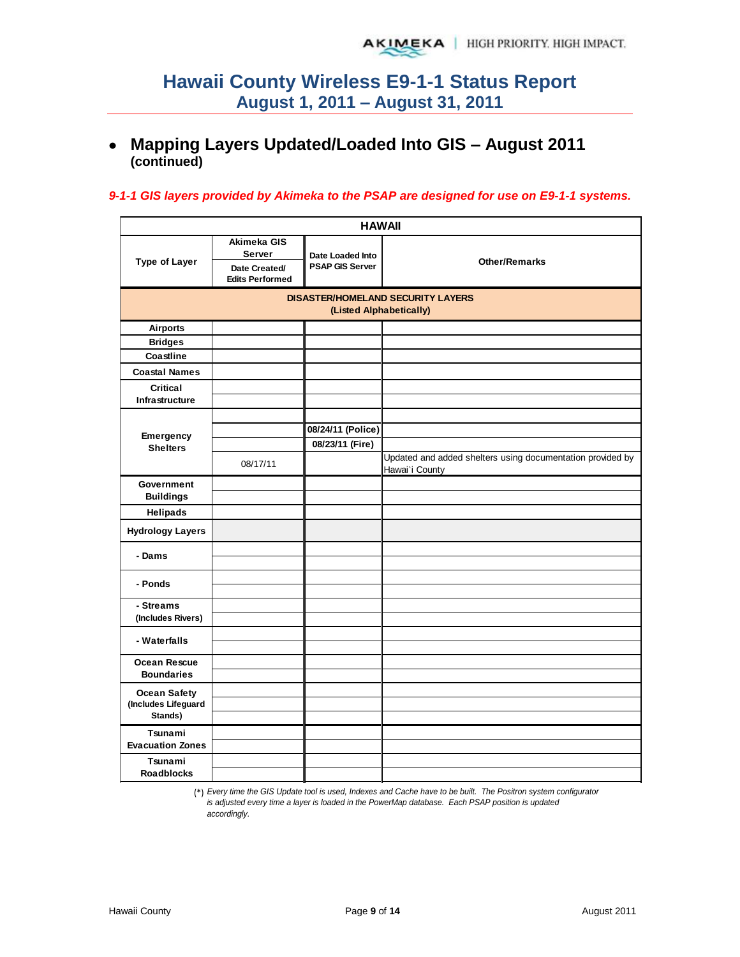## **Mapping Layers Updated/Loaded Into GIS – August 2011 (continued)**

#### *9-1-1 GIS layers provided by Akimeka to the PSAP are designed for use on E9-1-1 systems.*

|                                                       |                                                                         | <b>HAWAII</b>                                                       |                                                                              |  |  |
|-------------------------------------------------------|-------------------------------------------------------------------------|---------------------------------------------------------------------|------------------------------------------------------------------------------|--|--|
| <b>Type of Layer</b>                                  | Akimeka GIS<br><b>Server</b><br>Date Created/<br><b>Edits Performed</b> | Date Loaded Into<br><b>PSAP GIS Server</b>                          | <b>Other/Remarks</b>                                                         |  |  |
|                                                       |                                                                         | <b>DISASTER/HOMELAND SECURITY LAYERS</b><br>(Listed Alphabetically) |                                                                              |  |  |
| <b>Airports</b>                                       |                                                                         |                                                                     |                                                                              |  |  |
| <b>Bridges</b>                                        |                                                                         |                                                                     |                                                                              |  |  |
| Coastline                                             |                                                                         |                                                                     |                                                                              |  |  |
| <b>Coastal Names</b>                                  |                                                                         |                                                                     |                                                                              |  |  |
| Critical<br>Infrastructure                            |                                                                         |                                                                     |                                                                              |  |  |
| Emergency<br><b>Shelters</b>                          | 08/17/11                                                                | 08/24/11 (Police)<br>08/23/11 (Fire)                                | Updated and added shelters using documentation provided by<br>Hawai'i County |  |  |
| Government<br><b>Buildings</b>                        |                                                                         |                                                                     |                                                                              |  |  |
| Helipads                                              |                                                                         |                                                                     |                                                                              |  |  |
| <b>Hydrology Layers</b>                               |                                                                         |                                                                     |                                                                              |  |  |
| - Dams                                                |                                                                         |                                                                     |                                                                              |  |  |
| - Ponds                                               |                                                                         |                                                                     |                                                                              |  |  |
| - Streams<br>(Includes Rivers)                        |                                                                         |                                                                     |                                                                              |  |  |
| - Waterfalls                                          |                                                                         |                                                                     |                                                                              |  |  |
| Ocean Rescue<br><b>Boundaries</b>                     |                                                                         |                                                                     |                                                                              |  |  |
| <b>Ocean Safety</b><br>(Includes Lifeguard<br>Stands) |                                                                         |                                                                     |                                                                              |  |  |
| Tsunami<br><b>Evacuation Zones</b>                    |                                                                         |                                                                     |                                                                              |  |  |
| Tsunami<br><b>Roadblocks</b>                          |                                                                         |                                                                     |                                                                              |  |  |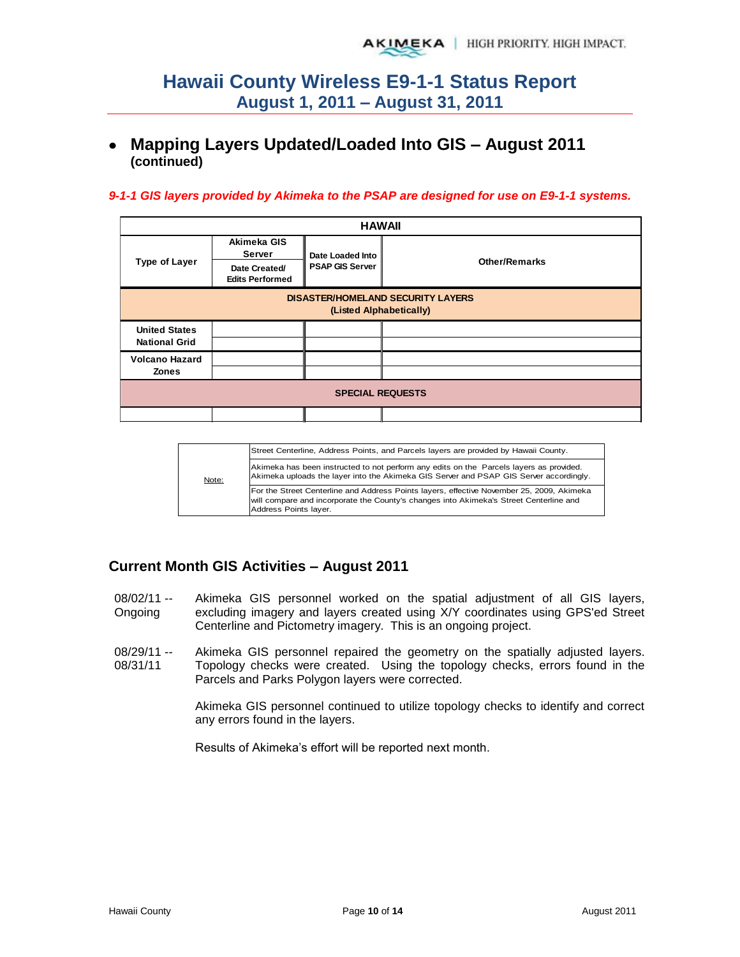## **Mapping Layers Updated/Loaded Into GIS – August 2011 (continued)**

#### *9-1-1 GIS layers provided by Akimeka to the PSAP are designed for use on E9-1-1 systems.*

|                                                                     | <b>HAWAII</b>                           |                        |                      |  |  |  |  |  |  |  |
|---------------------------------------------------------------------|-----------------------------------------|------------------------|----------------------|--|--|--|--|--|--|--|
|                                                                     | Akimeka GIS<br>Server                   | Date Loaded Into       |                      |  |  |  |  |  |  |  |
| <b>Type of Layer</b>                                                | Date Created/<br><b>Edits Performed</b> | <b>PSAP GIS Server</b> | <b>Other/Remarks</b> |  |  |  |  |  |  |  |
| <b>DISASTER/HOMELAND SECURITY LAYERS</b><br>(Listed Alphabetically) |                                         |                        |                      |  |  |  |  |  |  |  |
| <b>United States</b><br><b>National Grid</b>                        |                                         |                        |                      |  |  |  |  |  |  |  |
| <b>Volcano Hazard</b><br><b>Zones</b>                               |                                         |                        |                      |  |  |  |  |  |  |  |
| <b>SPECIAL REQUESTS</b>                                             |                                         |                        |                      |  |  |  |  |  |  |  |
|                                                                     |                                         |                        |                      |  |  |  |  |  |  |  |

|       | Street Centerline, Address Points, and Parcels layers are provided by Hawaii County.                                                                                                                         |
|-------|--------------------------------------------------------------------------------------------------------------------------------------------------------------------------------------------------------------|
| Note: | Akimeka has been instructed to not perform any edits on the Parcels layers as provided.<br>Akimeka uploads the layer into the Akimeka GIS Server and PSAP GIS Server accordingly.                            |
|       | For the Street Centerline and Address Points layers, effective November 25, 2009, Akimeka<br>will compare and incorporate the County's changes into Akimeka's Street Centerline and<br>Address Points layer. |

#### **Current Month GIS Activities – August 2011**

- 08/02/11 -- Ongoing Akimeka GIS personnel worked on the spatial adjustment of all GIS layers, excluding imagery and layers created using X/Y coordinates using GPS'ed Street Centerline and Pictometry imagery. This is an ongoing project.
- 08/29/11 -- 08/31/11 Akimeka GIS personnel repaired the geometry on the spatially adjusted layers. Topology checks were created. Using the topology checks, errors found in the Parcels and Parks Polygon layers were corrected.

Akimeka GIS personnel continued to utilize topology checks to identify and correct any errors found in the layers.

Results of Akimeka's effort will be reported next month.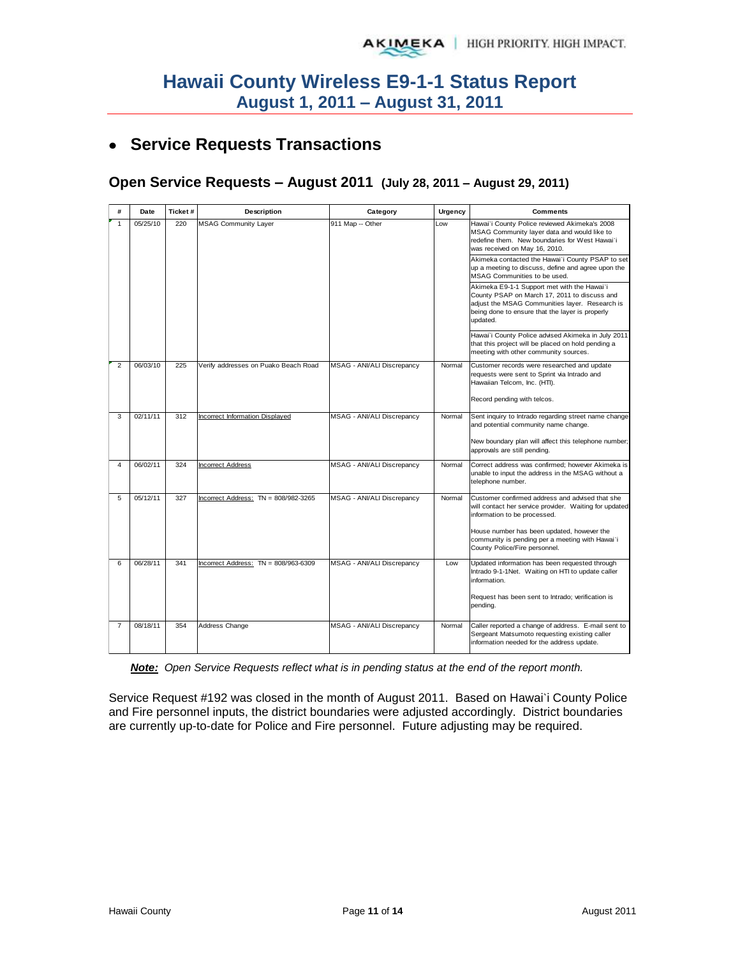# **Service Requests Transactions**

#### **Open Service Requests – August 2011 (July 28, 2011 – August 29, 2011)**

| #              | Date     | Ticket# | Description                            | Category                   | Urgency | <b>Comments</b>                                                                                                                                                                                              |
|----------------|----------|---------|----------------------------------------|----------------------------|---------|--------------------------------------------------------------------------------------------------------------------------------------------------------------------------------------------------------------|
| $\mathbf{1}$   | 05/25/10 | 220     | <b>MSAG Community Layer</b>            | 911 Map -- Other           | Low     | Hawai'i County Police reviewed Akimeka's 2008<br>MSAG Community layer data and would like to<br>redefine them. New boundaries for West Hawai`i<br>was received on May 16, 2010.                              |
|                |          |         |                                        |                            |         | Akimeka contacted the Hawai'i County PSAP to set<br>up a meeting to discuss, define and agree upon the<br>MSAG Communities to be used.                                                                       |
|                |          |         |                                        |                            |         | Akimeka E9-1-1 Support met with the Hawai'i<br>County PSAP on March 17, 2011 to discuss and<br>adjust the MSAG Communities layer. Research is<br>being done to ensure that the layer is properly<br>updated. |
|                |          |         |                                        |                            |         | Hawai'i County Police advised Akimeka in July 2011<br>that this project will be placed on hold pending a<br>meeting with other community sources.                                                            |
| $\mathfrak{p}$ | 06/03/10 | 225     | Verify addresses on Puako Beach Road   | MSAG - ANI/ALI Discrepancy | Normal  | Customer records were researched and update<br>requests were sent to Sprint via Intrado and<br>Hawaiian Telcom, Inc. (HTI).                                                                                  |
|                |          |         |                                        |                            |         | Record pending with telcos.                                                                                                                                                                                  |
| 3              | 02/11/11 | 312     | <b>Incorrect Information Displayed</b> | MSAG - ANI/ALI Discrepancy | Normal  | Sent inquiry to Intrado regarding street name change<br>and potential community name change.                                                                                                                 |
|                |          |         |                                        |                            |         | New boundary plan will affect this telephone number;<br>approvals are still pending.                                                                                                                         |
| $\overline{4}$ | 06/02/11 | 324     | <b>Incorrect Address</b>               | MSAG - ANI/ALI Discrepancy | Normal  | Correct address was confirmed; however Akimeka is<br>unable to input the address in the MSAG without a<br>telephone number.                                                                                  |
| 5              | 05/12/11 | 327     | Incorrect Address: TN = 808/982-3265   | MSAG - ANI/ALI Discrepancy | Normal  | Customer confirmed address and advised that she<br>will contact her service provider. Waiting for updated<br>information to be processed.                                                                    |
|                |          |         |                                        |                            |         | House number has been updated, however the<br>community is pending per a meeting with Hawai'i<br>County Police/Fire personnel.                                                                               |
| 6              | 06/28/11 | 341     | Incorrect Address: TN = 808/963-6309   | MSAG - ANI/ALI Discrepancy | Low     | Updated information has been requested through<br>Intrado 9-1-1Net. Waiting on HTI to update caller<br>information.                                                                                          |
|                |          |         |                                        |                            |         | Request has been sent to Intrado; verification is<br>pending.                                                                                                                                                |
| $\overline{7}$ | 08/18/11 | 354     | Address Change                         | MSAG - ANI/ALI Discrepancy | Normal  | Caller reported a change of address. E-mail sent to<br>Sergeant Matsumoto requesting existing caller<br>information needed for the address update.                                                           |

*Note: Open Service Requests reflect what is in pending status at the end of the report month.* 

Service Request #192 was closed in the month of August 2011. Based on Hawai`i County Police and Fire personnel inputs, the district boundaries were adjusted accordingly. District boundaries are currently up-to-date for Police and Fire personnel. Future adjusting may be required.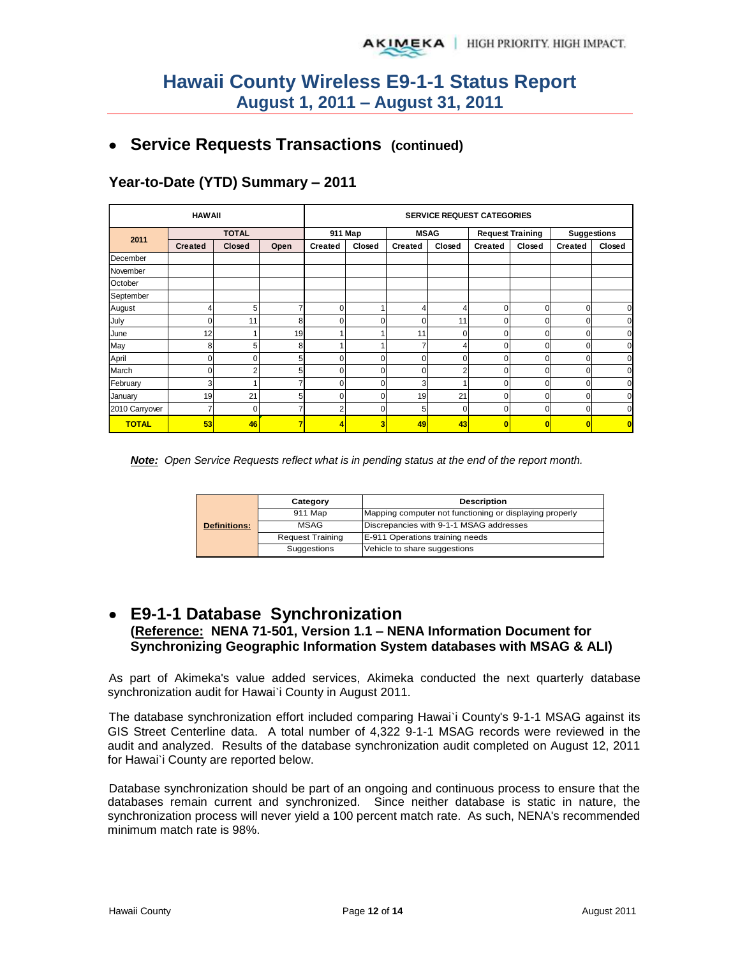# **Service Requests Transactions (continued)**

# **Year-to-Date (YTD) Summary – 2011**

| <b>HAWAII</b>  |                |               |      | <b>SERVICE REQUEST CATEGORIES</b> |         |                |          |                         |                         |                    |        |
|----------------|----------------|---------------|------|-----------------------------------|---------|----------------|----------|-------------------------|-------------------------|--------------------|--------|
| 2011           |                | <b>TOTAL</b>  |      |                                   | 911 Map | <b>MSAG</b>    |          |                         | <b>Request Training</b> | <b>Suggestions</b> |        |
|                | <b>Created</b> | <b>Closed</b> | Open | <b>Created</b>                    | Closed  | <b>Created</b> | Closed   | <b>Created</b>          | Closed                  | <b>Created</b>     | Closed |
| December       |                |               |      |                                   |         |                |          |                         |                         |                    |        |
| November       |                |               |      |                                   |         |                |          |                         |                         |                    |        |
| October        |                |               |      |                                   |         |                |          |                         |                         |                    |        |
| September      |                |               |      |                                   |         |                |          |                         |                         |                    |        |
| August         | 4              | 5             |      | $\Omega$                          |         | 4              | 4        | 0                       | 0                       | $\Omega$           | 0      |
| July           | 0              | 11            | 8    | $\Omega$                          | 0       | 0              | 11       | 0                       | 0                       | 0                  | 0      |
| June           | 12             |               | 19   |                                   |         | 11             | $\Omega$ | 0                       | 0                       | $\mathbf 0$        | 0      |
| May            | 8              | 5             | 8    |                                   |         |                | 4        | 0                       | $\Omega$                | $\Omega$           | 0      |
| April          | 0              | n             | 51   | U                                 | 0       | $\Omega$       | $\Omega$ | 0                       | $\Omega$                | $\Omega$           |        |
| March          | 0              | c             | 51   | U                                 | 0       |                | ◠        | 0                       | 0                       | $\Omega$           | n      |
| February       | 3              |               |      |                                   | 0       | 3              |          | 0                       | 0                       | C                  |        |
| January        | 19             | 21            |      |                                   | 0       | 19             | 21       | 0                       | 0                       | C                  |        |
| 2010 Carryover | 7              | 0             |      |                                   | 0       | 5              | $\Omega$ | 0                       | 0                       | 0                  | 0      |
| <b>TOTAL</b>   | 53             | 46            |      |                                   | 3       | 49             | 43       | $\overline{\mathbf{0}}$ |                         |                    | O      |



|                     | Category                | <b>Description</b>                                      |  |  |  |
|---------------------|-------------------------|---------------------------------------------------------|--|--|--|
|                     | 911 Map                 | Mapping computer not functioning or displaying properly |  |  |  |
| <b>Definitions:</b> | <b>MSAG</b>             | Discrepancies with 9-1-1 MSAG addresses                 |  |  |  |
|                     | <b>Request Training</b> | E-911 Operations training needs                         |  |  |  |
|                     | Suggestions             | Vehicle to share suggestions                            |  |  |  |

### **E9-1-1 Database Synchronization (Reference: NENA 71-501, Version 1.1 – NENA Information Document for Synchronizing Geographic Information System databases with MSAG & ALI)**

As part of Akimeka's value added services, Akimeka conducted the next quarterly database synchronization audit for Hawai'i County in August 2011.

The database synchronization effort included comparing Hawai`i County's 9-1-1 MSAG against its GIS Street Centerline data. A total number of 4,322 9-1-1 MSAG records were reviewed in the audit and analyzed. Results of the database synchronization audit completed on August 12, 2011 for Hawai`i County are reported below.

Database synchronization should be part of an ongoing and continuous process to ensure that the databases remain current and synchronized. Since neither database is static in nature, the synchronization process will never yield a 100 percent match rate. As such, NENA's recommended minimum match rate is 98%.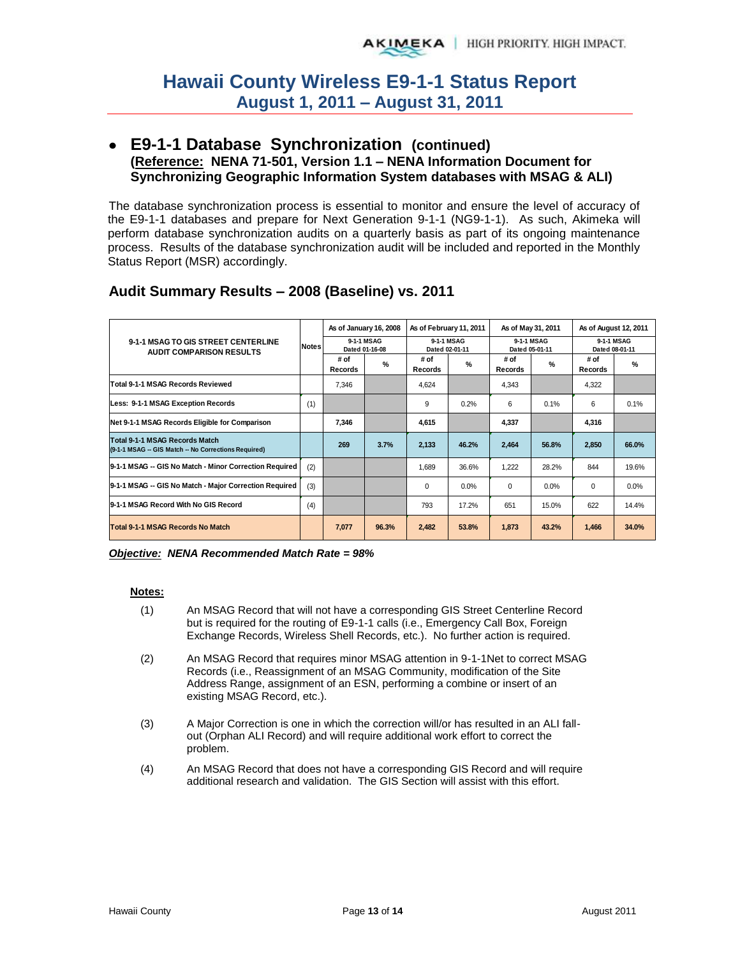#### **E9-1-1 Database Synchronization (continued) (Reference: NENA 71-501, Version 1.1 – NENA Information Document for Synchronizing Geographic Information System databases with MSAG & ALI)**

The database synchronization process is essential to monitor and ensure the level of accuracy of the E9-1-1 databases and prepare for Next Generation 9-1-1 (NG9-1-1). As such, Akimeka will perform database synchronization audits on a quarterly basis as part of its ongoing maintenance process. Results of the database synchronization audit will be included and reported in the Monthly Status Report (MSR) accordingly.

| 9-1-1 MSAG TO GIS STREET CENTERLINE<br><b>AUDIT COMPARISON RESULTS</b>               |     | As of January 16, 2008<br>9-1-1 MSAG<br><b>Notes</b><br>Dated 01-16-08 |       | As of February 11, 2011<br>9-1-1 MSAG<br>Dated 02-01-11 |       | As of May 31, 2011<br>9-1-1 MSAG<br>Dated 05-01-11 |       | As of August 12, 2011<br>9-1-1 MSAG<br>Dated 08-01-11 |       |
|--------------------------------------------------------------------------------------|-----|------------------------------------------------------------------------|-------|---------------------------------------------------------|-------|----------------------------------------------------|-------|-------------------------------------------------------|-------|
|                                                                                      |     |                                                                        |       |                                                         |       |                                                    |       |                                                       |       |
| <b>Total 9-1-1 MSAG Records Reviewed</b>                                             |     | 7,346                                                                  |       | 4,624                                                   |       | 4,343                                              |       | 4,322                                                 |       |
| Less: 9-1-1 MSAG Exception Records                                                   |     |                                                                        |       | 9                                                       | 0.2%  | 6                                                  | 0.1%  | 6                                                     | 0.1%  |
| Net 9-1-1 MSAG Records Eligible for Comparison                                       |     | 7,346                                                                  |       | 4,615                                                   |       | 4,337                                              |       | 4,316                                                 |       |
| Total 9-1-1 MSAG Records Match<br>(9-1-1 MSAG - GIS Match - No Corrections Required) |     | 269                                                                    | 3.7%  | 2,133                                                   | 46.2% | 2,464                                              | 56.8% | 2,850                                                 | 66.0% |
| 9-1-1 MSAG -- GIS No Match - Minor Correction Required                               | (2) |                                                                        |       | 1,689                                                   | 36.6% | 1,222                                              | 28.2% | 844                                                   | 19.6% |
| 9-1-1 MSAG -- GIS No Match - Major Correction Required                               | (3) |                                                                        |       | 0                                                       | 0.0%  | $\Omega$                                           | 0.0%  | $\Omega$                                              | 0.0%  |
| 9-1-1 MSAG Record With No GIS Record                                                 |     |                                                                        |       | 793                                                     | 17.2% | 651                                                | 15.0% | 622                                                   | 14.4% |
| Total 9-1-1 MSAG Records No Match                                                    |     | 7.077                                                                  | 96.3% | 2,482                                                   | 53.8% | 1,873                                              | 43.2% | 1,466                                                 | 34.0% |

### **Audit Summary Results – 2008 (Baseline) vs. 2011**

*Objective: NENA Recommended Match Rate = 98%* 

#### **Notes:**

- (1) An MSAG Record that will not have a corresponding GIS Street Centerline Record but is required for the routing of E9-1-1 calls (i.e., Emergency Call Box, Foreign Exchange Records, Wireless Shell Records, etc.). No further action is required.
- (2) An MSAG Record that requires minor MSAG attention in 9-1-1Net to correct MSAG Records (i.e., Reassignment of an MSAG Community, modification of the Site Address Range, assignment of an ESN, performing a combine or insert of an existing MSAG Record, etc.).
- (3) A Major Correction is one in which the correction will/or has resulted in an ALI fallout (Orphan ALI Record) and will require additional work effort to correct the problem.
- (4) An MSAG Record that does not have a corresponding GIS Record and will require additional research and validation. The GIS Section will assist with this effort.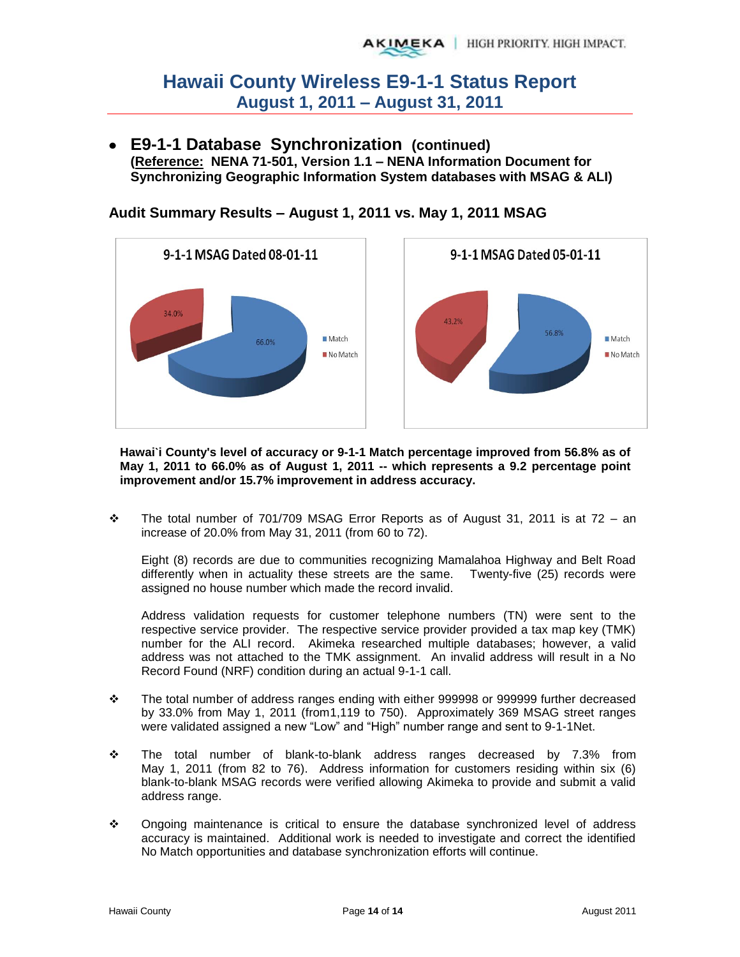**E9-1-1 Database Synchronization (continued) (Reference: NENA 71-501, Version 1.1 – NENA Information Document for Synchronizing Geographic Information System databases with MSAG & ALI)** 



**Audit Summary Results – August 1, 2011 vs. May 1, 2011 MSAG** 

**Hawai`i County's level of accuracy or 9-1-1 Match percentage improved from 56.8% as of May 1, 2011 to 66.0% as of August 1, 2011 -- which represents a 9.2 percentage point improvement and/or 15.7% improvement in address accuracy.** 

\* The total number of 701/709 MSAG Error Reports as of August 31, 2011 is at 72 - an increase of 20.0% from May 31, 2011 (from 60 to 72).

Eight (8) records are due to communities recognizing Mamalahoa Highway and Belt Road differently when in actuality these streets are the same. Twenty-five (25) records were assigned no house number which made the record invalid.

Address validation requests for customer telephone numbers (TN) were sent to the respective service provider. The respective service provider provided a tax map key (TMK) number for the ALI record. Akimeka researched multiple databases; however, a valid address was not attached to the TMK assignment. An invalid address will result in a No Record Found (NRF) condition during an actual 9-1-1 call.

- The total number of address ranges ending with either 999998 or 999999 further decreased by 33.0% from May 1, 2011 (from1,119 to 750). Approximately 369 MSAG street ranges were validated assigned a new "Low" and "High" number range and sent to 9-1-1Net.
- The total number of blank-to-blank address ranges decreased by 7.3% from May 1, 2011 (from 82 to 76). Address information for customers residing within six (6) blank-to-blank MSAG records were verified allowing Akimeka to provide and submit a valid address range.
- Ongoing maintenance is critical to ensure the database synchronized level of address accuracy is maintained. Additional work is needed to investigate and correct the identified No Match opportunities and database synchronization efforts will continue.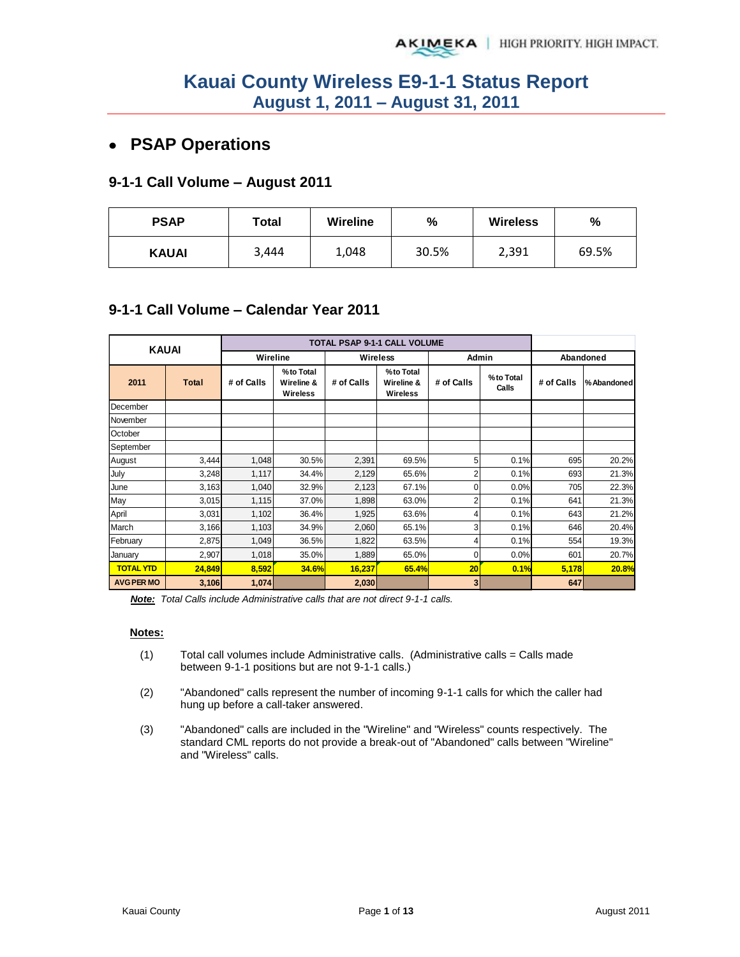# **PSAP Operations**

#### **9-1-1 Call Volume – August 2011**

| <b>PSAP</b>  | Total | <b>Wireline</b> | %     | <b>Wireless</b> | %     |  |
|--------------|-------|-----------------|-------|-----------------|-------|--|
| <b>KAUAI</b> | 3,444 | 1,048           | 30.5% | 2,391           | 69.5% |  |

### **9-1-1 Call Volume – Calendar Year 2011**

| <b>KAUAI</b>      |        |            |                                            |                 |                                            |                |                    |            |             |
|-------------------|--------|------------|--------------------------------------------|-----------------|--------------------------------------------|----------------|--------------------|------------|-------------|
|                   |        | Wireline   |                                            | <b>Wireless</b> |                                            | Admin          |                    | Abandoned  |             |
| 2011              | Total  | # of Calls | %to Total<br>Wireline &<br><b>Wireless</b> | # of Calls      | %to Total<br>Wireline &<br><b>Wireless</b> | # of Calls     | %to Total<br>Calls | # of Calls | % Abandoned |
| December          |        |            |                                            |                 |                                            |                |                    |            |             |
| November          |        |            |                                            |                 |                                            |                |                    |            |             |
| October           |        |            |                                            |                 |                                            |                |                    |            |             |
| September         |        |            |                                            |                 |                                            |                |                    |            |             |
| August            | 3,444  | 1,048      | 30.5%                                      | 2,391           | 69.5%                                      | 5              | 0.1%               | 695        | 20.2%       |
| July              | 3,248  | 1,117      | 34.4%                                      | 2,129           | 65.6%                                      | $\overline{2}$ | 0.1%               | 693        | 21.3%       |
| June              | 3,163  | 1,040      | 32.9%                                      | 2,123           | 67.1%                                      | 0              | 0.0%               | 705        | 22.3%       |
| May               | 3,015  | 1,115      | 37.0%                                      | 1,898           | 63.0%                                      | $\overline{2}$ | 0.1%               | 641        | 21.3%       |
| April             | 3,031  | 1,102      | 36.4%                                      | 1,925           | 63.6%                                      |                | 0.1%               | 643        | 21.2%       |
| March             | 3,166  | 1,103      | 34.9%                                      | 2,060           | 65.1%                                      | 3              | 0.1%               | 646        | 20.4%       |
| February          | 2,875  | 1,049      | 36.5%                                      | 1,822           | 63.5%                                      | 4              | 0.1%               | 554        | 19.3%       |
| January           | 2,907  | 1,018      | 35.0%                                      | 1,889           | 65.0%                                      | 0              | 0.0%               | 601        | 20.7%       |
| <b>TOTAL YTD</b>  | 24,849 | 8,592      | <b>34.6%</b>                               | 16,237          | 65.4%                                      | 20             | 0.1%               | 5,178      | 20.8%       |
| <b>AVG PER MO</b> | 3,106  | 1,074      |                                            | 2,030           |                                            | 3 <sup>1</sup> |                    | 647        |             |

*Note: Total Calls include Administrative calls that are not direct 9-1-1 calls.* 

#### **Notes:**

- $(1)$  Total call volumes include Administrative calls. (Administrative calls = Calls made between 9-1-1 positions but are not 9-1-1 calls.)
- (2) "Abandoned" calls represent the number of incoming 9-1-1 calls for which the caller had hung up before a call-taker answered.
- (3) "Abandoned" calls are included in the "Wireline" and "Wireless" counts respectively. The standard CML reports do not provide a break-out of "Abandoned" calls between "Wireline" and "Wireless" calls.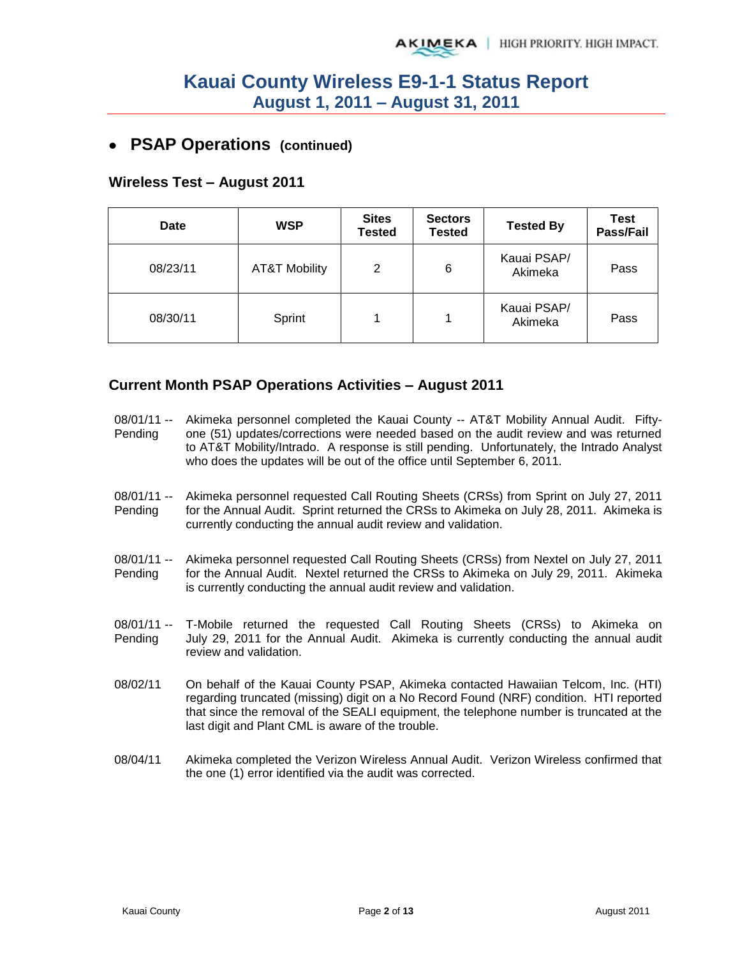### **PSAP Operations (continued)**

#### **Wireless Test – August 2011**

| Date     | <b>WSP</b>               | <b>Sites</b><br><b>Tested</b> | <b>Sectors</b><br><b>Tested</b> | <b>Tested By</b>       | Test<br>Pass/Fail |
|----------|--------------------------|-------------------------------|---------------------------------|------------------------|-------------------|
| 08/23/11 | <b>AT&amp;T Mobility</b> | 2                             | 6                               | Kauai PSAP/<br>Akimeka | Pass              |
| 08/30/11 | Sprint                   |                               |                                 | Kauai PSAP/<br>Akimeka | Pass              |

### **Current Month PSAP Operations Activities – August 2011**

- 08/01/11 -- Pending Akimeka personnel completed the Kauai County -- AT&T Mobility Annual Audit. Fiftyone (51) updates/corrections were needed based on the audit review and was returned to AT&T Mobility/Intrado. A response is still pending. Unfortunately, the Intrado Analyst who does the updates will be out of the office until September 6, 2011.
- 08/01/11 -- Pending Akimeka personnel requested Call Routing Sheets (CRSs) from Sprint on July 27, 2011 for the Annual Audit. Sprint returned the CRSs to Akimeka on July 28, 2011. Akimeka is currently conducting the annual audit review and validation.
- 08/01/11 -- Pending Akimeka personnel requested Call Routing Sheets (CRSs) from Nextel on July 27, 2011 for the Annual Audit. Nextel returned the CRSs to Akimeka on July 29, 2011. Akimeka is currently conducting the annual audit review and validation.
- 08/01/11 -- Pending T-Mobile returned the requested Call Routing Sheets (CRSs) to Akimeka on July 29, 2011 for the Annual Audit. Akimeka is currently conducting the annual audit review and validation.
- 08/02/11 On behalf of the Kauai County PSAP, Akimeka contacted Hawaiian Telcom, Inc. (HTI) regarding truncated (missing) digit on a No Record Found (NRF) condition. HTI reported that since the removal of the SEALI equipment, the telephone number is truncated at the last digit and Plant CML is aware of the trouble.
- 08/04/11 Akimeka completed the Verizon Wireless Annual Audit. Verizon Wireless confirmed that the one (1) error identified via the audit was corrected.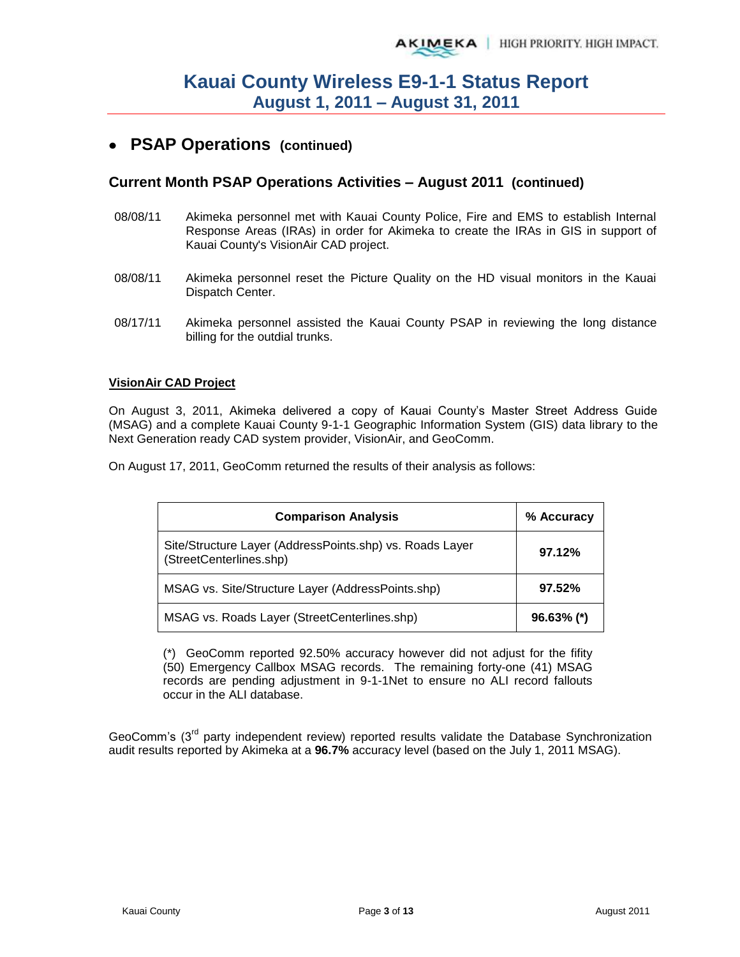## **PSAP Operations (continued)**

#### **Current Month PSAP Operations Activities – August 2011 (continued)**

- 08/08/11 Akimeka personnel met with Kauai County Police, Fire and EMS to establish Internal Response Areas (IRAs) in order for Akimeka to create the IRAs in GIS in support of Kauai County's VisionAir CAD project.
- 08/08/11 Akimeka personnel reset the Picture Quality on the HD visual monitors in the Kauai Dispatch Center.
- 08/17/11 Akimeka personnel assisted the Kauai County PSAP in reviewing the long distance billing for the outdial trunks.

#### **VisionAir CAD Project**

On August 3, 2011, Akimeka delivered a copy of Kauai County's Master Street Address Guide (MSAG) and a complete Kauai County 9-1-1 Geographic Information System (GIS) data library to the Next Generation ready CAD system provider, VisionAir, and GeoComm.

On August 17, 2011, GeoComm returned the results of their analysis as follows:

| <b>Comparison Analysis</b>                                                          | % Accuracy    |
|-------------------------------------------------------------------------------------|---------------|
| Site/Structure Layer (AddressPoints.shp) vs. Roads Layer<br>(StreetCenterlines.shp) | 97.12%        |
| MSAG vs. Site/Structure Layer (AddressPoints.shp)                                   | 97.52%        |
| MSAG vs. Roads Layer (StreetCenterlines.shp)                                        | $96.63\%$ (*) |

(\*) GeoComm reported 92.50% accuracy however did not adjust for the fifity (50) Emergency Callbox MSAG records. The remaining forty-one (41) MSAG records are pending adjustment in 9-1-1Net to ensure no ALI record fallouts occur in the ALI database.

GeoComm's  $3<sup>rd</sup>$  party independent review) reported results validate the Database Synchronization audit results reported by Akimeka at a **96.7%** accuracy level (based on the July 1, 2011 MSAG).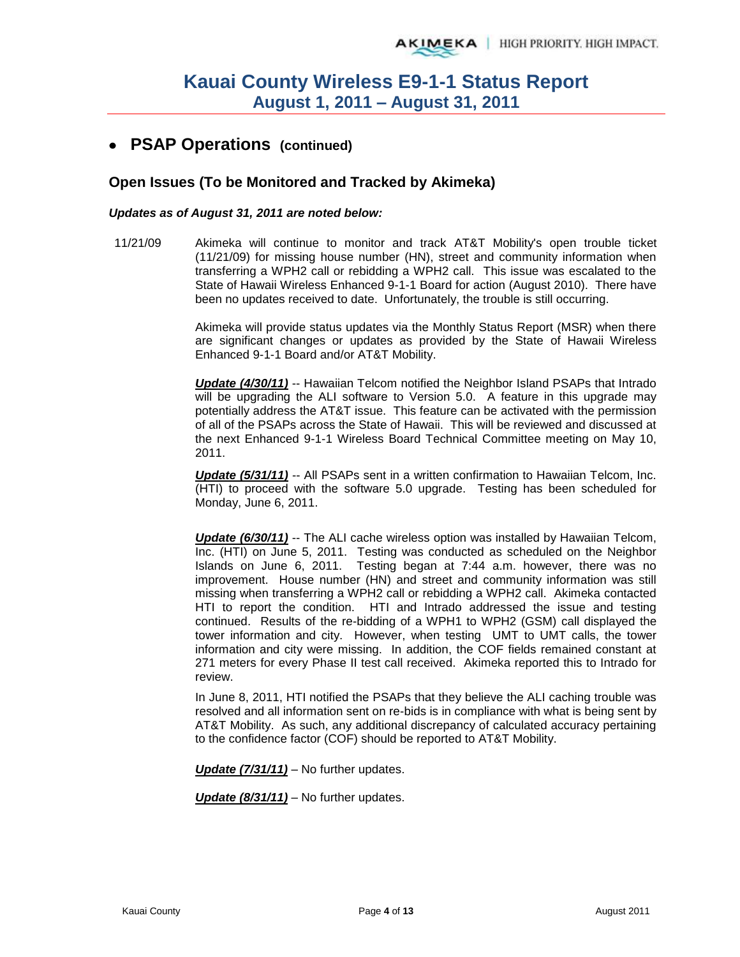## **PSAP Operations (continued)**

#### **Open Issues (To be Monitored and Tracked by Akimeka)**

#### *Updates as of August 31, 2011 are noted below:*

11/21/09 Akimeka will continue to monitor and track AT&T Mobility's open trouble ticket (11/21/09) for missing house number (HN), street and community information when transferring a WPH2 call or rebidding a WPH2 call. This issue was escalated to the State of Hawaii Wireless Enhanced 9-1-1 Board for action (August 2010). There have been no updates received to date. Unfortunately, the trouble is still occurring.

> Akimeka will provide status updates via the Monthly Status Report (MSR) when there are significant changes or updates as provided by the State of Hawaii Wireless Enhanced 9-1-1 Board and/or AT&T Mobility.

> *Update (4/30/11)* -- Hawaiian Telcom notified the Neighbor Island PSAPs that Intrado will be upgrading the ALI software to Version 5.0. A feature in this upgrade may potentially address the AT&T issue. This feature can be activated with the permission of all of the PSAPs across the State of Hawaii. This will be reviewed and discussed at the next Enhanced 9-1-1 Wireless Board Technical Committee meeting on May 10, 2011.

> **Update (5/31/11)** -- All PSAPs sent in a written confirmation to Hawaiian Telcom, Inc. (HTI) to proceed with the software 5.0 upgrade. Testing has been scheduled for Monday, June 6, 2011.

> *Update (6/30/11)* -- The ALI cache wireless option was installed by Hawaiian Telcom, Inc. (HTI) on June 5, 2011. Testing was conducted as scheduled on the Neighbor Islands on June 6, 2011. Testing began at 7:44 a.m. however, there was no improvement. House number (HN) and street and community information was still missing when transferring a WPH2 call or rebidding a WPH2 call. Akimeka contacted HTI to report the condition. HTI and Intrado addressed the issue and testing continued. Results of the re-bidding of a WPH1 to WPH2 (GSM) call displayed the tower information and city. However, when testing UMT to UMT calls, the tower information and city were missing. In addition, the COF fields remained constant at 271 meters for every Phase II test call received. Akimeka reported this to Intrado for review.

> In June 8, 2011, HTI notified the PSAPs that they believe the ALI caching trouble was resolved and all information sent on re-bids is in compliance with what is being sent by AT&T Mobility. As such, any additional discrepancy of calculated accuracy pertaining to the confidence factor (COF) should be reported to AT&T Mobility.

*Update (7/31/11)* – No further updates.

*Update (8/31/11)* – No further updates.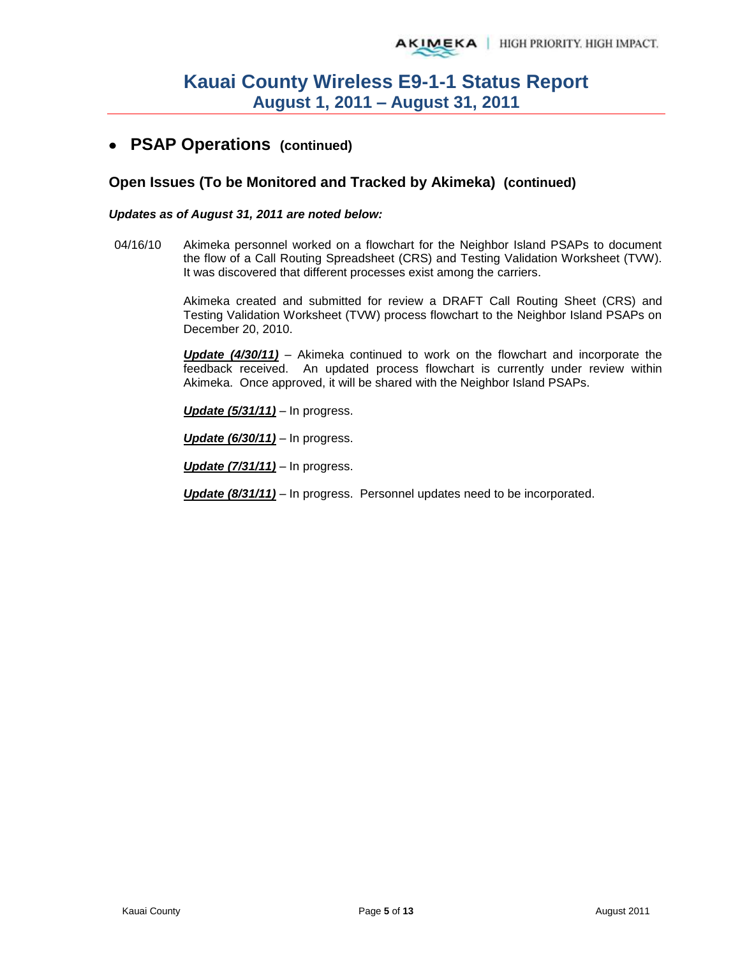### **PSAP Operations (continued)**

#### **Open Issues (To be Monitored and Tracked by Akimeka) (continued)**

#### *Updates as of August 31, 2011 are noted below:*

04/16/10 Akimeka personnel worked on a flowchart for the Neighbor Island PSAPs to document the flow of a Call Routing Spreadsheet (CRS) and Testing Validation Worksheet (TVW). It was discovered that different processes exist among the carriers.

> Akimeka created and submitted for review a DRAFT Call Routing Sheet (CRS) and Testing Validation Worksheet (TVW) process flowchart to the Neighbor Island PSAPs on December 20, 2010.

> *Update (4/30/11)* – Akimeka continued to work on the flowchart and incorporate the feedback received. An updated process flowchart is currently under review within Akimeka. Once approved, it will be shared with the Neighbor Island PSAPs.

*Update (5/31/11)* – In progress.

*Update (6/30/11)* – In progress.

*Update (7/31/11)* – In progress.

*Update (8/31/11)* – In progress. Personnel updates need to be incorporated.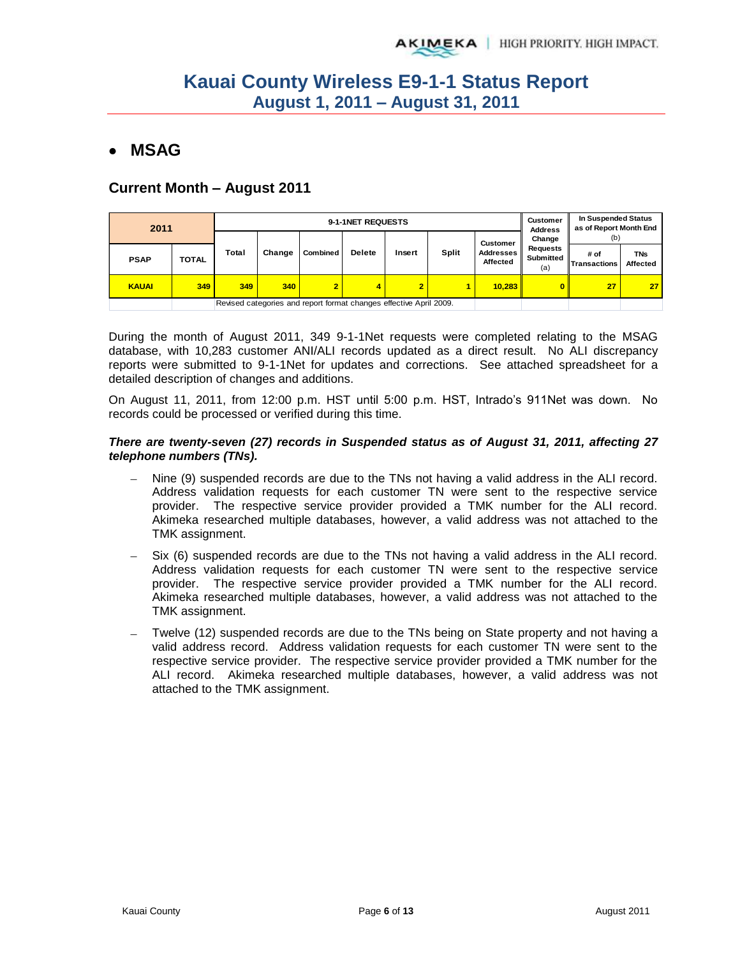# **MSAG**

### **Current Month – August 2011**

| 2011         |              |              |                                                                    |                 | 9-1-1NET REQUESTS |                |       |                              | In Suspended Status<br>Customer<br>as of Report Month End<br><b>Address</b> |                             |                        |  |  |                 |        |     |  |
|--------------|--------------|--------------|--------------------------------------------------------------------|-----------------|-------------------|----------------|-------|------------------------------|-----------------------------------------------------------------------------|-----------------------------|------------------------|--|--|-----------------|--------|-----|--|
|              |              |              |                                                                    |                 |                   |                |       |                              |                                                                             |                             |                        |  |  | <b>Customer</b> | Change | (b) |  |
| <b>PSAP</b>  | <b>TOTAL</b> | <b>Total</b> | Change                                                             | <b>Combined</b> | <b>Delete</b>     | Insert         | Split | <b>Addresses</b><br>Affected | <b>Requests</b><br>Submitted<br>(a)                                         | # of<br><b>Transactions</b> | <b>TNs</b><br>Affected |  |  |                 |        |     |  |
| <b>KAUAI</b> | 349          | 349          | 340                                                                |                 | 4                 | $\overline{2}$ |       | 10,283                       | 0.                                                                          | 27                          | 27                     |  |  |                 |        |     |  |
|              |              |              | Revised categories and report format changes effective April 2009. |                 |                   |                |       |                              |                                                                             |                             |                        |  |  |                 |        |     |  |

During the month of August 2011, 349 9-1-1Net requests were completed relating to the MSAG database, with 10,283 customer ANI/ALI records updated as a direct result. No ALI discrepancy reports were submitted to 9-1-1Net for updates and corrections. See attached spreadsheet for a detailed description of changes and additions.

On August 11, 2011, from 12:00 p.m. HST until 5:00 p.m. HST, Intrado's 911Net was down. No records could be processed or verified during this time.

#### *There are twenty-seven (27) records in Suspended status as of August 31, 2011, affecting 27 telephone numbers (TNs).*

- Nine (9) suspended records are due to the TNs not having a valid address in the ALI record. Address validation requests for each customer TN were sent to the respective service provider. The respective service provider provided a TMK number for the ALI record. Akimeka researched multiple databases, however, a valid address was not attached to the TMK assignment.
- Six (6) suspended records are due to the TNs not having a valid address in the ALI record. Address validation requests for each customer TN were sent to the respective service provider. The respective service provider provided a TMK number for the ALI record. Akimeka researched multiple databases, however, a valid address was not attached to the TMK assignment.
- Twelve (12) suspended records are due to the TNs being on State property and not having a valid address record. Address validation requests for each customer TN were sent to the respective service provider. The respective service provider provided a TMK number for the ALI record. Akimeka researched multiple databases, however, a valid address was not attached to the TMK assignment.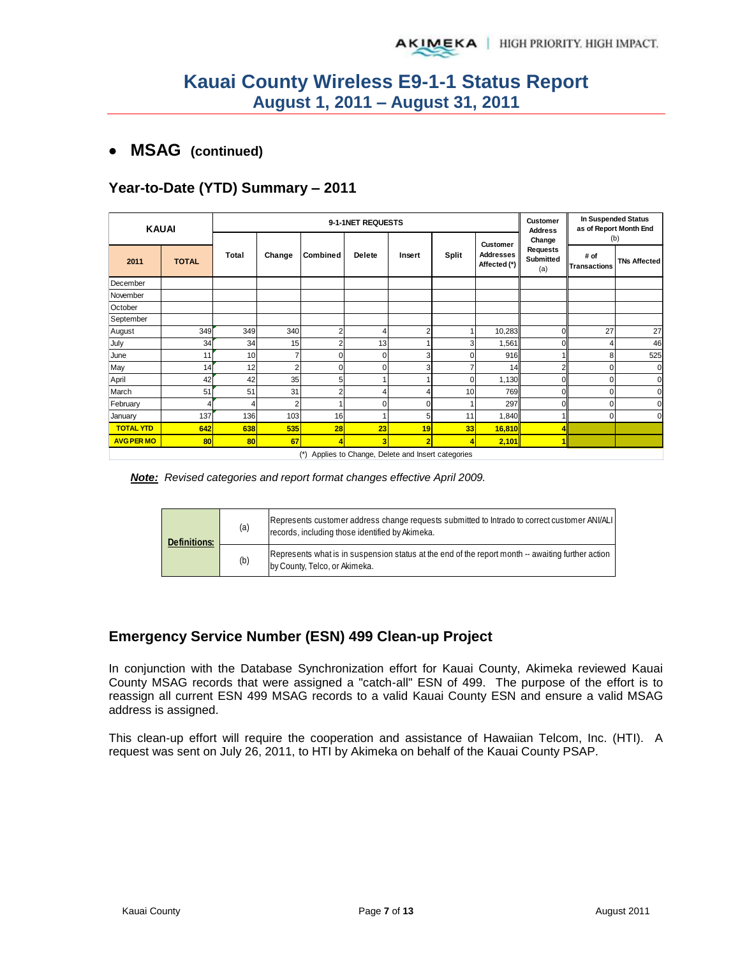### **MSAG (continued)**

### **Year-to-Date (YTD) Summary – 2011**

| <b>KAUAI</b>      |                                                     | 9-1-1NET REQUESTS |                |          |               | In Suspended Status<br>Customer<br>as of Report Month End<br><b>Address</b> |          |                                  |                                            |                             |                     |
|-------------------|-----------------------------------------------------|-------------------|----------------|----------|---------------|-----------------------------------------------------------------------------|----------|----------------------------------|--------------------------------------------|-----------------------------|---------------------|
|                   |                                                     |                   |                |          |               |                                                                             |          | Customer                         | Change                                     | (b)                         |                     |
| 2011              | <b>TOTAL</b>                                        | Total             | Change         | Combined | <b>Delete</b> | Insert                                                                      | Split    | <b>Addresses</b><br>Affected (*) | <b>Requests</b><br><b>Submitted</b><br>(a) | # of<br><b>Transactions</b> | <b>TNs Affected</b> |
| December          |                                                     |                   |                |          |               |                                                                             |          |                                  |                                            |                             |                     |
| November          |                                                     |                   |                |          |               |                                                                             |          |                                  |                                            |                             |                     |
| October           |                                                     |                   |                |          |               |                                                                             |          |                                  |                                            |                             |                     |
| September         |                                                     |                   |                |          |               |                                                                             |          |                                  |                                            |                             |                     |
| August            | 349                                                 | 349               | 340            |          | 4             | 2                                                                           |          | 10,283                           |                                            | 27                          | 27                  |
| July              | 34                                                  | 34                | 15             |          | 13            |                                                                             | 3        | 1,561                            |                                            |                             | 46                  |
| June              | 11                                                  | 10                |                |          | $\Omega$      | 3                                                                           | 0        | 916                              |                                            | 8                           | 525                 |
| May               | 14                                                  | 12                | $\overline{2}$ |          | $\Omega$      | 3                                                                           |          | 14                               |                                            | 0                           | C                   |
| April             | 42                                                  | 42                | 35             |          |               |                                                                             | $\Omega$ | 1,130                            |                                            | O                           | C                   |
| March             | 51                                                  | 51                | 31             |          | 4             | 4                                                                           | 10       | 769                              |                                            | O                           |                     |
| February          |                                                     | 4                 |                |          | $\Omega$      | U                                                                           |          | 297                              |                                            | $\Omega$                    |                     |
| January           | 137                                                 | 136               | 103            | 16       |               | 5                                                                           | 11       | 1,840                            |                                            | $\Omega$                    | $\Omega$            |
| <b>TOTAL YTD</b>  | 642                                                 | 638               | 535            | 28       | 23            | 19                                                                          | 33       | 16,810                           |                                            |                             |                     |
| <b>AVG PER MO</b> | <b>80</b>                                           | 80                | 67             |          | 3             | 2                                                                           |          | 2,101                            |                                            |                             |                     |
|                   | (*) Applies to Change, Delete and Insert categories |                   |                |          |               |                                                                             |          |                                  |                                            |                             |                     |

*Note: Revised categories and report format changes effective April 2009.* 

| <b>Definitions:</b> | (a) | [Represents customer address change requests submitted to Intrado to correct customer ANI/ALI<br>records, including those identified by Akimeka. |  |  |  |  |
|---------------------|-----|--------------------------------------------------------------------------------------------------------------------------------------------------|--|--|--|--|
|                     | (b) | Represents what is in suspension status at the end of the report month -- awaiting further action<br>by County, Telco, or Akimeka.               |  |  |  |  |

### **Emergency Service Number (ESN) 499 Clean-up Project**

In conjunction with the Database Synchronization effort for Kauai County, Akimeka reviewed Kauai County MSAG records that were assigned a "catch-all" ESN of 499. The purpose of the effort is to reassign all current ESN 499 MSAG records to a valid Kauai County ESN and ensure a valid MSAG address is assigned.

This clean-up effort will require the cooperation and assistance of Hawaiian Telcom, Inc. (HTI). A request was sent on July 26, 2011, to HTI by Akimeka on behalf of the Kauai County PSAP.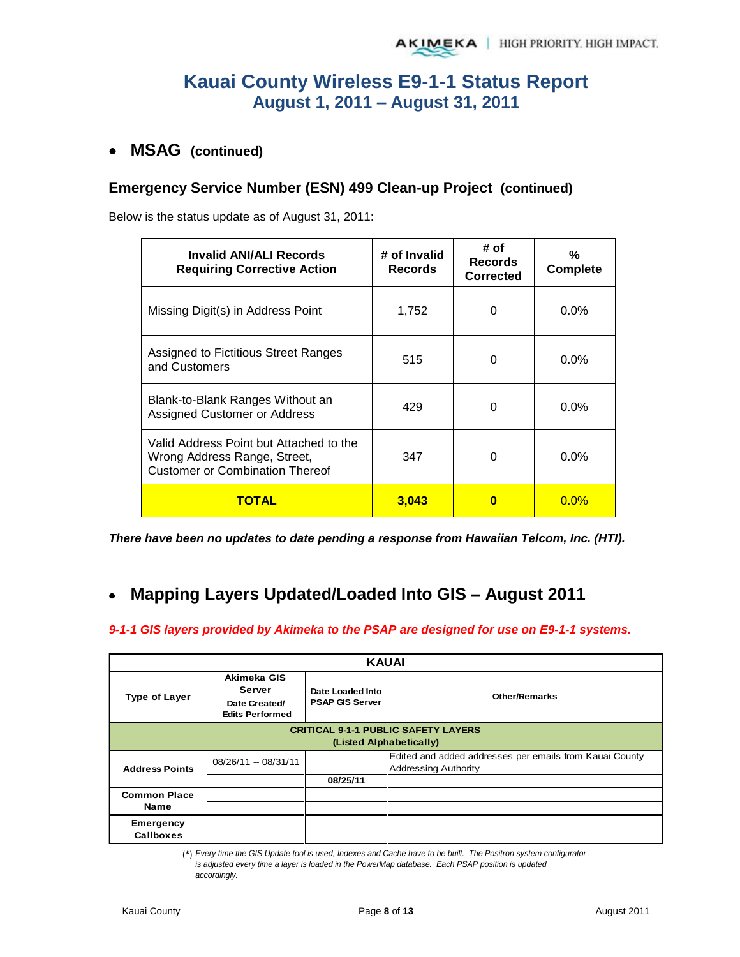### **MSAG (continued)**

### **Emergency Service Number (ESN) 499 Clean-up Project (continued)**

Below is the status update as of August 31, 2011:

| Invalid ANI/ALI Records<br><b>Requiring Corrective Action</b>                                                     | # of Invalid<br><b>Records</b> | # of<br><b>Records</b><br><b>Corrected</b> | %<br><b>Complete</b> |
|-------------------------------------------------------------------------------------------------------------------|--------------------------------|--------------------------------------------|----------------------|
| Missing Digit(s) in Address Point                                                                                 | 1,752                          | 0                                          | $0.0\%$              |
| Assigned to Fictitious Street Ranges<br>and Customers                                                             | 515                            | 0                                          | $0.0\%$              |
| Blank-to-Blank Ranges Without an<br>Assigned Customer or Address                                                  | 429                            | 0                                          | $0.0\%$              |
| Valid Address Point but Attached to the<br>Wrong Address Range, Street,<br><b>Customer or Combination Thereof</b> | 347                            | ∩                                          | $0.0\%$              |
| <b>TOTAL</b>                                                                                                      | 3,043                          | 0                                          | $0.0\%$              |

*There have been no updates to date pending a response from Hawaiian Telcom, Inc. (HTI).* 

#### **Mapping Layers Updated/Loaded Into GIS – August 2011**  $\bullet$

#### *9-1-1 GIS layers provided by Akimeka to the PSAP are designed for use on E9-1-1 systems.*

| <b>KAUAI</b>                                                          |                                         |                        |                                                                                        |  |  |  |
|-----------------------------------------------------------------------|-----------------------------------------|------------------------|----------------------------------------------------------------------------------------|--|--|--|
|                                                                       | Akimeka GIS<br>Server                   | Date Loaded Into       | <b>Other/Remarks</b>                                                                   |  |  |  |
| <b>Type of Layer</b>                                                  | Date Created/<br><b>Edits Performed</b> | <b>PSAP GIS Server</b> |                                                                                        |  |  |  |
| <b>CRITICAL 9-1-1 PUBLIC SAFETY LAYERS</b><br>(Listed Alphabetically) |                                         |                        |                                                                                        |  |  |  |
| <b>Address Points</b>                                                 | 08/26/11 -- 08/31/11                    |                        | Edited and added addresses per emails from Kauai County<br><b>Addressing Authority</b> |  |  |  |
|                                                                       |                                         | 08/25/11               |                                                                                        |  |  |  |
| <b>Common Place</b>                                                   |                                         |                        |                                                                                        |  |  |  |
| Name                                                                  |                                         |                        |                                                                                        |  |  |  |
| <b>Emergency</b>                                                      |                                         |                        |                                                                                        |  |  |  |
| <b>Callboxes</b>                                                      |                                         |                        |                                                                                        |  |  |  |

*accordingly.*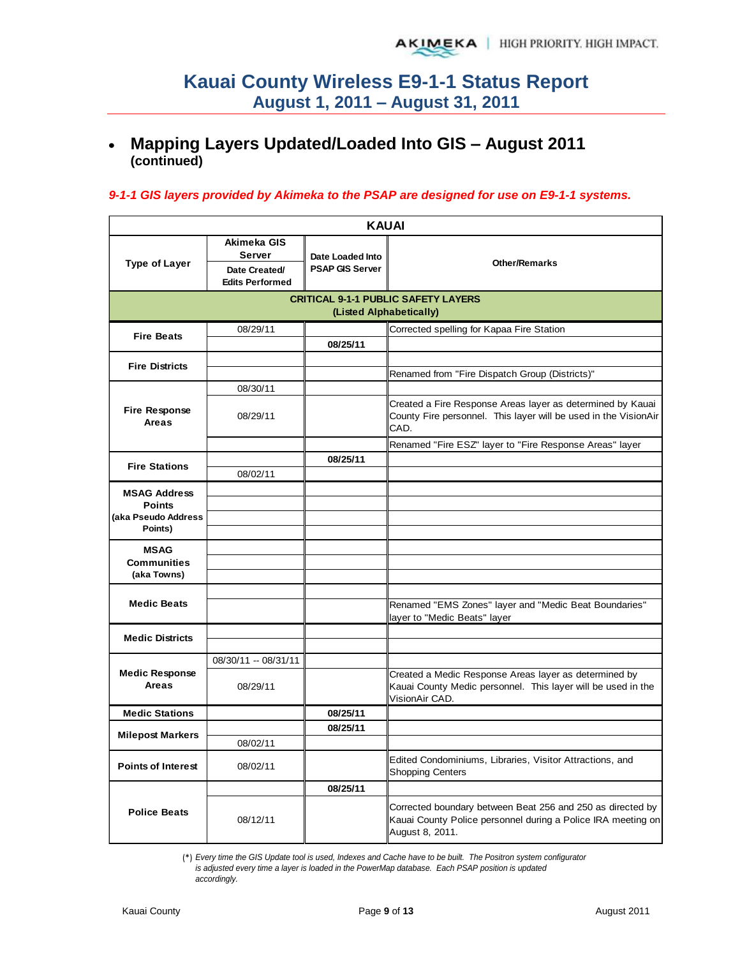#### **Mapping Layers Updated/Loaded Into GIS – August 2011**   $\bullet$ **(continued)**

#### *9-1-1 GIS layers provided by Akimeka to the PSAP are designed for use on E9-1-1 systems.*

|                                   | <b>KAUAI</b>                                                            |                                            |                                                                                                                                               |  |  |  |  |
|-----------------------------------|-------------------------------------------------------------------------|--------------------------------------------|-----------------------------------------------------------------------------------------------------------------------------------------------|--|--|--|--|
| <b>Type of Layer</b>              | Akimeka GIS<br><b>Server</b><br>Date Created/<br><b>Edits Performed</b> | Date Loaded Into<br><b>PSAP GIS Server</b> | <b>Other/Remarks</b>                                                                                                                          |  |  |  |  |
|                                   |                                                                         |                                            | <b>CRITICAL 9-1-1 PUBLIC SAFETY LAYERS</b>                                                                                                    |  |  |  |  |
|                                   |                                                                         | (Listed Alphabetically)                    |                                                                                                                                               |  |  |  |  |
| <b>Fire Beats</b>                 | 08/29/11                                                                |                                            | Corrected spelling for Kapaa Fire Station                                                                                                     |  |  |  |  |
|                                   |                                                                         | 08/25/11                                   |                                                                                                                                               |  |  |  |  |
| <b>Fire Districts</b>             |                                                                         |                                            |                                                                                                                                               |  |  |  |  |
|                                   |                                                                         |                                            | Renamed from "Fire Dispatch Group (Districts)"                                                                                                |  |  |  |  |
|                                   | 08/30/11                                                                |                                            |                                                                                                                                               |  |  |  |  |
| <b>Fire Response</b><br>Areas     | 08/29/11                                                                |                                            | Created a Fire Response Areas layer as determined by Kauai<br>County Fire personnel. This layer will be used in the VisionAir<br>CAD.         |  |  |  |  |
|                                   |                                                                         |                                            | Renamed "Fire ESZ" layer to "Fire Response Areas" layer                                                                                       |  |  |  |  |
| <b>Fire Stations</b>              |                                                                         | 08/25/11                                   |                                                                                                                                               |  |  |  |  |
|                                   | 08/02/11                                                                |                                            |                                                                                                                                               |  |  |  |  |
| <b>MSAG Address</b>               |                                                                         |                                            |                                                                                                                                               |  |  |  |  |
| <b>Points</b>                     |                                                                         |                                            |                                                                                                                                               |  |  |  |  |
| (aka Pseudo Address<br>Points)    |                                                                         |                                            |                                                                                                                                               |  |  |  |  |
|                                   |                                                                         |                                            |                                                                                                                                               |  |  |  |  |
| <b>MSAG</b>                       |                                                                         |                                            |                                                                                                                                               |  |  |  |  |
| <b>Communities</b><br>(aka Towns) |                                                                         |                                            |                                                                                                                                               |  |  |  |  |
|                                   |                                                                         |                                            |                                                                                                                                               |  |  |  |  |
| <b>Medic Beats</b>                |                                                                         |                                            | Renamed "EMS Zones" layer and "Medic Beat Boundaries"<br>layer to "Medic Beats" layer                                                         |  |  |  |  |
| <b>Medic Districts</b>            |                                                                         |                                            |                                                                                                                                               |  |  |  |  |
|                                   |                                                                         |                                            |                                                                                                                                               |  |  |  |  |
|                                   | 08/30/11 -- 08/31/11                                                    |                                            |                                                                                                                                               |  |  |  |  |
| <b>Medic Response</b><br>Areas    | 08/29/11                                                                |                                            | Created a Medic Response Areas layer as determined by<br>Kauai County Medic personnel. This layer will be used in the<br>VisionAir CAD.       |  |  |  |  |
| <b>Medic Stations</b>             |                                                                         | 08/25/11                                   |                                                                                                                                               |  |  |  |  |
| <b>Milepost Markers</b>           |                                                                         | 08/25/11                                   |                                                                                                                                               |  |  |  |  |
|                                   | 08/02/11                                                                |                                            |                                                                                                                                               |  |  |  |  |
| <b>Points of Interest</b>         | 08/02/11                                                                |                                            | Edited Condominiums, Libraries, Visitor Attractions, and<br><b>Shopping Centers</b>                                                           |  |  |  |  |
|                                   |                                                                         | 08/25/11                                   |                                                                                                                                               |  |  |  |  |
| <b>Police Beats</b>               | 08/12/11                                                                |                                            | Corrected boundary between Beat 256 and 250 as directed by<br>Kauai County Police personnel during a Police IRA meeting on<br>August 8, 2011. |  |  |  |  |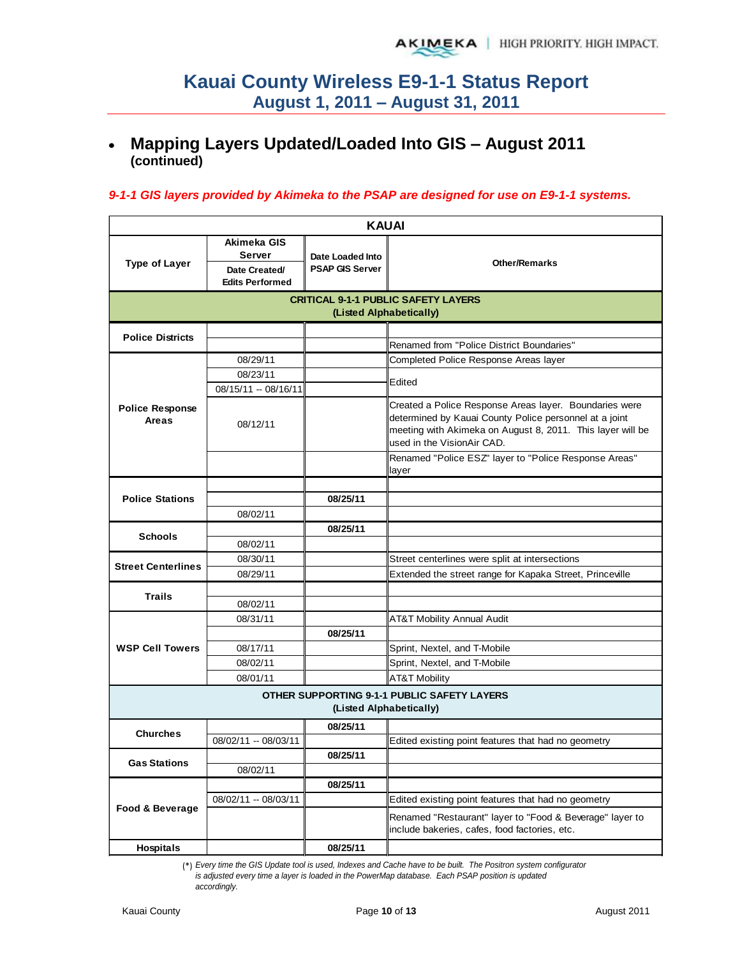#### **Mapping Layers Updated/Loaded Into GIS – August 2011**   $\bullet$ **(continued)**

#### *9-1-1 GIS layers provided by Akimeka to the PSAP are designed for use on E9-1-1 systems.*

| <b>KAUAI</b>                    |                                                                                                                                               |                         |                                                                                                                                                                                                              |  |  |  |
|---------------------------------|-----------------------------------------------------------------------------------------------------------------------------------------------|-------------------------|--------------------------------------------------------------------------------------------------------------------------------------------------------------------------------------------------------------|--|--|--|
| <b>Type of Layer</b>            | Akimeka GIS<br><b>Server</b><br>Date Loaded Into<br><b>Other/Remarks</b><br><b>PSAP GIS Server</b><br>Date Created/<br><b>Edits Performed</b> |                         |                                                                                                                                                                                                              |  |  |  |
|                                 |                                                                                                                                               | (Listed Alphabetically) | <b>CRITICAL 9-1-1 PUBLIC SAFETY LAYERS</b>                                                                                                                                                                   |  |  |  |
| <b>Police Districts</b>         |                                                                                                                                               |                         | Renamed from "Police District Boundaries"                                                                                                                                                                    |  |  |  |
|                                 | 08/29/11                                                                                                                                      |                         | Completed Police Response Areas layer                                                                                                                                                                        |  |  |  |
|                                 | 08/23/11                                                                                                                                      |                         |                                                                                                                                                                                                              |  |  |  |
|                                 | 08/15/11 -- 08/16/11                                                                                                                          |                         | Edited                                                                                                                                                                                                       |  |  |  |
| <b>Police Response</b><br>Areas | 08/12/11                                                                                                                                      |                         | Created a Police Response Areas layer. Boundaries were<br>determined by Kauai County Police personnel at a joint<br>meeting with Akimeka on August 8, 2011. This layer will be<br>used in the VisionAir CAD. |  |  |  |
|                                 |                                                                                                                                               |                         | Renamed "Police ESZ" layer to "Police Response Areas"<br>layer                                                                                                                                               |  |  |  |
|                                 |                                                                                                                                               |                         |                                                                                                                                                                                                              |  |  |  |
| <b>Police Stations</b>          |                                                                                                                                               | 08/25/11                |                                                                                                                                                                                                              |  |  |  |
|                                 | 08/02/11                                                                                                                                      |                         |                                                                                                                                                                                                              |  |  |  |
| <b>Schools</b>                  |                                                                                                                                               | 08/25/11                |                                                                                                                                                                                                              |  |  |  |
|                                 | 08/02/11                                                                                                                                      |                         |                                                                                                                                                                                                              |  |  |  |
| <b>Street Centerlines</b>       | 08/30/11                                                                                                                                      |                         | Street centerlines were split at intersections                                                                                                                                                               |  |  |  |
|                                 | 08/29/11                                                                                                                                      |                         | Extended the street range for Kapaka Street, Princeville                                                                                                                                                     |  |  |  |
| <b>Trails</b>                   |                                                                                                                                               |                         |                                                                                                                                                                                                              |  |  |  |
|                                 | 08/02/11                                                                                                                                      |                         |                                                                                                                                                                                                              |  |  |  |
|                                 | 08/31/11                                                                                                                                      |                         | <b>AT&amp;T Mobility Annual Audit</b>                                                                                                                                                                        |  |  |  |
|                                 |                                                                                                                                               | 08/25/11                |                                                                                                                                                                                                              |  |  |  |
| <b>WSP Cell Towers</b>          | 08/17/11                                                                                                                                      |                         | Sprint, Nextel, and T-Mobile                                                                                                                                                                                 |  |  |  |
|                                 | 08/02/11                                                                                                                                      |                         | Sprint, Nextel, and T-Mobile                                                                                                                                                                                 |  |  |  |
|                                 | 08/01/11                                                                                                                                      |                         | <b>AT&amp;T Mobility</b>                                                                                                                                                                                     |  |  |  |
|                                 |                                                                                                                                               | (Listed Alphabetically) | <b>OTHER SUPPORTING 9-1-1 PUBLIC SAFETY LAYERS</b>                                                                                                                                                           |  |  |  |
|                                 |                                                                                                                                               | 08/25/11                |                                                                                                                                                                                                              |  |  |  |
| <b>Churches</b>                 | 08/02/11 -- 08/03/11                                                                                                                          |                         | Edited existing point features that had no geometry                                                                                                                                                          |  |  |  |
| <b>Gas Stations</b>             |                                                                                                                                               | 08/25/11                |                                                                                                                                                                                                              |  |  |  |
|                                 | 08/02/11                                                                                                                                      |                         |                                                                                                                                                                                                              |  |  |  |
|                                 |                                                                                                                                               | 08/25/11                |                                                                                                                                                                                                              |  |  |  |
| Food & Beverage                 | 08/02/11 -- 08/03/11                                                                                                                          |                         | Edited existing point features that had no geometry                                                                                                                                                          |  |  |  |
|                                 |                                                                                                                                               |                         | Renamed "Restaurant" layer to "Food & Beverage" layer to<br>include bakeries, cafes, food factories, etc.                                                                                                    |  |  |  |
| <b>Hospitals</b>                |                                                                                                                                               | 08/25/11                |                                                                                                                                                                                                              |  |  |  |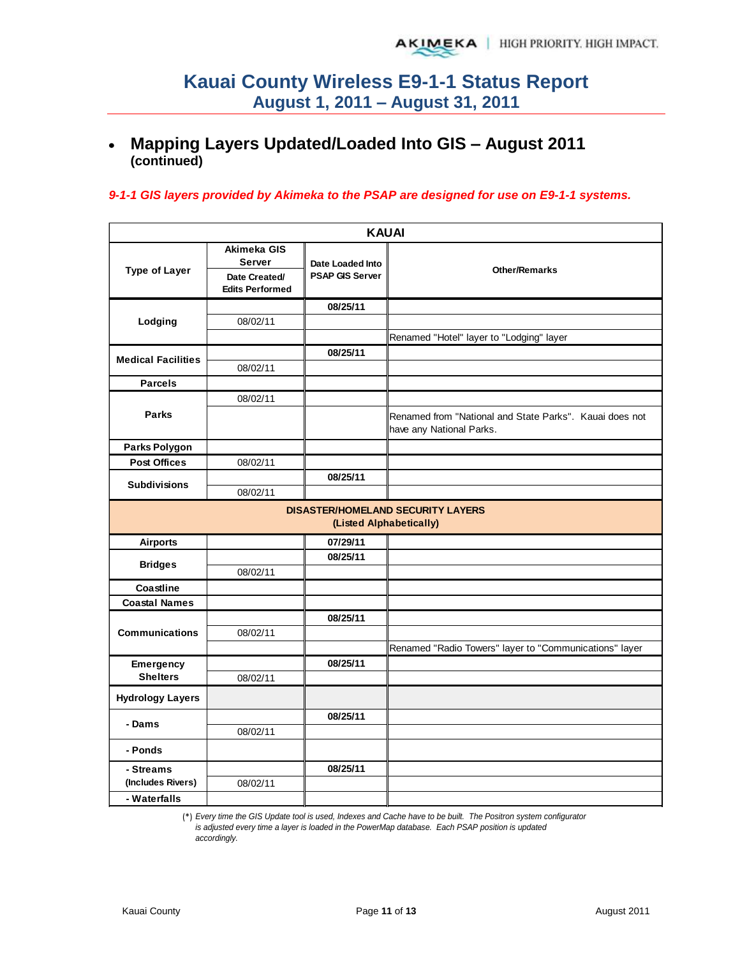#### **Mapping Layers Updated/Loaded Into GIS – August 2011**   $\bullet$ **(continued)**

#### *9-1-1 GIS layers provided by Akimeka to the PSAP are designed for use on E9-1-1 systems.*

|                           |                                                                         |                                            | <b>KAUAI</b>                                                                        |
|---------------------------|-------------------------------------------------------------------------|--------------------------------------------|-------------------------------------------------------------------------------------|
| <b>Type of Layer</b>      | Akimeka GIS<br><b>Server</b><br>Date Created/<br><b>Edits Performed</b> | Date Loaded Into<br><b>PSAP GIS Server</b> | <b>Other/Remarks</b>                                                                |
|                           |                                                                         | 08/25/11                                   |                                                                                     |
| Lodging                   | 08/02/11                                                                |                                            |                                                                                     |
|                           |                                                                         |                                            | Renamed "Hotel" layer to "Lodging" layer                                            |
|                           |                                                                         | 08/25/11                                   |                                                                                     |
| <b>Medical Facilities</b> | 08/02/11                                                                |                                            |                                                                                     |
| <b>Parcels</b>            |                                                                         |                                            |                                                                                     |
|                           | 08/02/11                                                                |                                            |                                                                                     |
| <b>Parks</b>              |                                                                         |                                            | Renamed from "National and State Parks". Kauai does not<br>have any National Parks. |
| Parks Polygon             |                                                                         |                                            |                                                                                     |
| <b>Post Offices</b>       | 08/02/11                                                                |                                            |                                                                                     |
|                           |                                                                         | 08/25/11                                   |                                                                                     |
| <b>Subdivisions</b>       | 08/02/11                                                                |                                            |                                                                                     |
|                           |                                                                         |                                            | <b>DISASTER/HOMELAND SECURITY LAYERS</b><br>(Listed Alphabetically)                 |
| <b>Airports</b>           |                                                                         | 07/29/11                                   |                                                                                     |
|                           |                                                                         | 08/25/11                                   |                                                                                     |
| <b>Bridges</b>            | 08/02/11                                                                |                                            |                                                                                     |
| Coastline                 |                                                                         |                                            |                                                                                     |
| <b>Coastal Names</b>      |                                                                         |                                            |                                                                                     |
|                           |                                                                         | 08/25/11                                   |                                                                                     |
| <b>Communications</b>     | 08/02/11                                                                |                                            |                                                                                     |
|                           |                                                                         |                                            | Renamed "Radio Towers" layer to "Communications" layer                              |
| Emergency                 |                                                                         | 08/25/11                                   |                                                                                     |
| <b>Shelters</b>           | 08/02/11                                                                |                                            |                                                                                     |
| <b>Hydrology Layers</b>   |                                                                         |                                            |                                                                                     |
| - Dams                    |                                                                         | 08/25/11                                   |                                                                                     |
|                           | 08/02/11                                                                |                                            |                                                                                     |
| - Ponds                   |                                                                         |                                            |                                                                                     |
| - Streams                 |                                                                         | 08/25/11                                   |                                                                                     |
| (Includes Rivers)         | 08/02/11                                                                |                                            |                                                                                     |
| - Waterfalls              |                                                                         |                                            |                                                                                     |

(\*) *Every time the GIS Update tool is used, Indexes and Cache have to be built. The Positron system configurator* 

*is adjusted every time a layer is loaded in the PowerMap database. Each PSAP position is updated accordingly.*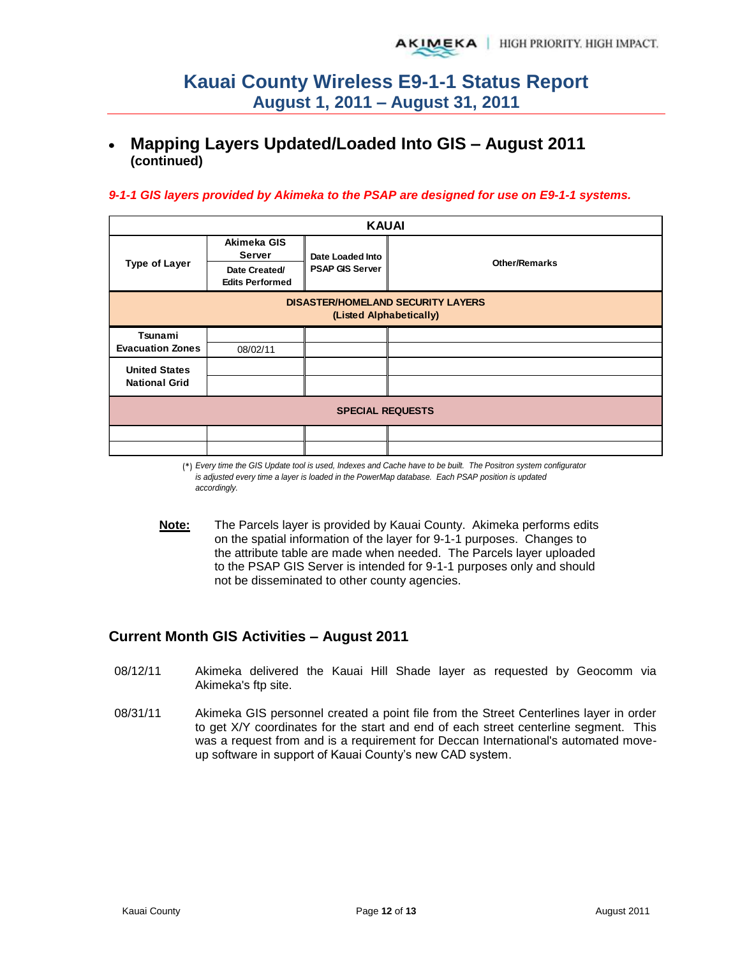## **Mapping Layers Updated/Loaded Into GIS – August 2011 (continued)**

#### *9-1-1 GIS layers provided by Akimeka to the PSAP are designed for use on E9-1-1 systems.*

| <b>KAUAI</b>                                                        |                                         |                        |                      |  |  |  |
|---------------------------------------------------------------------|-----------------------------------------|------------------------|----------------------|--|--|--|
|                                                                     | Akimeka GIS<br>Server                   | Date Loaded Into       | <b>Other/Remarks</b> |  |  |  |
| <b>Type of Layer</b>                                                | Date Created/<br><b>Edits Performed</b> | <b>PSAP GIS Server</b> |                      |  |  |  |
| <b>DISASTER/HOMELAND SECURITY LAYERS</b><br>(Listed Alphabetically) |                                         |                        |                      |  |  |  |
| Tsunami                                                             |                                         |                        |                      |  |  |  |
| <b>Evacuation Zones</b>                                             | 08/02/11                                |                        |                      |  |  |  |
| <b>United States</b>                                                |                                         |                        |                      |  |  |  |
| <b>National Grid</b>                                                |                                         |                        |                      |  |  |  |
| <b>SPECIAL REQUESTS</b>                                             |                                         |                        |                      |  |  |  |
|                                                                     |                                         |                        |                      |  |  |  |
|                                                                     |                                         |                        |                      |  |  |  |

(\*) *Every time the GIS Update tool is used, Indexes and Cache have to be built. The Positron system configurator is adjusted every time a layer is loaded in the PowerMap database. Each PSAP position is updated accordingly.*

**Note:** The Parcels layer is provided by Kauai County. Akimeka performs edits on the spatial information of the layer for 9-1-1 purposes. Changes to the attribute table are made when needed. The Parcels layer uploaded to the PSAP GIS Server is intended for 9-1-1 purposes only and should not be disseminated to other county agencies.

### **Current Month GIS Activities – August 2011**

- 08/12/11 Akimeka delivered the Kauai Hill Shade layer as requested by Geocomm via Akimeka's ftp site.
- 08/31/11 Akimeka GIS personnel created a point file from the Street Centerlines layer in order to get X/Y coordinates for the start and end of each street centerline segment. This was a request from and is a requirement for Deccan International's automated moveup software in support of Kauai County's new CAD system.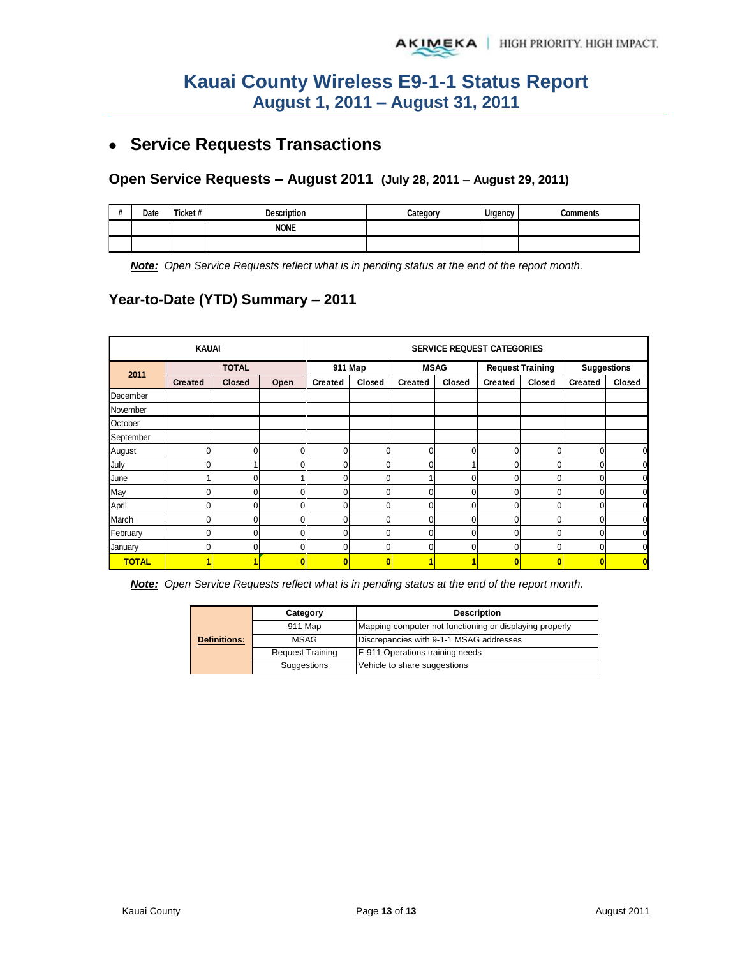# **Service Requests Transactions**

#### **Open Service Requests – August 2011 (July 28, 2011 – August 29, 2011)**

| $\mathbf{u}$ | Date | Ticket# | <b>Description</b> | Category | Urgency | Comments |
|--------------|------|---------|--------------------|----------|---------|----------|
|              |      |         | <b>NONE</b>        |          |         |          |
|              |      |         |                    |          |         |          |

*Note: Open Service Requests reflect what is in pending status at the end of the report month.*

### **Year-to-Date (YTD) Summary – 2011**

|              | <b>KAUAI</b>   |              |      |                | <b>SERVICE REQUEST CATEGORIES</b> |                |             |                         |             |                    |        |  |
|--------------|----------------|--------------|------|----------------|-----------------------------------|----------------|-------------|-------------------------|-------------|--------------------|--------|--|
| 2011         |                | <b>TOTAL</b> |      |                | 911 Map                           |                | <b>MSAG</b> | <b>Request Training</b> |             | <b>Suggestions</b> |        |  |
|              | <b>Created</b> | Closed       | Open | <b>Created</b> | Closed                            | <b>Created</b> | Closed      | <b>Created</b>          | Closed      | Created            | Closed |  |
| December     |                |              |      |                |                                   |                |             |                         |             |                    |        |  |
| November     |                |              |      |                |                                   |                |             |                         |             |                    |        |  |
| October      |                |              |      |                |                                   |                |             |                         |             |                    |        |  |
| September    |                |              |      |                |                                   |                |             |                         |             |                    |        |  |
| August       |                | $\Omega$     | U    | 0              | $\Omega$                          | 0              | 0           | 0                       | $\Omega$    | $\Omega$           | 0      |  |
| July         |                |              |      | 0              | 0                                 | 0              |             | 0                       | 0           | 0                  |        |  |
| June         |                | 0            |      |                | 0                                 |                | 0           |                         | 0           | 0                  | 0      |  |
| May          |                | $\Omega$     |      |                | $\Omega$                          | 0              | 0           | 0                       | 0           | 0                  | 0      |  |
| April        |                | $\mathbf{0}$ |      | 0              | 0                                 | 0              | 0           | 0                       | $\mathbf 0$ | $\Omega$           | 0      |  |
| March        |                | 0            |      | 0              | $\Omega$                          | 0              | 0           |                         | $\Omega$    | 0                  |        |  |
| February     |                | $\Omega$     | ∩    | $\Omega$       | $\Omega$                          | 0              | 0           | 0                       | $\Omega$    | $\Omega$           | n      |  |
| January      |                | <sup>0</sup> |      |                | 0                                 | 0              | 0           | 0                       | 0           | $\Omega$           |        |  |
| <b>TOTAL</b> |                |              | n    | n              | $\mathbf{0}$                      | 1              |             | $\bf{0}$                | O           | O                  |        |  |

*Note: Open Service Requests reflect what is in pending status at the end of the report month.* 

|                     | Category                | <b>Description</b>                                      |  |  |  |
|---------------------|-------------------------|---------------------------------------------------------|--|--|--|
| <b>Definitions:</b> | 911 Map                 | Mapping computer not functioning or displaying properly |  |  |  |
|                     | MSAG                    | Discrepancies with 9-1-1 MSAG addresses                 |  |  |  |
|                     | <b>Request Training</b> | E-911 Operations training needs                         |  |  |  |
|                     | Suggestions             | Vehicle to share suggestions                            |  |  |  |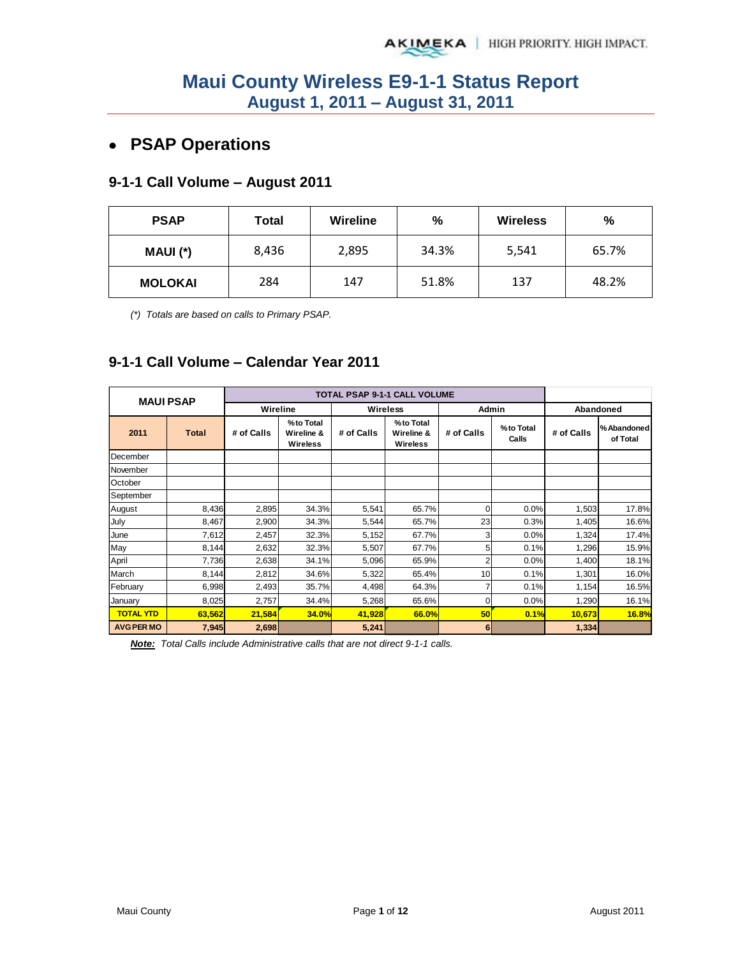# **PSAP Operations**

# **9-1-1 Call Volume – August 2011**

| <b>PSAP</b>    | Total | Wireline | %     | <b>Wireless</b> | %     |
|----------------|-------|----------|-------|-----------------|-------|
| MAUI (*)       | 8,436 | 2,895    | 34.3% | 5,541           | 65.7% |
| <b>MOLOKAI</b> | 284   | 147      | 51.8% | 137             | 48.2% |

*(\*) Totals are based on calls to Primary PSAP.* 

### **9-1-1 Call Volume – Calendar Year 2011**

| <b>MAUI PSAP</b>  |              |            |                                     |            | <b>TOTAL PSAP 9-1-1 CALL VOLUME</b> |            |                    |            |                         |
|-------------------|--------------|------------|-------------------------------------|------------|-------------------------------------|------------|--------------------|------------|-------------------------|
|                   |              | Wireline   |                                     |            | Wireless                            | Admin      |                    |            | Abandoned               |
| 2011              | <b>Total</b> | # of Calls | %to Total<br>Wireline &<br>Wireless | # of Calls | %to Total<br>Wireline &<br>Wireless | # of Calls | %to Total<br>Calls | # of Calls | % Abandoned<br>of Total |
| December          |              |            |                                     |            |                                     |            |                    |            |                         |
| November          |              |            |                                     |            |                                     |            |                    |            |                         |
| October           |              |            |                                     |            |                                     |            |                    |            |                         |
| September         |              |            |                                     |            |                                     |            |                    |            |                         |
| August            | 8,436        | 2,895      | 34.3%                               | 5,541      | 65.7%                               | $\Omega$   | 0.0%               | 1,503      | 17.8%                   |
| July              | 8,467        | 2,900      | 34.3%                               | 5,544      | 65.7%                               | 23         | 0.3%               | 1,405      | 16.6%                   |
| June              | 7,612        | 2,457      | 32.3%                               | 5,152      | 67.7%                               | 3          | 0.0%               | 1,324      | 17.4%                   |
| May               | 8,144        | 2,632      | 32.3%                               | 5,507      | 67.7%                               | 5          | 0.1%               | 1,296      | 15.9%                   |
| April             | 7,736        | 2,638      | 34.1%                               | 5,096      | 65.9%                               | 2          | 0.0%               | 1,400      | 18.1%                   |
| March             | 8,144        | 2,812      | 34.6%                               | 5,322      | 65.4%                               | 10         | 0.1%               | 1,301      | 16.0%                   |
| February          | 6,998        | 2,493      | 35.7%                               | 4,498      | 64.3%                               | 7          | 0.1%               | 1,154      | 16.5%                   |
| January           | 8,025        | 2,757      | 34.4%                               | 5,268      | 65.6%                               | 0          | 0.0%               | 1,290      | 16.1%                   |
| <b>TOTAL YTD</b>  | 63,562       | 21,584     | <b>34.0%</b>                        | 41,928     | 66.0%                               | 50         | 0.1%               | 10,673     | 16.8%                   |
| <b>AVG PER MO</b> | 7,945        | 2,698      |                                     | 5,241      |                                     | 6          |                    | 1,334      |                         |

*Note: Total Calls include Administrative calls that are not direct 9-1-1 calls.*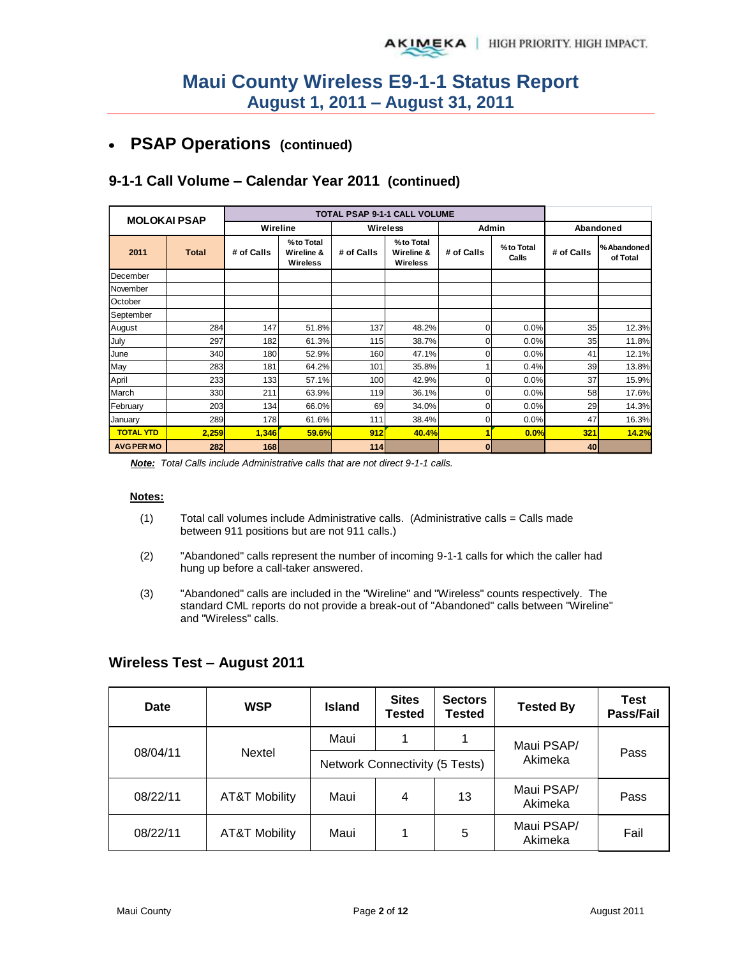#### **PSAP Operations (continued)**   $\bullet$

| <b>MOLOKAI PSAP</b> |              |            |                                     | <b>TOTAL PSAP 9-1-1 CALL VOLUME</b> |                                     |            |                    |            |                         |
|---------------------|--------------|------------|-------------------------------------|-------------------------------------|-------------------------------------|------------|--------------------|------------|-------------------------|
|                     |              | Wireline   |                                     | <b>Wireless</b>                     |                                     | Admin      |                    | Abandoned  |                         |
| 2011                | <b>Total</b> | # of Calls | %to Total<br>Wireline &<br>Wireless | # of Calls                          | %to Total<br>Wireline &<br>Wireless | # of Calls | %to Total<br>Calls | # of Calls | % Abandoned<br>of Total |
| December            |              |            |                                     |                                     |                                     |            |                    |            |                         |
| November            |              |            |                                     |                                     |                                     |            |                    |            |                         |
| October             |              |            |                                     |                                     |                                     |            |                    |            |                         |
| September           |              |            |                                     |                                     |                                     |            |                    |            |                         |
| August              | 284          | 147        | 51.8%                               | 137                                 | 48.2%                               | 0          | 0.0%               | 35         | 12.3%                   |
| July                | 297          | 182        | 61.3%                               | 115                                 | 38.7%                               | 0          | 0.0%               | 35         | 11.8%                   |
| June                | 340          | 180        | 52.9%                               | 160                                 | 47.1%                               | 0          | 0.0%               | 41         | 12.1%                   |
| May                 | 283          | 181        | 64.2%                               | 101                                 | 35.8%                               |            | 0.4%               | 39         | 13.8%                   |
| April               | 233          | 133        | 57.1%                               | 100                                 | 42.9%                               | ი          | 0.0%               | 37         | 15.9%                   |
| March               | 330          | 211        | 63.9%                               | 119                                 | 36.1%                               | 0          | 0.0%               | 58         | 17.6%                   |
| February            | 203          | 134        | 66.0%                               | 69                                  | 34.0%                               | 0          | 0.0%               | 29         | 14.3%                   |
| January             | 289          | 178        | 61.6%                               | 111                                 | 38.4%                               | 0          | 0.0%               | 47         | 16.3%                   |
| <b>TOTAL YTD</b>    | 2,259        | 1,346      | <b>59.6%</b>                        | 912                                 | 40.4%                               |            | 0.0%               | 321        | 14.2%                   |
| <b>AVG PER MO</b>   | 282          | 168        |                                     | 114                                 |                                     | $\bf{0}$   |                    | 40         |                         |

# **9-1-1 Call Volume – Calendar Year 2011 (continued)**

*Note: Total Calls include Administrative calls that are not direct 9-1-1 calls.* 

#### **Notes:**

- (1) Total call volumes include Administrative calls. (Administrative calls = Calls made between 911 positions but are not 911 calls.)
- (2) "Abandoned" calls represent the number of incoming 9-1-1 calls for which the caller had hung up before a call-taker answered.
- (3) "Abandoned" calls are included in the "Wireline" and "Wireless" counts respectively. The standard CML reports do not provide a break-out of "Abandoned" calls between "Wireline" and "Wireless" calls.

| Date     | <b>WSP</b>    | <b>Island</b> | <b>Sites</b><br>Tested         | <b>Sectors</b><br><b>Tested</b> | <b>Tested By</b>      | <b>Test</b><br>Pass/Fail |  |
|----------|---------------|---------------|--------------------------------|---------------------------------|-----------------------|--------------------------|--|
|          |               | Maui          | 4                              | 1                               | Maui PSAP/            | Pass                     |  |
| 08/04/11 | Nextel        |               | Network Connectivity (5 Tests) |                                 | Akimeka               |                          |  |
| 08/22/11 | AT&T Mobility | Maui          | 4                              | 13                              | Maui PSAP/<br>Akimeka | Pass                     |  |
| 08/22/11 | AT&T Mobility | Maui          | 4                              | 5                               | Maui PSAP/<br>Akimeka | Fail                     |  |

#### **Wireless Test – August 2011**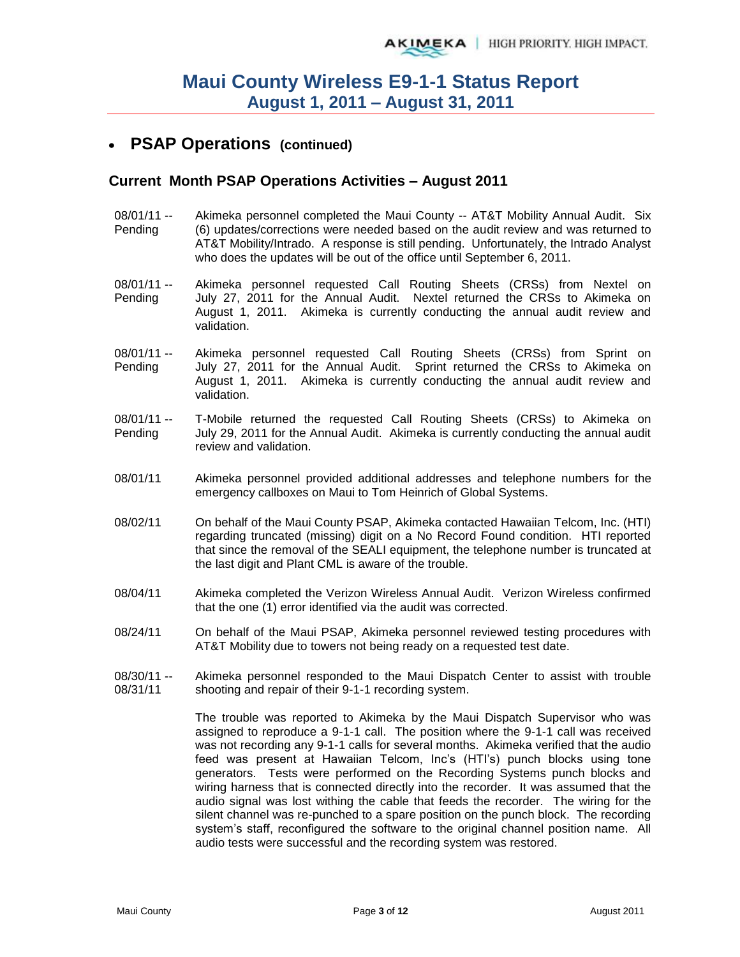## **PSAP Operations (continued)**

#### **Current Month PSAP Operations Activities – August 2011**

- 08/01/11 -- Pending Akimeka personnel completed the Maui County -- AT&T Mobility Annual Audit. Six (6) updates/corrections were needed based on the audit review and was returned to AT&T Mobility/Intrado. A response is still pending. Unfortunately, the Intrado Analyst who does the updates will be out of the office until September 6, 2011.
- 08/01/11 -- Pending Akimeka personnel requested Call Routing Sheets (CRSs) from Nextel on July 27, 2011 for the Annual Audit. Nextel returned the CRSs to Akimeka on August 1, 2011. Akimeka is currently conducting the annual audit review and validation.
- 08/01/11 -- Pending Akimeka personnel requested Call Routing Sheets (CRSs) from Sprint on July 27, 2011 for the Annual Audit. Sprint returned the CRSs to Akimeka on August 1, 2011. Akimeka is currently conducting the annual audit review and validation.
- 08/01/11 -- Pending T-Mobile returned the requested Call Routing Sheets (CRSs) to Akimeka on July 29, 2011 for the Annual Audit. Akimeka is currently conducting the annual audit review and validation.
- 08/01/11 Akimeka personnel provided additional addresses and telephone numbers for the emergency callboxes on Maui to Tom Heinrich of Global Systems.
- 08/02/11 On behalf of the Maui County PSAP, Akimeka contacted Hawaiian Telcom, Inc. (HTI) regarding truncated (missing) digit on a No Record Found condition. HTI reported that since the removal of the SEALI equipment, the telephone number is truncated at the last digit and Plant CML is aware of the trouble.
- 08/04/11 Akimeka completed the Verizon Wireless Annual Audit. Verizon Wireless confirmed that the one (1) error identified via the audit was corrected.
- 08/24/11 On behalf of the Maui PSAP, Akimeka personnel reviewed testing procedures with AT&T Mobility due to towers not being ready on a requested test date.
- 08/30/11 -- 08/31/11 Akimeka personnel responded to the Maui Dispatch Center to assist with trouble shooting and repair of their 9-1-1 recording system.

The trouble was reported to Akimeka by the Maui Dispatch Supervisor who was assigned to reproduce a 9-1-1 call. The position where the 9-1-1 call was received was not recording any 9-1-1 calls for several months. Akimeka verified that the audio feed was present at Hawaiian Telcom, Inc's (HTI's) punch blocks using tone generators. Tests were performed on the Recording Systems punch blocks and wiring harness that is connected directly into the recorder. It was assumed that the audio signal was lost withing the cable that feeds the recorder. The wiring for the silent channel was re-punched to a spare position on the punch block. The recording system's staff, reconfigured the software to the original channel position name. All audio tests were successful and the recording system was restored.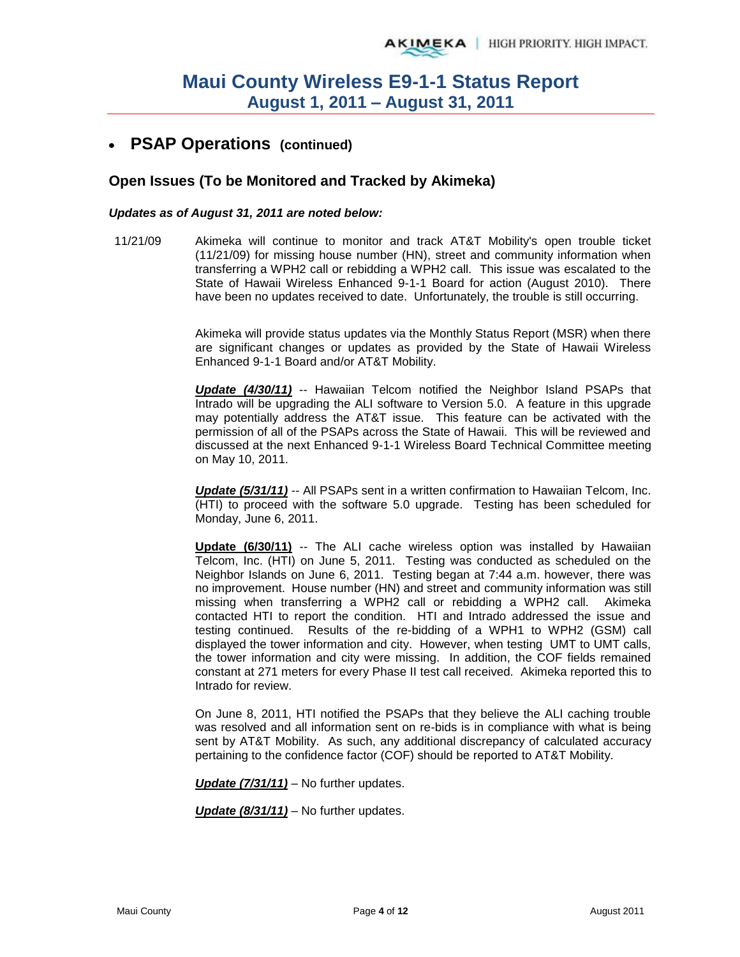# **PSAP Operations (continued)**

#### **Open Issues (To be Monitored and Tracked by Akimeka)**

#### *Updates as of August 31, 2011 are noted below:*

11/21/09 Akimeka will continue to monitor and track AT&T Mobility's open trouble ticket (11/21/09) for missing house number (HN), street and community information when transferring a WPH2 call or rebidding a WPH2 call. This issue was escalated to the State of Hawaii Wireless Enhanced 9-1-1 Board for action (August 2010). There have been no updates received to date. Unfortunately, the trouble is still occurring.

> Akimeka will provide status updates via the Monthly Status Report (MSR) when there are significant changes or updates as provided by the State of Hawaii Wireless Enhanced 9-1-1 Board and/or AT&T Mobility.

> *Update (4/30/11)* -- Hawaiian Telcom notified the Neighbor Island PSAPs that Intrado will be upgrading the ALI software to Version 5.0. A feature in this upgrade may potentially address the AT&T issue. This feature can be activated with the permission of all of the PSAPs across the State of Hawaii. This will be reviewed and discussed at the next Enhanced 9-1-1 Wireless Board Technical Committee meeting on May 10, 2011.

> **Update (5/31/11)** -- All PSAPs sent in a written confirmation to Hawaiian Telcom, Inc. (HTI) to proceed with the software 5.0 upgrade. Testing has been scheduled for Monday, June 6, 2011.

> **Update (6/30/11)** -- The ALI cache wireless option was installed by Hawaiian Telcom, Inc. (HTI) on June 5, 2011. Testing was conducted as scheduled on the Neighbor Islands on June 6, 2011. Testing began at 7:44 a.m. however, there was no improvement. House number (HN) and street and community information was still missing when transferring a WPH2 call or rebidding a WPH2 call. Akimeka contacted HTI to report the condition. HTI and Intrado addressed the issue and testing continued. Results of the re-bidding of a WPH1 to WPH2 (GSM) call displayed the tower information and city. However, when testing UMT to UMT calls, the tower information and city were missing. In addition, the COF fields remained constant at 271 meters for every Phase II test call received. Akimeka reported this to Intrado for review.

> On June 8, 2011, HTI notified the PSAPs that they believe the ALI caching trouble was resolved and all information sent on re-bids is in compliance with what is being sent by AT&T Mobility. As such, any additional discrepancy of calculated accuracy pertaining to the confidence factor (COF) should be reported to AT&T Mobility.

*Update (7/31/11)* – No further updates.

*Update (8/31/11)* – No further updates.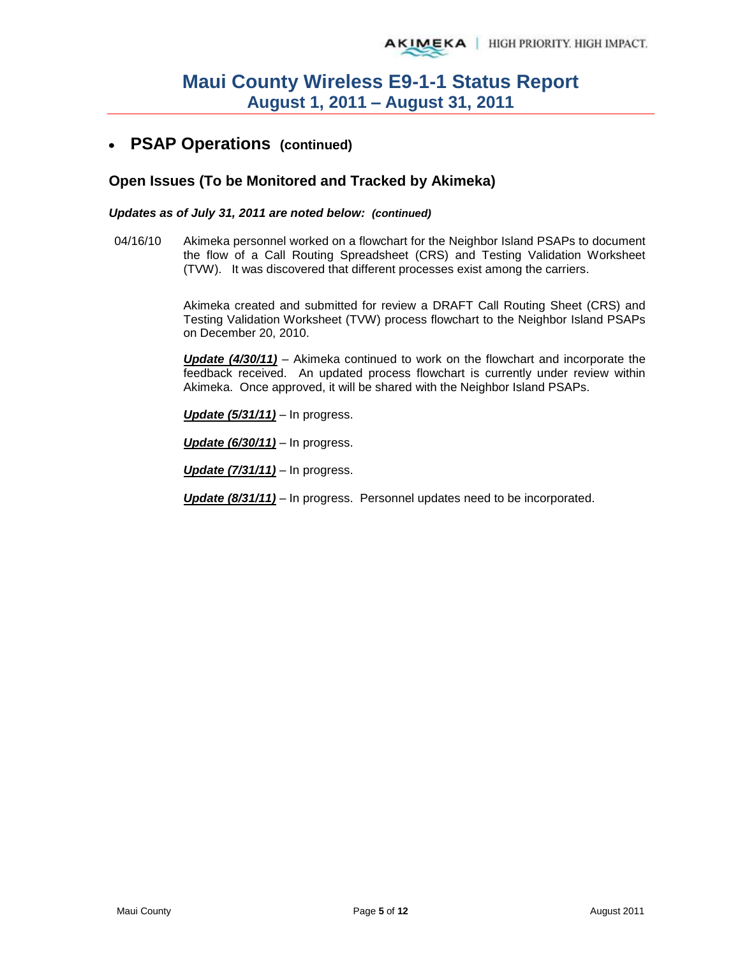#### **PSAP Operations (continued)**   $\bullet$

#### **Open Issues (To be Monitored and Tracked by Akimeka)**

#### *Updates as of July 31, 2011 are noted below: (continued)*

04/16/10 Akimeka personnel worked on a flowchart for the Neighbor Island PSAPs to document the flow of a Call Routing Spreadsheet (CRS) and Testing Validation Worksheet (TVW). It was discovered that different processes exist among the carriers.

> Akimeka created and submitted for review a DRAFT Call Routing Sheet (CRS) and Testing Validation Worksheet (TVW) process flowchart to the Neighbor Island PSAPs on December 20, 2010.

> *Update (4/30/11)* – Akimeka continued to work on the flowchart and incorporate the feedback received. An updated process flowchart is currently under review within Akimeka. Once approved, it will be shared with the Neighbor Island PSAPs.

*Update (5/31/11)* – In progress.

*Update (6/30/11)* – In progress.

*Update (7/31/11)* – In progress.

*Update (8/31/11)* – In progress. Personnel updates need to be incorporated.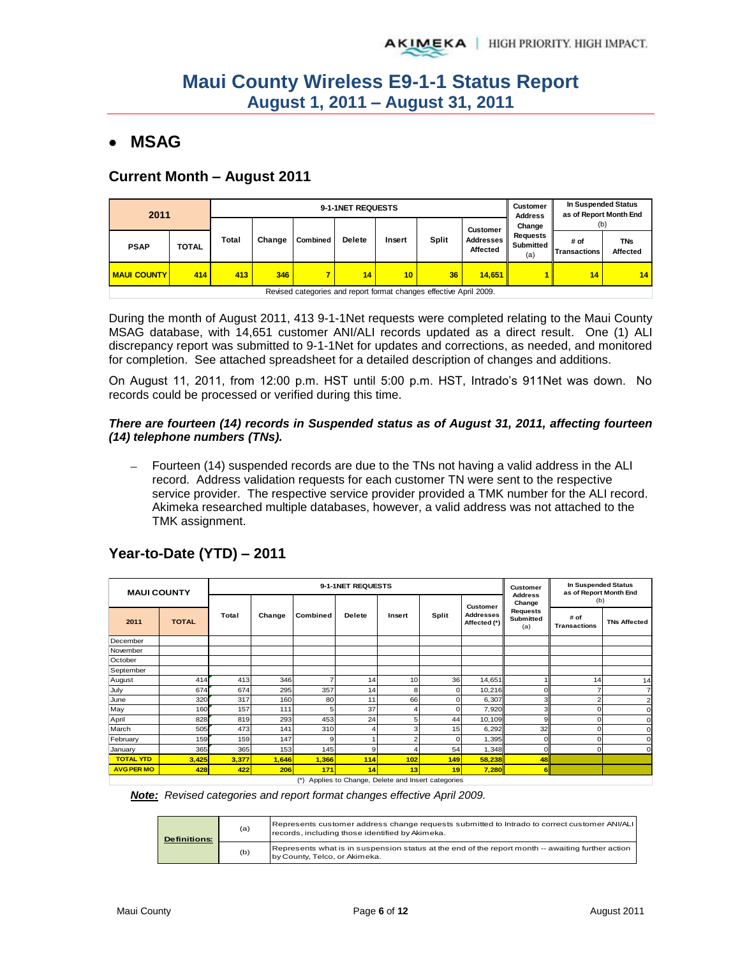# **MSAG**

#### **Current Month – August 2011**

| 2011               |              |       |        | 9-1-1NET REQUESTS |               | Customer<br><b>Address</b> | In Suspended Status<br>as of Report Month End                      |                                          |                                               |                                     |                        |
|--------------------|--------------|-------|--------|-------------------|---------------|----------------------------|--------------------------------------------------------------------|------------------------------------------|-----------------------------------------------|-------------------------------------|------------------------|
| <b>PSAP</b>        | <b>TOTAL</b> | Total | Change | Combined          | <b>Delete</b> | Insert                     | Split                                                              | <b>Customer</b><br>Addresses<br>Affected | Change<br><b>Requests</b><br>Submitted<br>(a) | (b)<br># of<br><b>ITransactions</b> | <b>TNs</b><br>Affected |
| <b>MAUI COUNTY</b> | 414          | 413   | 346    | 7                 | 14            | 10 <sup>1</sup>            | 36                                                                 | 14.651                                   |                                               | 14                                  | 14                     |
|                    |              |       |        |                   |               |                            | Revised categories and report format changes effective April 2009. |                                          |                                               |                                     |                        |

During the month of August 2011, 413 9-1-1Net requests were completed relating to the Maui County MSAG database, with 14,651 customer ANI/ALI records updated as a direct result. One (1) ALI discrepancy report was submitted to 9-1-1Net for updates and corrections, as needed, and monitored for completion. See attached spreadsheet for a detailed description of changes and additions.

On August 11, 2011, from 12:00 p.m. HST until 5:00 p.m. HST, Intrado's 911Net was down. No records could be processed or verified during this time.

#### *There are fourteen (14) records in Suspended status as of August 31, 2011, affecting fourteen (14) telephone numbers (TNs).*

- Fourteen (14) suspended records are due to the TNs not having a valid address in the ALI record. Address validation requests for each customer TN were sent to the respective service provider. The respective service provider provided a TMK number for the ALI record. Akimeka researched multiple databases, however, a valid address was not attached to the TMK assignment.

| <b>MAUI COUNTY</b> |              |       |        |          | 9-1-1NET REQUESTS |                |       |                                  | <b>In Suspended Status</b><br>Customer<br>as of Report Month End |                             |                     |
|--------------------|--------------|-------|--------|----------|-------------------|----------------|-------|----------------------------------|------------------------------------------------------------------|-----------------------------|---------------------|
|                    |              |       |        |          |                   |                |       | Customer                         | <b>Address</b><br>Change                                         | (b)                         |                     |
| 2011               | <b>TOTAL</b> | Total | Change | Combined | <b>Delete</b>     | Insert         | Split | <b>Addresses</b><br>Affected (*) | <b>Requests</b><br><b>Submitted</b><br>(a)                       | # of<br><b>Transactions</b> | <b>TNs Affected</b> |
| December           |              |       |        |          |                   |                |       |                                  |                                                                  |                             |                     |
| November           |              |       |        |          |                   |                |       |                                  |                                                                  |                             |                     |
| October            |              |       |        |          |                   |                |       |                                  |                                                                  |                             |                     |
| September          |              |       |        |          |                   |                |       |                                  |                                                                  |                             |                     |
| August             | 414          | 413   | 346    |          | 14                | 10             | 36    | 14,651                           |                                                                  | 14                          | 14                  |
| July               | 674          | 674   | 295    | 357      | 14                | 8              | 0     | 10,216                           | $\Omega$                                                         |                             |                     |
| June               | 320          | 317   | 160    | 80       | 11                | 66             | 0     | 6,307                            | 3                                                                |                             | 2                   |
| May                | 160          | 157   | 111    | 5        | 37                |                | n     | 7,920                            | 3                                                                |                             | C                   |
| April              | 828          | 819   | 293    | 453      | 24                | 5              | 44    | 10,109                           | 9                                                                |                             | c                   |
| March              | 505          | 473   | 141    | 310      | 4                 | 3              | 15    | 6,292                            | 32                                                               |                             |                     |
| February           | 159          | 159   | 147    | 9        |                   | $\overline{ }$ | n     | 1,395                            | $\Omega$                                                         |                             |                     |
| January            | 365          | 365   | 153    | 145      | 9                 |                | 54    | 1,348                            | $\Omega$                                                         |                             | $\Omega$            |
| <b>TOTAL YTD</b>   | 3,425        | 3,377 | 1,646  | 1,366    | 114               | 102            | 149   | 58,238                           | 48                                                               |                             |                     |
| <b>AVG PER MO</b>  | 428          | 422   | 206    | 171      | 14                | 13             | 19    | 7,280                            | 6II                                                              |                             |                     |

# **Year-to-Date (YTD) – 2011**

(\*) Applies to Change, Delete and Insert categories *Note: Revised categories and report format changes effective April 2009.* 

| <b>Definitions:</b> | (a) | Represents customer address change requests submitted to Intrado to correct customer ANI/ALI<br>records, including those identified by Akimeka. |
|---------------------|-----|-------------------------------------------------------------------------------------------------------------------------------------------------|
|                     | (b) | Represents what is in suspension status at the end of the report month -- awaiting further action<br>by County, Telco, or Akimeka.              |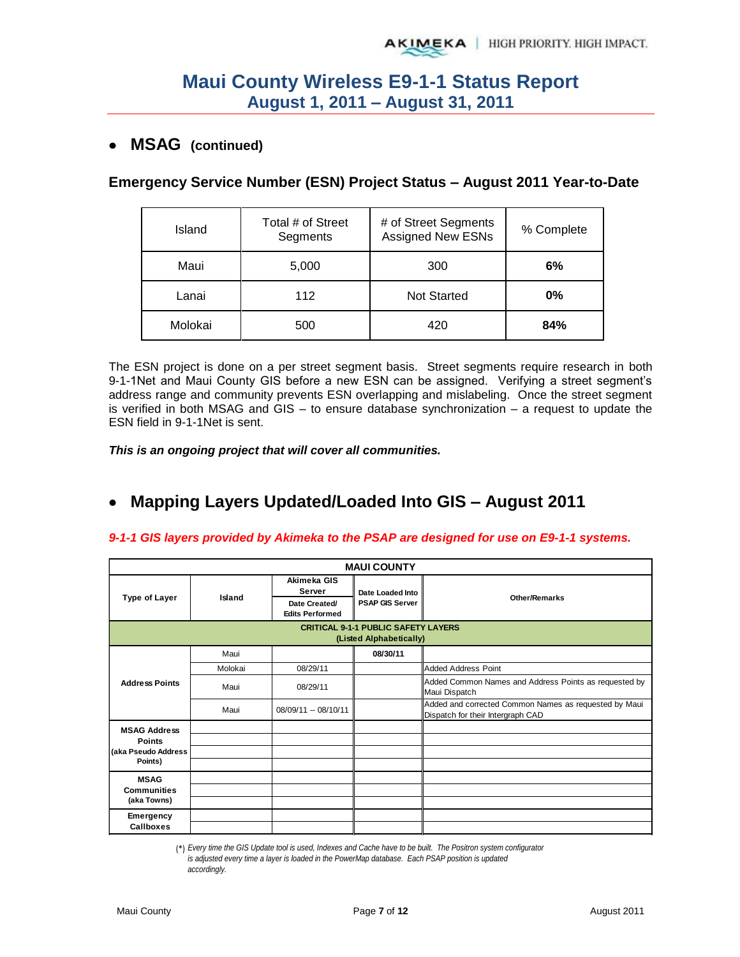### **MSAG (continued)**

### **Emergency Service Number (ESN) Project Status – August 2011 Year-to-Date**

| Island  | Total # of Street<br>Segments | # of Street Segments<br><b>Assigned New ESNs</b> | % Complete |
|---------|-------------------------------|--------------------------------------------------|------------|
| Maui    | 5,000                         | 300                                              | 6%         |
| Lanai   | 112                           | <b>Not Started</b>                               | $0\%$      |
| Molokai | 500                           | 420                                              | 84%        |

The ESN project is done on a per street segment basis. Street segments require research in both 9-1-1Net and Maui County GIS before a new ESN can be assigned. Verifying a street segment's address range and community prevents ESN overlapping and mislabeling. Once the street segment is verified in both MSAG and GIS – to ensure database synchronization – a request to update the ESN field in 9-1-1Net is sent.

*This is an ongoing project that will cover all communities.* 

#### **Mapping Layers Updated/Loaded Into GIS – August 2011**  $\bullet$

#### *9-1-1 GIS layers provided by Akimeka to the PSAP are designed for use on E9-1-1 systems.*

|                                                                       | <b>MAUI COUNTY</b> |                                                                  |                                            |                                                                                            |  |  |  |  |  |
|-----------------------------------------------------------------------|--------------------|------------------------------------------------------------------|--------------------------------------------|--------------------------------------------------------------------------------------------|--|--|--|--|--|
| <b>Type of Layer</b>                                                  | Island             | Akimeka GIS<br>Server<br>Date Created/<br><b>Edits Performed</b> | Date Loaded Into<br><b>PSAP GIS Server</b> | <b>Other/Remarks</b>                                                                       |  |  |  |  |  |
| <b>CRITICAL 9-1-1 PUBLIC SAFETY LAYERS</b><br>(Listed Alphabetically) |                    |                                                                  |                                            |                                                                                            |  |  |  |  |  |
|                                                                       | Maui               |                                                                  | 08/30/11                                   |                                                                                            |  |  |  |  |  |
| <b>Address Points</b>                                                 | Molokai            | 08/29/11                                                         |                                            | <b>Added Address Point</b>                                                                 |  |  |  |  |  |
|                                                                       | Maui               | 08/29/11                                                         |                                            | Added Common Names and Address Points as requested by<br>Maui Dispatch                     |  |  |  |  |  |
|                                                                       | Maui               | 08/09/11 -- 08/10/11                                             |                                            | Added and corrected Common Names as requested by Maui<br>Dispatch for their Intergraph CAD |  |  |  |  |  |
| <b>MSAG Address</b>                                                   |                    |                                                                  |                                            |                                                                                            |  |  |  |  |  |
| <b>Points</b>                                                         |                    |                                                                  |                                            |                                                                                            |  |  |  |  |  |
| (aka Pseudo Address<br>Points)                                        |                    |                                                                  |                                            |                                                                                            |  |  |  |  |  |
|                                                                       |                    |                                                                  |                                            |                                                                                            |  |  |  |  |  |
| <b>MSAG</b><br><b>Communities</b>                                     |                    |                                                                  |                                            |                                                                                            |  |  |  |  |  |
| (aka Towns)                                                           |                    |                                                                  |                                            |                                                                                            |  |  |  |  |  |
| Emergency                                                             |                    |                                                                  |                                            |                                                                                            |  |  |  |  |  |
| <b>Callboxes</b>                                                      |                    |                                                                  |                                            |                                                                                            |  |  |  |  |  |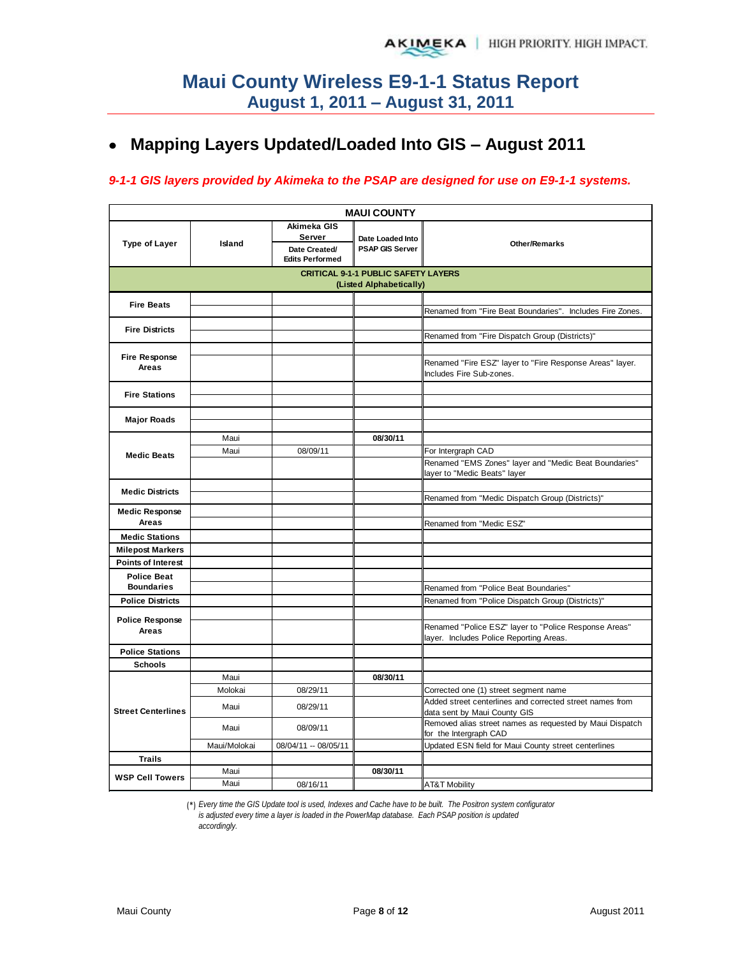# **Mapping Layers Updated/Loaded Into GIS – August 2011**

#### *9-1-1 GIS layers provided by Akimeka to the PSAP are designed for use on E9-1-1 systems.*

|                                 |                                                                       |                                                                  | <b>MAUI COUNTY</b>                         |                                                                                          |  |  |  |  |  |
|---------------------------------|-----------------------------------------------------------------------|------------------------------------------------------------------|--------------------------------------------|------------------------------------------------------------------------------------------|--|--|--|--|--|
| <b>Type of Layer</b>            | Island                                                                | Akimeka GIS<br>Server<br>Date Created/<br><b>Edits Performed</b> | Date Loaded Into<br><b>PSAP GIS Server</b> | <b>Other/Remarks</b>                                                                     |  |  |  |  |  |
|                                 | <b>CRITICAL 9-1-1 PUBLIC SAFETY LAYERS</b><br>(Listed Alphabetically) |                                                                  |                                            |                                                                                          |  |  |  |  |  |
| <b>Fire Beats</b>               |                                                                       |                                                                  |                                            |                                                                                          |  |  |  |  |  |
|                                 |                                                                       |                                                                  |                                            | Renamed from "Fire Beat Boundaries". Includes Fire Zones.                                |  |  |  |  |  |
| <b>Fire Districts</b>           |                                                                       |                                                                  |                                            |                                                                                          |  |  |  |  |  |
|                                 |                                                                       |                                                                  |                                            | Renamed from "Fire Dispatch Group (Districts)"                                           |  |  |  |  |  |
| Fire Response<br>Areas          |                                                                       |                                                                  |                                            | Renamed "Fire ESZ" layer to "Fire Response Areas" layer.<br>Includes Fire Sub-zones.     |  |  |  |  |  |
|                                 |                                                                       |                                                                  |                                            |                                                                                          |  |  |  |  |  |
| <b>Fire Stations</b>            |                                                                       |                                                                  |                                            |                                                                                          |  |  |  |  |  |
| <b>Major Roads</b>              |                                                                       |                                                                  |                                            |                                                                                          |  |  |  |  |  |
|                                 |                                                                       |                                                                  |                                            |                                                                                          |  |  |  |  |  |
|                                 | Maui                                                                  |                                                                  | 08/30/11                                   |                                                                                          |  |  |  |  |  |
| <b>Medic Beats</b>              | Maui                                                                  | 08/09/11                                                         |                                            | For Intergraph CAD                                                                       |  |  |  |  |  |
|                                 |                                                                       |                                                                  |                                            | Renamed "EMS Zones" layer and "Medic Beat Boundaries"                                    |  |  |  |  |  |
|                                 |                                                                       |                                                                  |                                            | layer to "Medic Beats" layer                                                             |  |  |  |  |  |
| <b>Medic Districts</b>          |                                                                       |                                                                  |                                            | Renamed from "Medic Dispatch Group (Districts)"                                          |  |  |  |  |  |
| <b>Medic Response</b>           |                                                                       |                                                                  |                                            |                                                                                          |  |  |  |  |  |
| Areas                           |                                                                       |                                                                  |                                            | Renamed from "Medic ESZ"                                                                 |  |  |  |  |  |
| <b>Medic Stations</b>           |                                                                       |                                                                  |                                            |                                                                                          |  |  |  |  |  |
| <b>Milepost Markers</b>         |                                                                       |                                                                  |                                            |                                                                                          |  |  |  |  |  |
| <b>Points of Interest</b>       |                                                                       |                                                                  |                                            |                                                                                          |  |  |  |  |  |
| <b>Police Beat</b>              |                                                                       |                                                                  |                                            |                                                                                          |  |  |  |  |  |
| <b>Boundaries</b>               |                                                                       |                                                                  |                                            | Renamed from "Police Beat Boundaries"                                                    |  |  |  |  |  |
| <b>Police Districts</b>         |                                                                       |                                                                  |                                            | Renamed from "Police Dispatch Group (Districts)"                                         |  |  |  |  |  |
|                                 |                                                                       |                                                                  |                                            |                                                                                          |  |  |  |  |  |
| <b>Police Response</b><br>Areas |                                                                       |                                                                  |                                            | Renamed "Police ESZ" layer to "Police Response Areas"                                    |  |  |  |  |  |
|                                 |                                                                       |                                                                  |                                            | layer. Includes Police Reporting Areas.                                                  |  |  |  |  |  |
| <b>Police Stations</b>          |                                                                       |                                                                  |                                            |                                                                                          |  |  |  |  |  |
| <b>Schools</b>                  |                                                                       |                                                                  |                                            |                                                                                          |  |  |  |  |  |
|                                 | Maui                                                                  |                                                                  | 08/30/11                                   |                                                                                          |  |  |  |  |  |
|                                 | Molokai                                                               | 08/29/11                                                         |                                            | Corrected one (1) street segment name                                                    |  |  |  |  |  |
| <b>Street Centerlines</b>       | Maui                                                                  | 08/29/11                                                         |                                            | Added street centerlines and corrected street names from<br>data sent by Maui County GIS |  |  |  |  |  |
|                                 | Maui                                                                  | 08/09/11                                                         |                                            | Removed alias street names as requested by Maui Dispatch<br>for the Intergraph CAD       |  |  |  |  |  |
|                                 | Maui/Molokai                                                          | 08/04/11 -- 08/05/11                                             |                                            | Updated ESN field for Maui County street centerlines                                     |  |  |  |  |  |
| <b>Trails</b>                   |                                                                       |                                                                  |                                            |                                                                                          |  |  |  |  |  |
| <b>WSP Cell Towers</b>          | Maui                                                                  |                                                                  | 08/30/11                                   |                                                                                          |  |  |  |  |  |
|                                 | Maui                                                                  | 08/16/11                                                         |                                            | <b>AT&amp;T Mobility</b>                                                                 |  |  |  |  |  |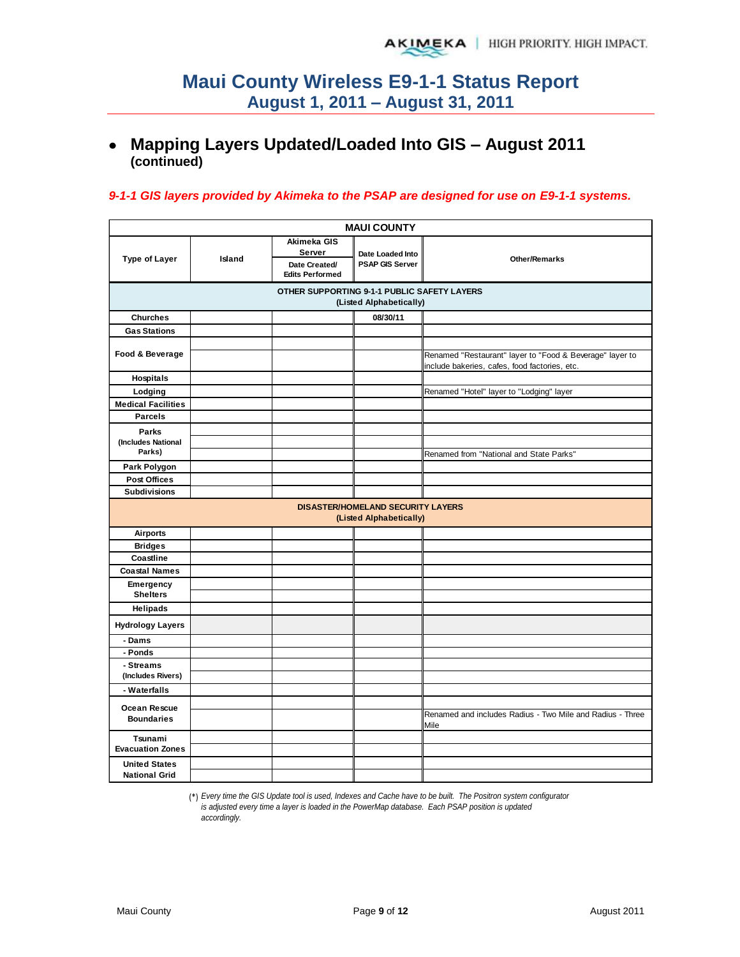# **Mapping Layers Updated/Loaded Into GIS – August 2011 (continued)**

#### *9-1-1 GIS layers provided by Akimeka to the PSAP are designed for use on E9-1-1 systems.*

| <b>MAUI COUNTY</b>                                                     |        |                                                                  |                                                                     |                                                                                                           |  |  |  |  |  |  |
|------------------------------------------------------------------------|--------|------------------------------------------------------------------|---------------------------------------------------------------------|-----------------------------------------------------------------------------------------------------------|--|--|--|--|--|--|
| <b>Type of Layer</b>                                                   | Island | Akimeka GIS<br>Server<br>Date Created/<br><b>Edits Performed</b> | Date Loaded Into<br><b>PSAP GIS Server</b>                          | <b>Other/Remarks</b>                                                                                      |  |  |  |  |  |  |
| OTHER SUPPORTING 9-1-1 PUBLIC SAFETY LAYERS<br>(Listed Alphabetically) |        |                                                                  |                                                                     |                                                                                                           |  |  |  |  |  |  |
| <b>Churches</b>                                                        |        |                                                                  | 08/30/11                                                            |                                                                                                           |  |  |  |  |  |  |
| <b>Gas Stations</b>                                                    |        |                                                                  |                                                                     |                                                                                                           |  |  |  |  |  |  |
| Food & Beverage                                                        |        |                                                                  |                                                                     | Renamed "Restaurant" layer to "Food & Beverage" layer to<br>include bakeries, cafes, food factories, etc. |  |  |  |  |  |  |
| Hospitals                                                              |        |                                                                  |                                                                     |                                                                                                           |  |  |  |  |  |  |
| Lodging                                                                |        |                                                                  |                                                                     | Renamed "Hotel" layer to "Lodging" layer                                                                  |  |  |  |  |  |  |
| <b>Medical Facilities</b>                                              |        |                                                                  |                                                                     |                                                                                                           |  |  |  |  |  |  |
| <b>Parcels</b>                                                         |        |                                                                  |                                                                     |                                                                                                           |  |  |  |  |  |  |
| Parks                                                                  |        |                                                                  |                                                                     |                                                                                                           |  |  |  |  |  |  |
| (Includes National                                                     |        |                                                                  |                                                                     |                                                                                                           |  |  |  |  |  |  |
| Parks)                                                                 |        |                                                                  |                                                                     | Renamed from "National and State Parks"                                                                   |  |  |  |  |  |  |
| Park Polygon                                                           |        |                                                                  |                                                                     |                                                                                                           |  |  |  |  |  |  |
| <b>Post Offices</b>                                                    |        |                                                                  |                                                                     |                                                                                                           |  |  |  |  |  |  |
| <b>Subdivisions</b>                                                    |        |                                                                  |                                                                     |                                                                                                           |  |  |  |  |  |  |
|                                                                        |        |                                                                  | <b>DISASTER/HOMELAND SECURITY LAYERS</b><br>(Listed Alphabetically) |                                                                                                           |  |  |  |  |  |  |
| <b>Airports</b>                                                        |        |                                                                  |                                                                     |                                                                                                           |  |  |  |  |  |  |
| <b>Bridges</b>                                                         |        |                                                                  |                                                                     |                                                                                                           |  |  |  |  |  |  |
| Coastline                                                              |        |                                                                  |                                                                     |                                                                                                           |  |  |  |  |  |  |
| <b>Coastal Names</b>                                                   |        |                                                                  |                                                                     |                                                                                                           |  |  |  |  |  |  |
| Emergency                                                              |        |                                                                  |                                                                     |                                                                                                           |  |  |  |  |  |  |
| <b>Shelters</b>                                                        |        |                                                                  |                                                                     |                                                                                                           |  |  |  |  |  |  |
| <b>Helipads</b>                                                        |        |                                                                  |                                                                     |                                                                                                           |  |  |  |  |  |  |
| <b>Hydrology Layers</b>                                                |        |                                                                  |                                                                     |                                                                                                           |  |  |  |  |  |  |
| - Dams                                                                 |        |                                                                  |                                                                     |                                                                                                           |  |  |  |  |  |  |
| - Ponds                                                                |        |                                                                  |                                                                     |                                                                                                           |  |  |  |  |  |  |
| - Streams                                                              |        |                                                                  |                                                                     |                                                                                                           |  |  |  |  |  |  |
| (Includes Rivers)                                                      |        |                                                                  |                                                                     |                                                                                                           |  |  |  |  |  |  |
| - Waterfalls                                                           |        |                                                                  |                                                                     |                                                                                                           |  |  |  |  |  |  |
| Ocean Rescue<br><b>Boundaries</b>                                      |        |                                                                  |                                                                     | Renamed and includes Radius - Two Mile and Radius - Three<br>Mile                                         |  |  |  |  |  |  |
| Tsunami<br><b>Evacuation Zones</b>                                     |        |                                                                  |                                                                     |                                                                                                           |  |  |  |  |  |  |
|                                                                        |        |                                                                  |                                                                     |                                                                                                           |  |  |  |  |  |  |
| <b>United States</b><br><b>National Grid</b>                           |        |                                                                  |                                                                     |                                                                                                           |  |  |  |  |  |  |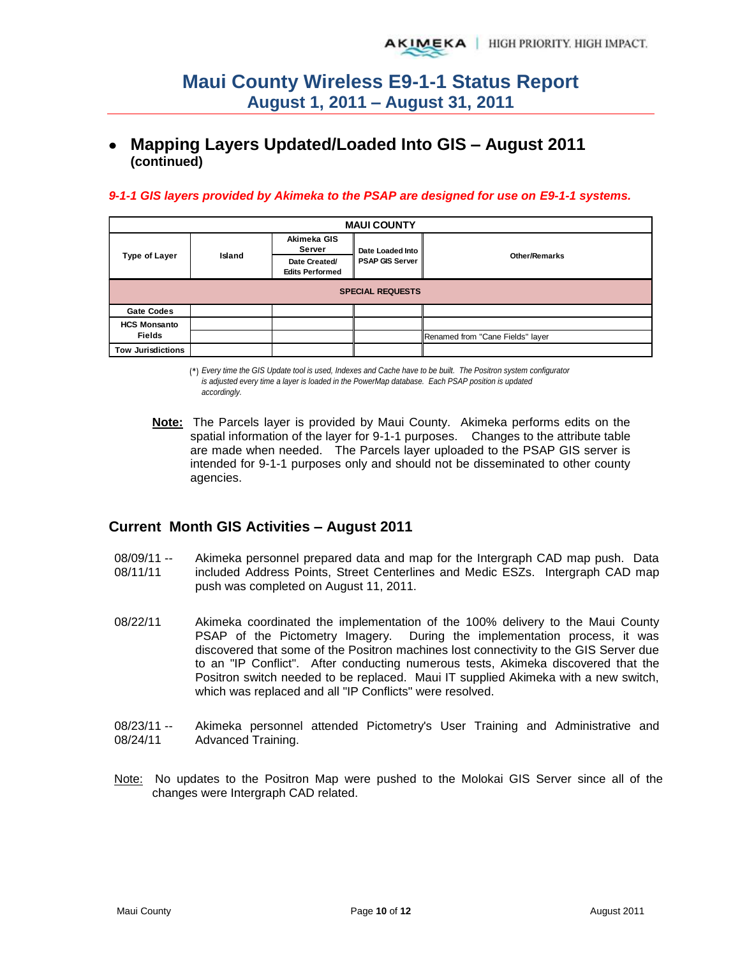# **Mapping Layers Updated/Loaded Into GIS – August 2011 (continued)**

#### *9-1-1 GIS layers provided by Akimeka to the PSAP are designed for use on E9-1-1 systems.*

| <b>MAUI COUNTY</b>       |        |                                         |                        |                                  |  |  |  |  |  |
|--------------------------|--------|-----------------------------------------|------------------------|----------------------------------|--|--|--|--|--|
|                          |        | Akimeka GIS<br>Server                   | Date Loaded Into       |                                  |  |  |  |  |  |
| <b>Type of Layer</b>     | Island | Date Created/<br><b>Edits Performed</b> | <b>PSAP GIS Server</b> | <b>Other/Remarks</b>             |  |  |  |  |  |
| <b>SPECIAL REQUESTS</b>  |        |                                         |                        |                                  |  |  |  |  |  |
| <b>Gate Codes</b>        |        |                                         |                        |                                  |  |  |  |  |  |
| <b>HCS Monsanto</b>      |        |                                         |                        |                                  |  |  |  |  |  |
| <b>Fields</b>            |        |                                         |                        | Renamed from "Cane Fields" layer |  |  |  |  |  |
| <b>Tow Jurisdictions</b> |        |                                         |                        |                                  |  |  |  |  |  |

(\*) *Every time the GIS Update tool is used, Indexes and Cache have to be built. The Positron system configurator is adjusted every time a layer is loaded in the PowerMap database. Each PSAP position is updated accordingly.*

**Note:** The Parcels layer is provided by Maui County. Akimeka performs edits on the spatial information of the layer for 9-1-1 purposes. Changes to the attribute table are made when needed. The Parcels layer uploaded to the PSAP GIS server is intended for 9-1-1 purposes only and should not be disseminated to other county agencies.

#### **Current Month GIS Activities – August 2011**

08/09/11 -- 08/11/11 Akimeka personnel prepared data and map for the Intergraph CAD map push. Data included Address Points, Street Centerlines and Medic ESZs. Intergraph CAD map push was completed on August 11, 2011.

- 08/22/11 Akimeka coordinated the implementation of the 100% delivery to the Maui County PSAP of the Pictometry Imagery. During the implementation process, it was discovered that some of the Positron machines lost connectivity to the GIS Server due to an "IP Conflict". After conducting numerous tests, Akimeka discovered that the Positron switch needed to be replaced. Maui IT supplied Akimeka with a new switch, which was replaced and all "IP Conflicts" were resolved.
- 08/23/11 -- 08/24/11 Akimeka personnel attended Pictometry's User Training and Administrative and Advanced Training.
- Note: No updates to the Positron Map were pushed to the Molokai GIS Server since all of the changes were Intergraph CAD related.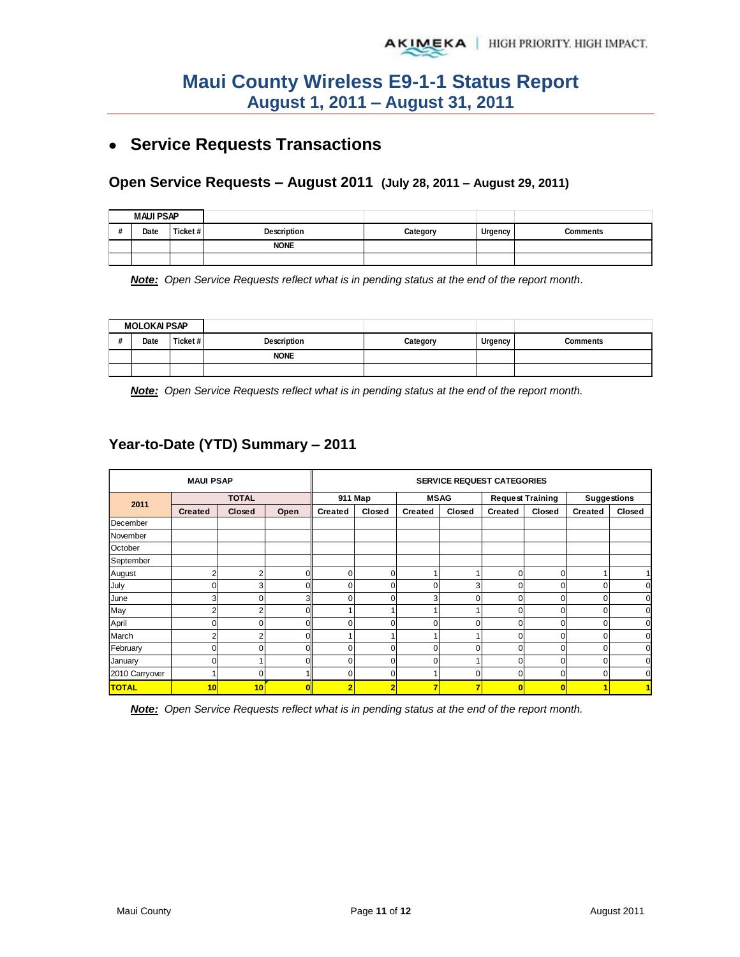# **Service Requests Transactions**

#### **Open Service Requests – August 2011 (July 28, 2011 – August 29, 2011)**

| <b>MAUI PSAP</b> |         |             |          |         |                 |
|------------------|---------|-------------|----------|---------|-----------------|
| Date             | Ticket# | Description | Category | Urgency | <b>Comments</b> |
|                  |         | <b>NONE</b> |          |         |                 |
|                  |         |             |          |         |                 |

*Note: Open Service Requests reflect what is in pending status at the end of the report month.* 

| <b>MOLOKAI PSAP</b> |         |             |          |         |          |
|---------------------|---------|-------------|----------|---------|----------|
| Date                | Ticket# | Description | Category | Urgency | Comments |
|                     |         | <b>NONE</b> |          |         |          |
|                     |         |             |          |         |          |

*Note: Open Service Requests reflect what is in pending status at the end of the report month.* 

### **Year-to-Date (YTD) Summary – 2011**

| <b>MAUI PSAP</b> |                |               | <b>SERVICE REQUEST CATEGORIES</b> |                |        |                |        |                         |             |                    |             |
|------------------|----------------|---------------|-----------------------------------|----------------|--------|----------------|--------|-------------------------|-------------|--------------------|-------------|
| 2011             | <b>TOTAL</b>   |               |                                   | 911 Map        |        | <b>MSAG</b>    |        | <b>Request Training</b> |             | <b>Suggestions</b> |             |
|                  | <b>Created</b> | <b>Closed</b> | Open                              | <b>Created</b> | Closed | <b>Created</b> | Closed | Created                 | Closed      | <b>Created</b>     | Closed      |
| December         |                |               |                                   |                |        |                |        |                         |             |                    |             |
| November         |                |               |                                   |                |        |                |        |                         |             |                    |             |
| October          |                |               |                                   |                |        |                |        |                         |             |                    |             |
| September        |                |               |                                   |                |        |                |        |                         |             |                    |             |
| August           | 2              | 2             |                                   | 0              | 0      |                |        | 0                       | 0           |                    |             |
| July             | $\mathbf 0$    | 3             |                                   |                | 0      | 0              | 3      | 0                       | 0           |                    | $\mathbf 0$ |
| June             | 3              | O             | 3                                 | 0              | 0      | 3              | 0      | $\Omega$                | 0           |                    | $\mathbf 0$ |
| May              | $\overline{2}$ | 2             |                                   |                |        |                |        | 0                       | 0           |                    | $\mathbf 0$ |
| April            | 0              |               |                                   |                | O      | n              | U      | $\Omega$                | 0           |                    | $\mathbf 0$ |
| March            | $\overline{2}$ |               |                                   |                |        |                |        | ŋ                       | 0           |                    | $\mathbf 0$ |
| February         | 0              |               |                                   |                |        |                | ŋ      | O                       | 0           |                    | $\mathbf 0$ |
| January          | 0              |               |                                   |                | 0      |                |        | 0                       | 0           |                    | $\mathbf 0$ |
| 2010 Carryover   | 4              | O             |                                   |                | 0      |                | O      | O                       | $\mathbf 0$ |                    | $\mathbf 0$ |
| <b>TOTAL</b>     | 10             | 10            |                                   |                | 2      |                | ,      | 0                       | O           |                    | 1           |

*Note: Open Service Requests reflect what is in pending status at the end of the report month.*